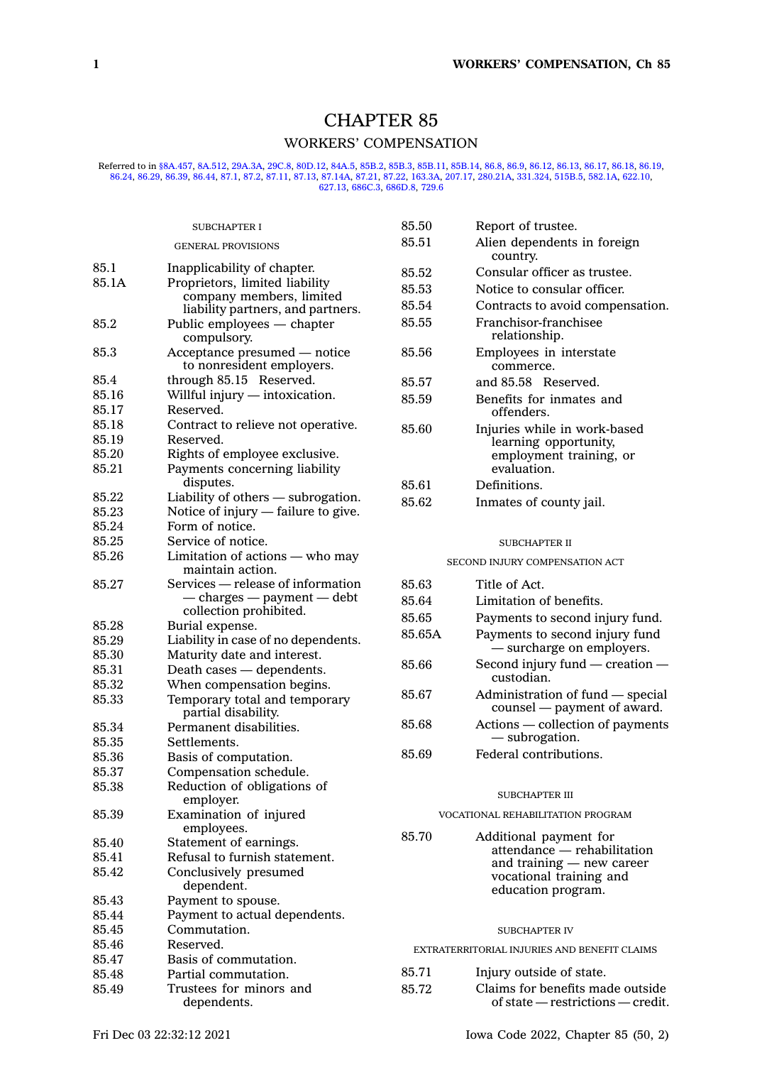# CHAPTER 85 WORKERS' COMPENSATION

Referred to in [§8A.457](https://www.legis.iowa.gov/docs/code/8A.457.pdf), [8A.512](https://www.legis.iowa.gov/docs/code/8A.512.pdf), [29A.3A](https://www.legis.iowa.gov/docs/code/29A.3A.pdf), [29C.8](https://www.legis.iowa.gov/docs/code/29C.8.pdf), [80D.12](https://www.legis.iowa.gov/docs/code/80D.12.pdf), [84A.5](https://www.legis.iowa.gov/docs/code/84A.5.pdf), [85B.2](https://www.legis.iowa.gov/docs/code/85B.2.pdf), [85B.3,](https://www.legis.iowa.gov/docs/code/85B.3.pdf) [85B.11,](https://www.legis.iowa.gov/docs/code/85B.11.pdf) [85B.14,](https://www.legis.iowa.gov/docs/code/85B.14.pdf) [86.8](https://www.legis.iowa.gov/docs/code/86.8.pdf), [86.9](https://www.legis.iowa.gov/docs/code/86.9.pdf), [86.12](https://www.legis.iowa.gov/docs/code/86.12.pdf), [86.13](https://www.legis.iowa.gov/docs/code/86.13.pdf), [86.17](https://www.legis.iowa.gov/docs/code/86.17.pdf), [86.18,](https://www.legis.iowa.gov/docs/code/86.18.pdf) [86.19](https://www.legis.iowa.gov/docs/code/86.19.pdf), [86.29](https://www.legis.iowa.gov/docs/code/86.29.pdf), [86.39](https://www.legis.iowa.gov/docs/code/86.39.pdf), [86.44](https://www.legis.iowa.gov/docs/code/86.44.pdf), [87.1](https://www.legis.iowa.gov/docs/code/87.1.pdf), [87.2](https://www.legis.iowa.gov/docs/code/87.2.pdf), [87.11](https://www.legis.iowa.gov/docs/code/87.11.pdf), [87.13](https://www.legis.iowa.gov/docs/code/87.13.pdf), 84.75, 88.29, 86.29, 86.29, 86.39, 8

|                | <b>SUBCHAPTER I</b>                                                            | 85.50                             | Report of trustee.                                                         |
|----------------|--------------------------------------------------------------------------------|-----------------------------------|----------------------------------------------------------------------------|
|                | <b>GENERAL PROVISIONS</b>                                                      | 85.51                             | Alien dependents in foreign<br>country.                                    |
| 85.1           | Inapplicability of chapter.                                                    | 85.52                             | Consular officer as trustee.                                               |
| 85.1A          | Proprietors, limited liability                                                 | 85.53                             | Notice to consular officer.                                                |
|                | company members, limited                                                       | 85.54                             | Contracts to avoid compensation.                                           |
| 85.2           | liability partners, and partners.<br>Public employees - chapter<br>compulsory. | 85.55                             | Franchisor-franchisee<br>relationship.                                     |
| 85.3           | Acceptance presumed — notice<br>to nonresident employers.                      | 85.56                             | Employees in interstate<br>commerce.                                       |
| 85.4           | through 85.15 Reserved.                                                        | 85.57                             | and 85.58 Reserved.                                                        |
| 85.16          | Willful injury — intoxication.                                                 | 85.59                             | Benefits for inmates and                                                   |
| 85.17          | Reserved.                                                                      |                                   | offenders.                                                                 |
| 85.18          | Contract to relieve not operative.                                             | 85.60                             | Injuries while in work-based                                               |
| 85.19          | Reserved.                                                                      |                                   | learning opportunity,                                                      |
| 85.20<br>85.21 | Rights of employee exclusive.                                                  |                                   | employment training, or<br>evaluation.                                     |
|                | Payments concerning liability<br>disputes.                                     |                                   |                                                                            |
| 85.22          | Liability of others - subrogation.                                             | 85.61                             | Definitions.                                                               |
| 85.23          | Notice of injury - failure to give.                                            | 85.62                             | Inmates of county jail.                                                    |
| 85.24          | Form of notice.                                                                |                                   |                                                                            |
| 85.25          | Service of notice.                                                             |                                   | <b>SUBCHAPTER II</b>                                                       |
| 85.26          | Limitation of actions - who may<br>maintain action.                            | SECOND INJURY COMPENSATION ACT    |                                                                            |
| 85.27          | Services — release of information                                              | 85.63                             | Title of Act.                                                              |
|                | — charges — payment — debt                                                     | 85.64                             | Limitation of benefits.                                                    |
|                | collection prohibited.                                                         | 85.65                             | Payments to second injury fund.                                            |
| 85.28          | Burial expense.                                                                |                                   |                                                                            |
| 85.29          | Liability in case of no dependents.                                            | 85.65A                            | Payments to second injury fund                                             |
| 85.30          | Maturity date and interest.                                                    |                                   | - surcharge on employers.                                                  |
| 85.31          | Death cases - dependents.                                                      | 85.66                             | Second injury fund $-$ creation $-$<br>custodian.                          |
| 85.32          | When compensation begins.                                                      |                                   |                                                                            |
| 85.33          | Temporary total and temporary<br>partial disability.                           | 85.67                             | Administration of fund — special<br>counsel — payment of award.            |
| 85.34          | Permanent disabilities.                                                        | 85.68                             | Actions — collection of payments                                           |
| 85.35          | Settlements.                                                                   |                                   | — subrogation.                                                             |
| 85.36          | Basis of computation.                                                          | 85.69                             | Federal contributions.                                                     |
| 85.37          | Compensation schedule.                                                         |                                   |                                                                            |
| 85.38          | Reduction of obligations of<br>employer.                                       |                                   | <b>SUBCHAPTER III</b>                                                      |
| 85.39          | Examination of injured<br>employees.                                           | VOCATIONAL REHABILITATION PROGRAM |                                                                            |
| 85.40          | Statement of earnings.                                                         | 85.70                             | Additional payment for                                                     |
| 85.41          | Refusal to furnish statement.                                                  |                                   | attendance - rehabilitation                                                |
| 85.42          | Conclusively presumed<br>dependent.                                            |                                   | and training — new career<br>vocational training and<br>education program. |
| 85.43          | Payment to spouse.                                                             |                                   |                                                                            |
| 85.44          | Payment to actual dependents.                                                  |                                   |                                                                            |
| 85.45          | Commutation.                                                                   |                                   | <b>SUBCHAPTER IV</b>                                                       |
| 85.46          | Reserved.                                                                      |                                   | EXTRATERRITORIAL INJURIES AND BENEFIT CLAIMS                               |
| 85.47          | Basis of commutation.                                                          |                                   |                                                                            |
| 85.48          | Partial commutation.                                                           | 85.71                             | Injury outside of state.                                                   |
| 85.49          | Trustees for minors and<br>dependents.                                         | 85.72                             | Claims for benefits made outside<br>of state — restrictions — credit.      |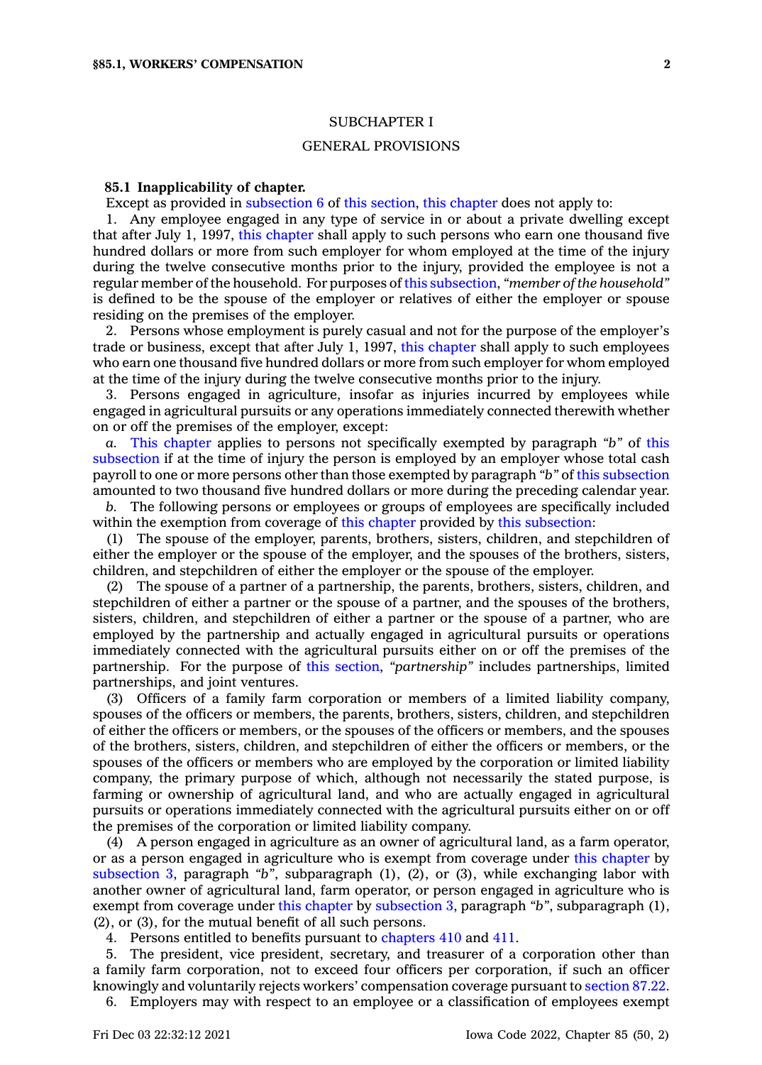### SUBCHAPTER I

### GENERAL PROVISIONS

#### **85.1 Inapplicability of chapter.**

Except as provided in [subsection](https://www.legis.iowa.gov/docs/code/85.1.pdf) 6 of this [section](https://www.legis.iowa.gov/docs/code/85.1.pdf), this [chapter](https://www.legis.iowa.gov/docs/code//85.pdf) does not apply to:

1. Any employee engaged in any type of service in or about <sup>a</sup> private dwelling except that after July 1, 1997, this [chapter](https://www.legis.iowa.gov/docs/code//85.pdf) shall apply to such persons who earn one thousand five hundred dollars or more from such employer for whom employed at the time of the injury during the twelve consecutive months prior to the injury, provided the employee is not <sup>a</sup> regular member of the household. For purposes of this [subsection](https://www.legis.iowa.gov/docs/code/85.1.pdf), *"member of the household"* is defined to be the spouse of the employer or relatives of either the employer or spouse residing on the premises of the employer.

2. Persons whose employment is purely casual and not for the purpose of the employer's trade or business, except that after July 1, 1997, this [chapter](https://www.legis.iowa.gov/docs/code//85.pdf) shall apply to such employees who earn one thousand five hundred dollars or more from such employer for whom employed at the time of the injury during the twelve consecutive months prior to the injury.

3. Persons engaged in agriculture, insofar as injuries incurred by employees while engaged in agricultural pursuits or any operations immediately connected therewith whether on or off the premises of the employer, except:

*a.* This [chapter](https://www.legis.iowa.gov/docs/code//85.pdf) applies to persons not specifically exempted by paragraph *"b"* of [this](https://www.legis.iowa.gov/docs/code/85.1.pdf) [subsection](https://www.legis.iowa.gov/docs/code/85.1.pdf) if at the time of injury the person is employed by an employer whose total cash payroll to one or more persons other than those exempted by paragraph *"b"* of this [subsection](https://www.legis.iowa.gov/docs/code/85.1.pdf) amounted to two thousand five hundred dollars or more during the preceding calendar year.

*b.* The following persons or employees or groups of employees are specifically included within the exemption from coverage of this [chapter](https://www.legis.iowa.gov/docs/code//85.pdf) provided by this [subsection](https://www.legis.iowa.gov/docs/code/85.1.pdf):

(1) The spouse of the employer, parents, brothers, sisters, children, and stepchildren of either the employer or the spouse of the employer, and the spouses of the brothers, sisters, children, and stepchildren of either the employer or the spouse of the employer.

(2) The spouse of <sup>a</sup> partner of <sup>a</sup> partnership, the parents, brothers, sisters, children, and stepchildren of either <sup>a</sup> partner or the spouse of <sup>a</sup> partner, and the spouses of the brothers, sisters, children, and stepchildren of either <sup>a</sup> partner or the spouse of <sup>a</sup> partner, who are employed by the partnership and actually engaged in agricultural pursuits or operations immediately connected with the agricultural pursuits either on or off the premises of the partnership. For the purpose of this [section](https://www.legis.iowa.gov/docs/code/85.1.pdf), *"partnership"* includes partnerships, limited partnerships, and joint ventures.

(3) Officers of <sup>a</sup> family farm corporation or members of <sup>a</sup> limited liability company, spouses of the officers or members, the parents, brothers, sisters, children, and stepchildren of either the officers or members, or the spouses of the officers or members, and the spouses of the brothers, sisters, children, and stepchildren of either the officers or members, or the spouses of the officers or members who are employed by the corporation or limited liability company, the primary purpose of which, although not necessarily the stated purpose, is farming or ownership of agricultural land, and who are actually engaged in agricultural pursuits or operations immediately connected with the agricultural pursuits either on or off the premises of the corporation or limited liability company.

(4) A person engaged in agriculture as an owner of agricultural land, as <sup>a</sup> farm operator, or as <sup>a</sup> person engaged in agriculture who is exempt from coverage under this [chapter](https://www.legis.iowa.gov/docs/code//85.pdf) by [subsection](https://www.legis.iowa.gov/docs/code/85.1.pdf) 3, paragraph *"b"*, subparagraph (1), (2), or (3), while exchanging labor with another owner of agricultural land, farm operator, or person engaged in agriculture who is exempt from coverage under this [chapter](https://www.legis.iowa.gov/docs/code//85.pdf) by [subsection](https://www.legis.iowa.gov/docs/code/85.1.pdf) 3, paragraph *"b"*, subparagraph (1), (2), or (3), for the mutual benefit of all such persons.

4. Persons entitled to benefits pursuant to [chapters](https://www.legis.iowa.gov/docs/code//410.pdf) 410 and [411](https://www.legis.iowa.gov/docs/code//411.pdf).

5. The president, vice president, secretary, and treasurer of <sup>a</sup> corporation other than <sup>a</sup> family farm corporation, not to exceed four officers per corporation, if such an officer knowingly and voluntarily rejects workers' compensation coverage pursuant to [section](https://www.legis.iowa.gov/docs/code/87.22.pdf) 87.22.

6. Employers may with respect to an employee or <sup>a</sup> classification of employees exempt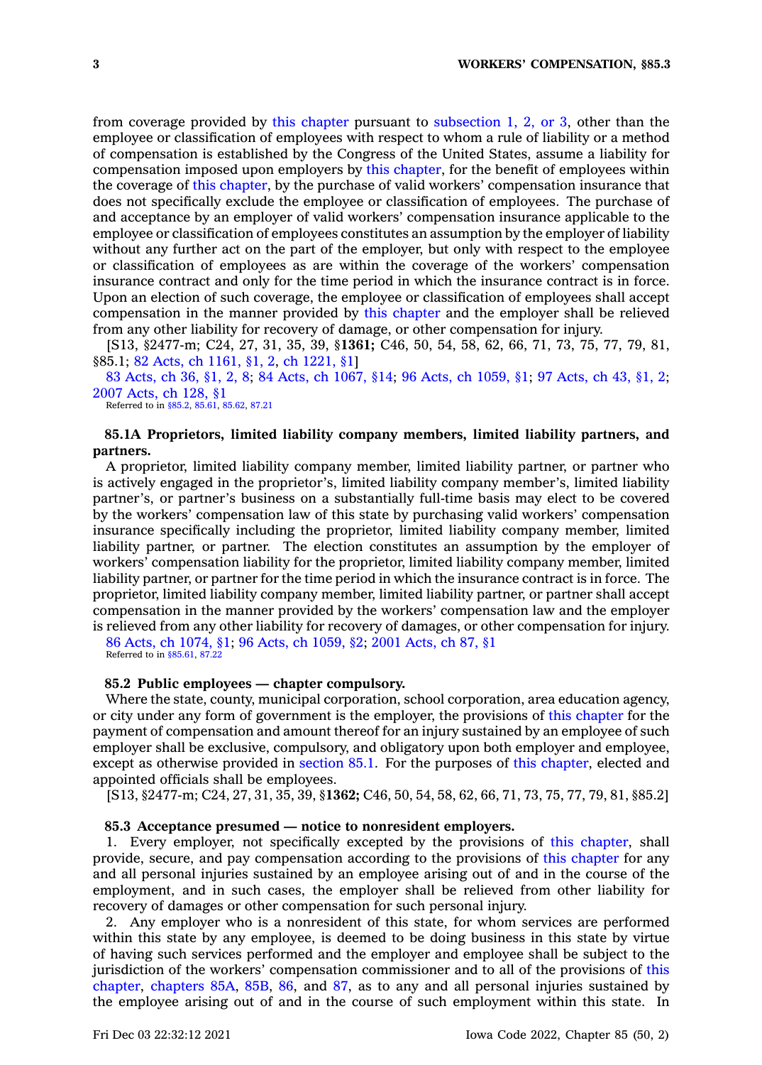from coverage provided by this [chapter](https://www.legis.iowa.gov/docs/code//85.pdf) pursuant to [subsection](https://www.legis.iowa.gov/docs/code/85.1.pdf) 1, 2, or 3, other than the employee or classification of employees with respect to whom <sup>a</sup> rule of liability or <sup>a</sup> method of compensation is established by the Congress of the United States, assume <sup>a</sup> liability for compensation imposed upon employers by this [chapter](https://www.legis.iowa.gov/docs/code//85.pdf), for the benefit of employees within the coverage of this [chapter](https://www.legis.iowa.gov/docs/code//85.pdf), by the purchase of valid workers' compensation insurance that does not specifically exclude the employee or classification of employees. The purchase of and acceptance by an employer of valid workers' compensation insurance applicable to the employee or classification of employees constitutes an assumption by the employer of liability without any further act on the part of the employer, but only with respect to the employee or classification of employees as are within the coverage of the workers' compensation insurance contract and only for the time period in which the insurance contract is in force. Upon an election of such coverage, the employee or classification of employees shall accept compensation in the manner provided by this [chapter](https://www.legis.iowa.gov/docs/code//85.pdf) and the employer shall be relieved from any other liability for recovery of damage, or other compensation for injury.

[S13, §2477-m; C24, 27, 31, 35, 39, §**1361;** C46, 50, 54, 58, 62, 66, 71, 73, 75, 77, 79, 81, §85.1; 82 Acts, ch [1161,](https://www.legis.iowa.gov/docs/acts/1982/CH1161.pdf) §1, 2, ch [1221,](https://www.legis.iowa.gov/docs/acts/1982/CH1221.pdf) §1]

83 [Acts,](https://www.legis.iowa.gov/docs/acts/1983/CH0036.pdf) ch 36, §1, 2, 8; 84 Acts, ch [1067,](https://www.legis.iowa.gov/docs/acts/1984/CH1067.pdf) §14; 96 Acts, ch [1059,](https://www.legis.iowa.gov/docs/acts/1996/CH1059.pdf) §1; 97 [Acts,](https://www.legis.iowa.gov/docs/acts/1997/CH0043.pdf) ch 43, §1, 2; 2007 [Acts,](https://www.legis.iowa.gov/docs/acts/2007/CH0128.pdf) ch 128, §1

Referred to in [§85.2](https://www.legis.iowa.gov/docs/code/85.2.pdf), [85.61](https://www.legis.iowa.gov/docs/code/85.61.pdf), [85.62](https://www.legis.iowa.gov/docs/code/85.62.pdf), [87.21](https://www.legis.iowa.gov/docs/code/87.21.pdf)

# **85.1A Proprietors, limited liability company members, limited liability partners, and partners.**

A proprietor, limited liability company member, limited liability partner, or partner who is actively engaged in the proprietor's, limited liability company member's, limited liability partner's, or partner's business on <sup>a</sup> substantially full-time basis may elect to be covered by the workers' compensation law of this state by purchasing valid workers' compensation insurance specifically including the proprietor, limited liability company member, limited liability partner, or partner. The election constitutes an assumption by the employer of workers' compensation liability for the proprietor, limited liability company member, limited liability partner, or partner for the time period in which the insurance contract is in force. The proprietor, limited liability company member, limited liability partner, or partner shall accept compensation in the manner provided by the workers' compensation law and the employer is relieved from any other liability for recovery of damages, or other compensation for injury.

86 Acts, ch [1074,](https://www.legis.iowa.gov/docs/acts/1986/CH1074.pdf) §1; 96 Acts, ch [1059,](https://www.legis.iowa.gov/docs/acts/1996/CH1059.pdf) §2; 2001 [Acts,](https://www.legis.iowa.gov/docs/acts/2001/CH0087.pdf) ch 87, §1 Referred to in [§85.61](https://www.legis.iowa.gov/docs/code/85.61.pdf), [87.22](https://www.legis.iowa.gov/docs/code/87.22.pdf)

# **85.2 Public employees — chapter compulsory.**

Where the state, county, municipal corporation, school corporation, area education agency, or city under any form of government is the employer, the provisions of this [chapter](https://www.legis.iowa.gov/docs/code//85.pdf) for the payment of compensation and amount thereof for an injury sustained by an employee of such employer shall be exclusive, compulsory, and obligatory upon both employer and employee, except as otherwise provided in [section](https://www.legis.iowa.gov/docs/code/85.1.pdf) 85.1. For the purposes of this [chapter](https://www.legis.iowa.gov/docs/code//85.pdf), elected and appointed officials shall be employees.

[S13, §2477-m; C24, 27, 31, 35, 39, §**1362;** C46, 50, 54, 58, 62, 66, 71, 73, 75, 77, 79, 81, §85.2]

#### **85.3 Acceptance presumed — notice to nonresident employers.**

1. Every employer, not specifically excepted by the provisions of this [chapter](https://www.legis.iowa.gov/docs/code//85.pdf), shall provide, secure, and pay compensation according to the provisions of this [chapter](https://www.legis.iowa.gov/docs/code//85.pdf) for any and all personal injuries sustained by an employee arising out of and in the course of the employment, and in such cases, the employer shall be relieved from other liability for recovery of damages or other compensation for such personal injury.

2. Any employer who is <sup>a</sup> nonresident of this state, for whom services are performed within this state by any employee, is deemed to be doing business in this state by virtue of having such services performed and the employer and employee shall be subject to the jurisdiction of the workers' compensation commissioner and to all of the provisions of [this](https://www.legis.iowa.gov/docs/code//85.pdf) [chapter](https://www.legis.iowa.gov/docs/code//85.pdf), [chapters](https://www.legis.iowa.gov/docs/code//85A.pdf) 85A, [85B](https://www.legis.iowa.gov/docs/code//85B.pdf), [86](https://www.legis.iowa.gov/docs/code//86.pdf), and [87](https://www.legis.iowa.gov/docs/code//87.pdf), as to any and all personal injuries sustained by the employee arising out of and in the course of such employment within this state. In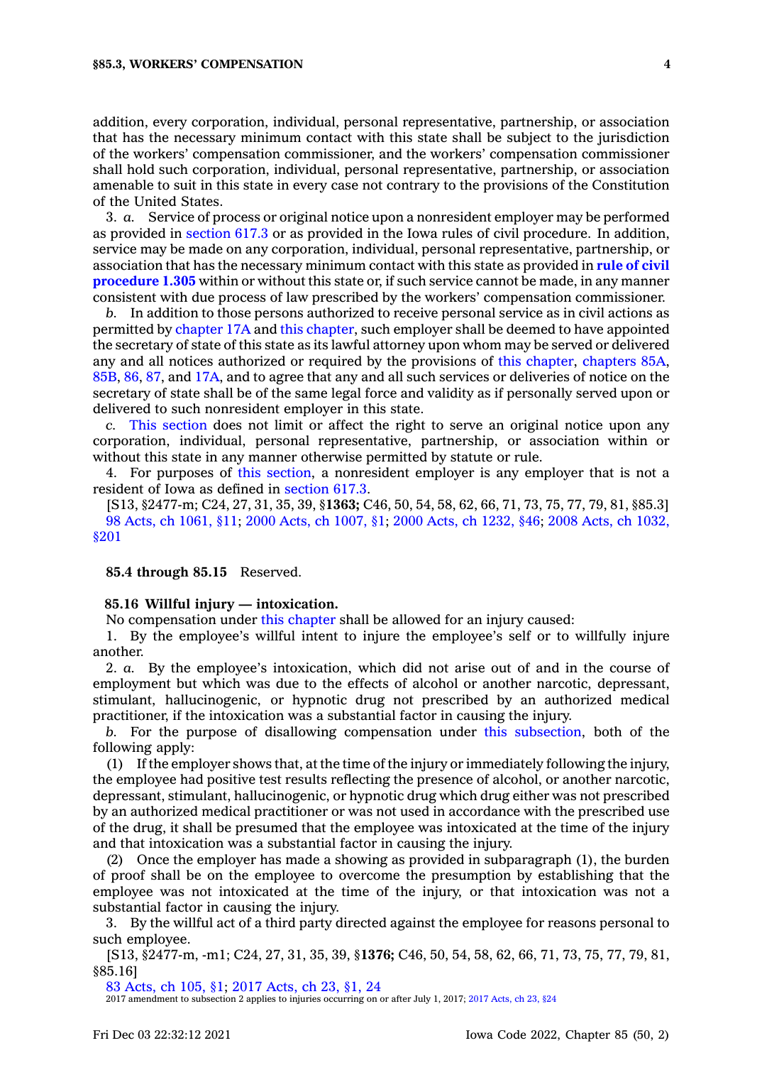#### **§85.3, WORKERS' COMPENSATION 4**

addition, every corporation, individual, personal representative, partnership, or association that has the necessary minimum contact with this state shall be subject to the jurisdiction of the workers' compensation commissioner, and the workers' compensation commissioner shall hold such corporation, individual, personal representative, partnership, or association amenable to suit in this state in every case not contrary to the provisions of the Constitution of the United States.

3. *a.* Service of process or original notice upon <sup>a</sup> nonresident employer may be performed as provided in [section](https://www.legis.iowa.gov/docs/code/617.3.pdf) 617.3 or as provided in the Iowa rules of civil procedure. In addition, service may be made on any corporation, individual, personal representative, partnership, or association that has the necessary minimum contact with this state as provided in **rule of [civil](https://www.legis.iowa.gov/docs/ACO/CourtRulesChapter/1.pdf) [procedure](https://www.legis.iowa.gov/docs/ACO/CourtRulesChapter/1.pdf) 1.305** within or without this state or, if such service cannot be made, in any manner consistent with due process of law prescribed by the workers' compensation commissioner.

*b.* In addition to those persons authorized to receive personal service as in civil actions as permitted by [chapter](https://www.legis.iowa.gov/docs/code//17A.pdf) 17A and this [chapter](https://www.legis.iowa.gov/docs/code//85.pdf), such employer shall be deemed to have appointed the secretary of state of this state as its lawful attorney upon whom may be served or delivered any and all notices authorized or required by the provisions of this [chapter](https://www.legis.iowa.gov/docs/code//85.pdf), [chapters](https://www.legis.iowa.gov/docs/code//85A.pdf) 85A, [85B](https://www.legis.iowa.gov/docs/code//85B.pdf), [86](https://www.legis.iowa.gov/docs/code//86.pdf), [87](https://www.legis.iowa.gov/docs/code//87.pdf), and [17A](https://www.legis.iowa.gov/docs/code//17A.pdf), and to agree that any and all such services or deliveries of notice on the secretary of state shall be of the same legal force and validity as if personally served upon or delivered to such nonresident employer in this state.

*c.* This [section](https://www.legis.iowa.gov/docs/code/85.3.pdf) does not limit or affect the right to serve an original notice upon any corporation, individual, personal representative, partnership, or association within or without this state in any manner otherwise permitted by statute or rule.

4. For purposes of this [section](https://www.legis.iowa.gov/docs/code/85.3.pdf), <sup>a</sup> nonresident employer is any employer that is not <sup>a</sup> resident of Iowa as defined in [section](https://www.legis.iowa.gov/docs/code/617.3.pdf) 617.3.

[S13, §2477-m; C24, 27, 31, 35, 39, §**1363;** C46, 50, 54, 58, 62, 66, 71, 73, 75, 77, 79, 81, §85.3] 98 Acts, ch [1061,](https://www.legis.iowa.gov/docs/acts/1998/CH1061.pdf) §11; 2000 Acts, ch [1007,](https://www.legis.iowa.gov/docs/acts/2000/CH1007.pdf) §1; 2000 Acts, ch [1232,](https://www.legis.iowa.gov/docs/acts/2000/CH1232.pdf) §46; 2008 Acts, ch [1032,](https://www.legis.iowa.gov/docs/acts/2008/CH1032.pdf) [§201](https://www.legis.iowa.gov/docs/acts/2008/CH1032.pdf)

#### **85.4 through 85.15** Reserved.

### **85.16 Willful injury — intoxication.**

No compensation under this [chapter](https://www.legis.iowa.gov/docs/code//85.pdf) shall be allowed for an injury caused:

1. By the employee's willful intent to injure the employee's self or to willfully injure another.

2. *a.* By the employee's intoxication, which did not arise out of and in the course of employment but which was due to the effects of alcohol or another narcotic, depressant, stimulant, hallucinogenic, or hypnotic drug not prescribed by an authorized medical practitioner, if the intoxication was <sup>a</sup> substantial factor in causing the injury.

*b.* For the purpose of disallowing compensation under this [subsection](https://www.legis.iowa.gov/docs/code/85.16.pdf), both of the following apply:

(1) If the employer shows that, at the time of the injury or immediately following the injury, the employee had positive test results reflecting the presence of alcohol, or another narcotic, depressant, stimulant, hallucinogenic, or hypnotic drug which drug either was not prescribed by an authorized medical practitioner or was not used in accordance with the prescribed use of the drug, it shall be presumed that the employee was intoxicated at the time of the injury and that intoxication was <sup>a</sup> substantial factor in causing the injury.

(2) Once the employer has made <sup>a</sup> showing as provided in subparagraph (1), the burden of proof shall be on the employee to overcome the presumption by establishing that the employee was not intoxicated at the time of the injury, or that intoxication was not <sup>a</sup> substantial factor in causing the injury.

3. By the willful act of <sup>a</sup> third party directed against the employee for reasons personal to such employee.

[S13, §2477-m, -m1; C24, 27, 31, 35, 39, §**1376;** C46, 50, 54, 58, 62, 66, 71, 73, 75, 77, 79, 81, §85.16]

83 [Acts,](https://www.legis.iowa.gov/docs/acts/1983/CH0105.pdf) ch 105, §1; 2017 [Acts,](https://www.legis.iowa.gov/docs/acts/2017/CH0023.pdf) ch 23, §1, 24

2017 amendment to subsection 2 applies to injuries occurring on or after July 1, 2017; 2017 [Acts,](https://www.legis.iowa.gov/docs/acts/2017/CH23.pdf) ch 23, §24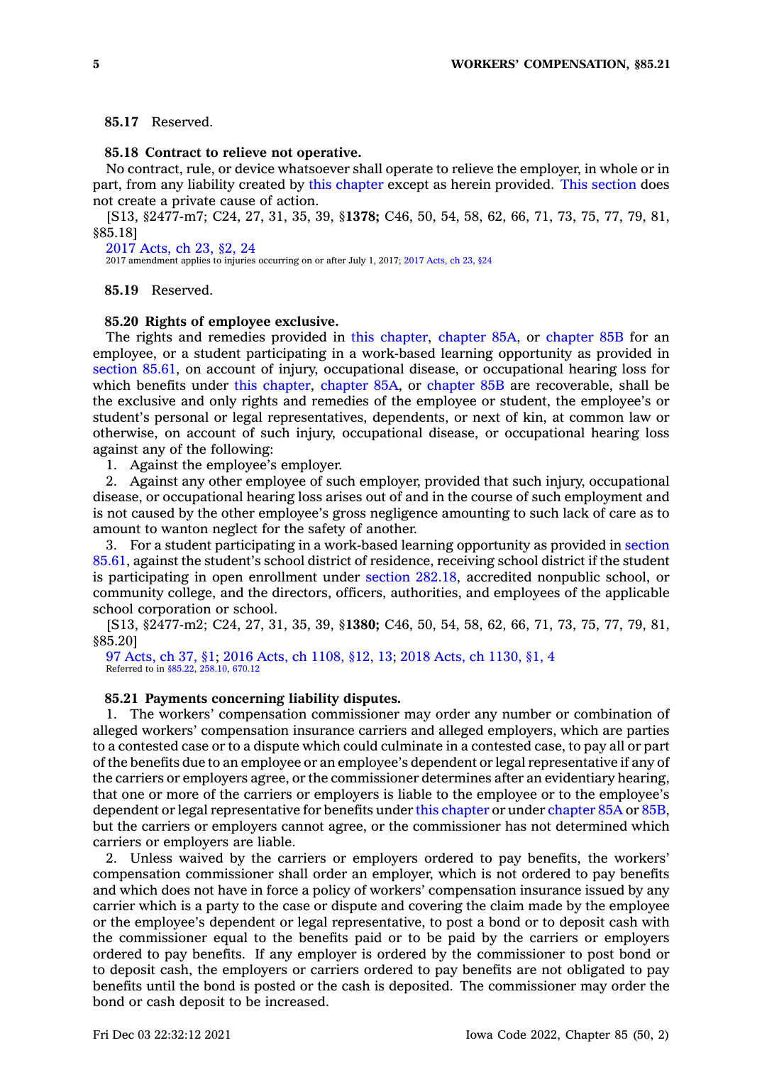### **85.17** Reserved.

### **85.18 Contract to relieve not operative.**

No contract, rule, or device whatsoever shall operate to relieve the employer, in whole or in part, from any liability created by this [chapter](https://www.legis.iowa.gov/docs/code//85.pdf) except as herein provided. This [section](https://www.legis.iowa.gov/docs/code/85.18.pdf) does not create <sup>a</sup> private cause of action.

[S13, §2477-m7; C24, 27, 31, 35, 39, §**1378;** C46, 50, 54, 58, 62, 66, 71, 73, 75, 77, 79, 81, §85.18]

2017 [Acts,](https://www.legis.iowa.gov/docs/acts/2017/CH0023.pdf) ch 23, §2, 24 2017 amendment applies to injuries occurring on or after July 1, 2017; 2017 [Acts,](https://www.legis.iowa.gov/docs/acts/2017/CH23.pdf) ch 23, §24

#### **85.19** Reserved.

#### **85.20 Rights of employee exclusive.**

The rights and remedies provided in this [chapter](https://www.legis.iowa.gov/docs/code//85.pdf), [chapter](https://www.legis.iowa.gov/docs/code//85A.pdf) 85A, or [chapter](https://www.legis.iowa.gov/docs/code//85B.pdf) 85B for an employee, or <sup>a</sup> student participating in <sup>a</sup> work-based learning opportunity as provided in [section](https://www.legis.iowa.gov/docs/code/85.61.pdf) 85.61, on account of injury, occupational disease, or occupational hearing loss for which benefits under this [chapter](https://www.legis.iowa.gov/docs/code//85.pdf), [chapter](https://www.legis.iowa.gov/docs/code//85A.pdf) 85A, or [chapter](https://www.legis.iowa.gov/docs/code//85B.pdf) 85B are recoverable, shall be the exclusive and only rights and remedies of the employee or student, the employee's or student's personal or legal representatives, dependents, or next of kin, at common law or otherwise, on account of such injury, occupational disease, or occupational hearing loss against any of the following:

1. Against the employee's employer.

2. Against any other employee of such employer, provided that such injury, occupational disease, or occupational hearing loss arises out of and in the course of such employment and is not caused by the other employee's gross negligence amounting to such lack of care as to amount to wanton neglect for the safety of another.

3. For <sup>a</sup> student participating in <sup>a</sup> work-based learning opportunity as provided in [section](https://www.legis.iowa.gov/docs/code/85.61.pdf) [85.61](https://www.legis.iowa.gov/docs/code/85.61.pdf), against the student's school district of residence, receiving school district if the student is participating in open enrollment under section [282.18](https://www.legis.iowa.gov/docs/code/282.18.pdf), accredited nonpublic school, or community college, and the directors, officers, authorities, and employees of the applicable school corporation or school.

[S13, §2477-m2; C24, 27, 31, 35, 39, §**1380;** C46, 50, 54, 58, 62, 66, 71, 73, 75, 77, 79, 81, §85.20]

97 [Acts,](https://www.legis.iowa.gov/docs/acts/1997/CH0037.pdf) ch 37, §1; 2016 Acts, ch [1108,](https://www.legis.iowa.gov/docs/acts/2016/CH1108.pdf) §12, 13; 2018 Acts, ch [1130,](https://www.legis.iowa.gov/docs/acts/2018/CH1130.pdf) §1, 4 Referred to in [§85.22](https://www.legis.iowa.gov/docs/code/85.22.pdf), [258.10](https://www.legis.iowa.gov/docs/code/258.10.pdf), [670.12](https://www.legis.iowa.gov/docs/code/670.12.pdf)

### **85.21 Payments concerning liability disputes.**

1. The workers' compensation commissioner may order any number or combination of alleged workers' compensation insurance carriers and alleged employers, which are parties to <sup>a</sup> contested case or to <sup>a</sup> dispute which could culminate in <sup>a</sup> contested case, to pay all or part of the benefits due to an employee or an employee's dependent or legal representative if any of the carriers or employers agree, or the commissioner determines after an evidentiary hearing, that one or more of the carriers or employers is liable to the employee or to the employee's dependent or legal representative for benefits under this [chapter](https://www.legis.iowa.gov/docs/code//85.pdf) or under [chapter](https://www.legis.iowa.gov/docs/code//85A.pdf) 85A or [85B](https://www.legis.iowa.gov/docs/code//85B.pdf), but the carriers or employers cannot agree, or the commissioner has not determined which carriers or employers are liable.

2. Unless waived by the carriers or employers ordered to pay benefits, the workers' compensation commissioner shall order an employer, which is not ordered to pay benefits and which does not have in force <sup>a</sup> policy of workers' compensation insurance issued by any carrier which is <sup>a</sup> party to the case or dispute and covering the claim made by the employee or the employee's dependent or legal representative, to post <sup>a</sup> bond or to deposit cash with the commissioner equal to the benefits paid or to be paid by the carriers or employers ordered to pay benefits. If any employer is ordered by the commissioner to post bond or to deposit cash, the employers or carriers ordered to pay benefits are not obligated to pay benefits until the bond is posted or the cash is deposited. The commissioner may order the bond or cash deposit to be increased.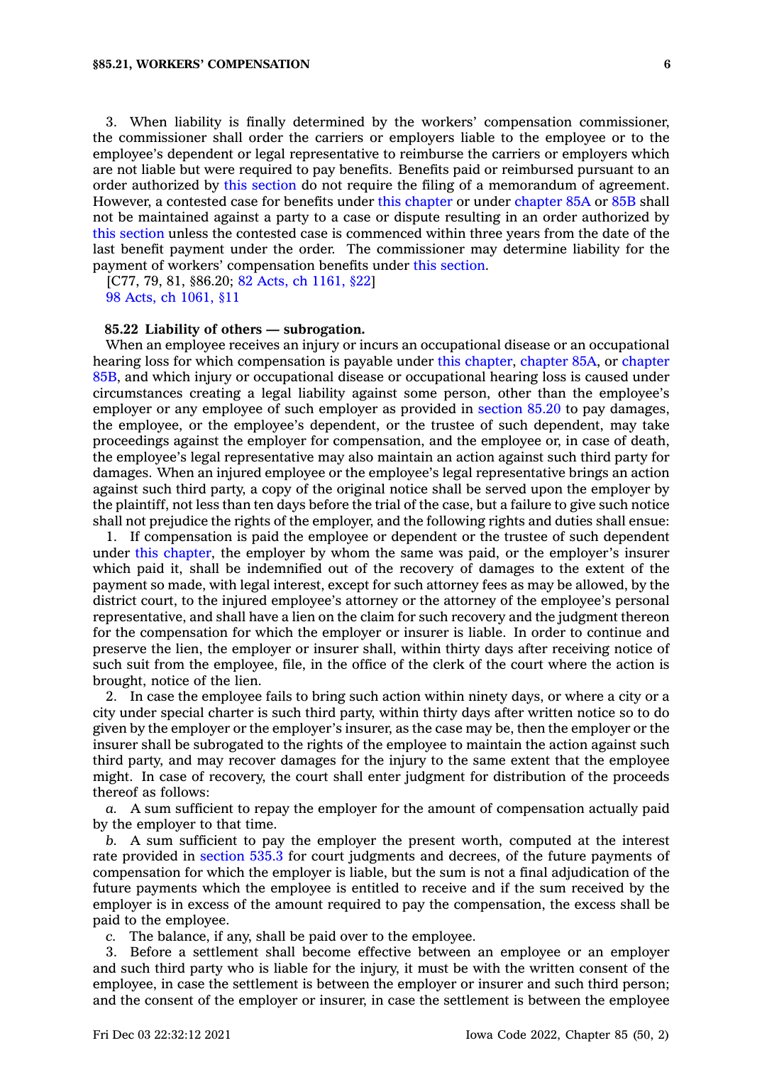3. When liability is finally determined by the workers' compensation commissioner, the commissioner shall order the carriers or employers liable to the employee or to the employee's dependent or legal representative to reimburse the carriers or employers which are not liable but were required to pay benefits. Benefits paid or reimbursed pursuant to an order authorized by this [section](https://www.legis.iowa.gov/docs/code/85.21.pdf) do not require the filing of <sup>a</sup> memorandum of agreement. However, <sup>a</sup> contested case for benefits under this [chapter](https://www.legis.iowa.gov/docs/code//85.pdf) or under [chapter](https://www.legis.iowa.gov/docs/code//85A.pdf) 85A or [85B](https://www.legis.iowa.gov/docs/code//85B.pdf) shall not be maintained against <sup>a</sup> party to <sup>a</sup> case or dispute resulting in an order authorized by this [section](https://www.legis.iowa.gov/docs/code/85.21.pdf) unless the contested case is commenced within three years from the date of the last benefit payment under the order. The commissioner may determine liability for the payment of workers' compensation benefits under this [section](https://www.legis.iowa.gov/docs/code/85.21.pdf).

[C77, 79, 81, §86.20; 82 Acts, ch [1161,](https://www.legis.iowa.gov/docs/acts/1982/CH1161.pdf) §22] 98 Acts, ch [1061,](https://www.legis.iowa.gov/docs/acts/1998/CH1061.pdf) §11

#### **85.22 Liability of others — subrogation.**

When an employee receives an injury or incurs an occupational disease or an occupational hearing loss for which compensation is payable under this [chapter](https://www.legis.iowa.gov/docs/code//85.pdf), [chapter](https://www.legis.iowa.gov/docs/code//85A.pdf) 85A, or [chapter](https://www.legis.iowa.gov/docs/code//85B.pdf) [85B](https://www.legis.iowa.gov/docs/code//85B.pdf), and which injury or occupational disease or occupational hearing loss is caused under circumstances creating <sup>a</sup> legal liability against some person, other than the employee's employer or any employee of such employer as provided in [section](https://www.legis.iowa.gov/docs/code/85.20.pdf) 85.20 to pay damages, the employee, or the employee's dependent, or the trustee of such dependent, may take proceedings against the employer for compensation, and the employee or, in case of death, the employee's legal representative may also maintain an action against such third party for damages. When an injured employee or the employee's legal representative brings an action against such third party, <sup>a</sup> copy of the original notice shall be served upon the employer by the plaintiff, not less than ten days before the trial of the case, but <sup>a</sup> failure to give such notice shall not prejudice the rights of the employer, and the following rights and duties shall ensue:

1. If compensation is paid the employee or dependent or the trustee of such dependent under this [chapter](https://www.legis.iowa.gov/docs/code//85.pdf), the employer by whom the same was paid, or the employer's insurer which paid it, shall be indemnified out of the recovery of damages to the extent of the payment so made, with legal interest, except for such attorney fees as may be allowed, by the district court, to the injured employee's attorney or the attorney of the employee's personal representative, and shall have <sup>a</sup> lien on the claim for such recovery and the judgment thereon for the compensation for which the employer or insurer is liable. In order to continue and preserve the lien, the employer or insurer shall, within thirty days after receiving notice of such suit from the employee, file, in the office of the clerk of the court where the action is brought, notice of the lien.

2. In case the employee fails to bring such action within ninety days, or where <sup>a</sup> city or <sup>a</sup> city under special charter is such third party, within thirty days after written notice so to do given by the employer or the employer's insurer, as the case may be, then the employer or the insurer shall be subrogated to the rights of the employee to maintain the action against such third party, and may recover damages for the injury to the same extent that the employee might. In case of recovery, the court shall enter judgment for distribution of the proceeds thereof as follows:

*a.* A sum sufficient to repay the employer for the amount of compensation actually paid by the employer to that time.

*b.* A sum sufficient to pay the employer the present worth, computed at the interest rate provided in [section](https://www.legis.iowa.gov/docs/code/535.3.pdf) 535.3 for court judgments and decrees, of the future payments of compensation for which the employer is liable, but the sum is not <sup>a</sup> final adjudication of the future payments which the employee is entitled to receive and if the sum received by the employer is in excess of the amount required to pay the compensation, the excess shall be paid to the employee.

*c.* The balance, if any, shall be paid over to the employee.

3. Before <sup>a</sup> settlement shall become effective between an employee or an employer and such third party who is liable for the injury, it must be with the written consent of the employee, in case the settlement is between the employer or insurer and such third person; and the consent of the employer or insurer, in case the settlement is between the employee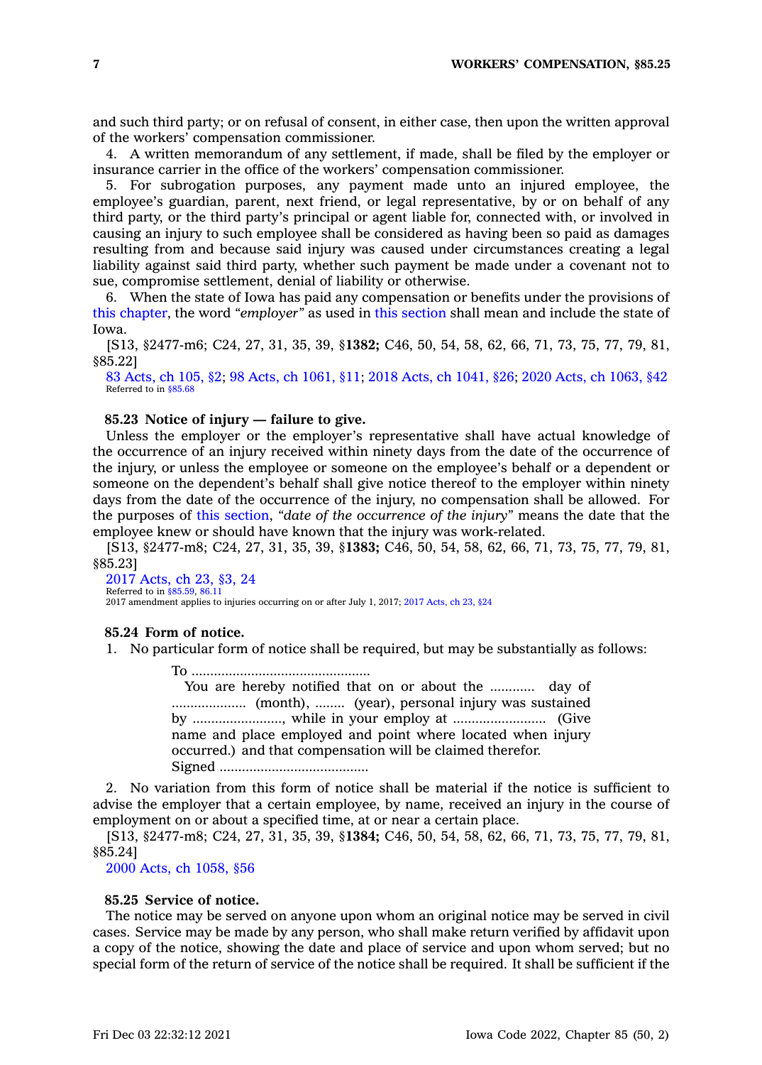and such third party; or on refusal of consent, in either case, then upon the written approval of the workers' compensation commissioner.

4. A written memorandum of any settlement, if made, shall be filed by the employer or insurance carrier in the office of the workers' compensation commissioner.

5. For subrogation purposes, any payment made unto an injured employee, the employee's guardian, parent, next friend, or legal representative, by or on behalf of any third party, or the third party's principal or agent liable for, connected with, or involved in causing an injury to such employee shall be considered as having been so paid as damages resulting from and because said injury was caused under circumstances creating <sup>a</sup> legal liability against said third party, whether such payment be made under <sup>a</sup> covenant not to sue, compromise settlement, denial of liability or otherwise.

6. When the state of Iowa has paid any compensation or benefits under the provisions of this [chapter](https://www.legis.iowa.gov/docs/code//85.pdf), the word *"employer"* as used in this [section](https://www.legis.iowa.gov/docs/code/85.22.pdf) shall mean and include the state of Iowa.

[S13, §2477-m6; C24, 27, 31, 35, 39, §**1382;** C46, 50, 54, 58, 62, 66, 71, 73, 75, 77, 79, 81, §85.22]

83 [Acts,](https://www.legis.iowa.gov/docs/acts/1983/CH0105.pdf) ch 105, §2; 98 Acts, ch [1061,](https://www.legis.iowa.gov/docs/acts/98/CH1061.pdf) §11; 2018 Acts, ch [1041,](https://www.legis.iowa.gov/docs/acts/2018/CH1041.pdf) §26; 2020 Acts, ch [1063,](https://www.legis.iowa.gov/docs/acts/2020/CH1063.pdf) §42 Referred to in [§85.68](https://www.legis.iowa.gov/docs/code/85.68.pdf)

### **85.23 Notice of injury — failure to give.**

Unless the employer or the employer's representative shall have actual knowledge of the occurrence of an injury received within ninety days from the date of the occurrence of the injury, or unless the employee or someone on the employee's behalf or <sup>a</sup> dependent or someone on the dependent's behalf shall give notice thereof to the employer within ninety days from the date of the occurrence of the injury, no compensation shall be allowed. For the purposes of this [section](https://www.legis.iowa.gov/docs/code/85.23.pdf), *"date of the occurrence of the injury"* means the date that the employee knew or should have known that the injury was work-related.

[S13, §2477-m8; C24, 27, 31, 35, 39, §**1383;** C46, 50, 54, 58, 62, 66, 71, 73, 75, 77, 79, 81, §85.23]

#### 2017 [Acts,](https://www.legis.iowa.gov/docs/acts/2017/CH0023.pdf) ch 23, §3, 24 Referred to in [§85.59](https://www.legis.iowa.gov/docs/code/85.59.pdf), [86.11](https://www.legis.iowa.gov/docs/code/86.11.pdf)

2017 amendment applies to injuries occurring on or after July 1, 2017; 2017 [Acts,](https://www.legis.iowa.gov/docs/acts/2017/CH23.pdf) ch 23, §24

### **85.24 Form of notice.**

1. No particular form of notice shall be required, but may be substantially as follows:

To ................................................

You are hereby notified that on or about the ............ day of .................... (month), ........ (year), personal injury was sustained by ........................, while in your employ at ......................... (Give name and place employed and point where located when injury occurred.) and that compensation will be claimed therefor. Signed ........................................

2. No variation from this form of notice shall be material if the notice is sufficient to advise the employer that <sup>a</sup> certain employee, by name, received an injury in the course of employment on or about <sup>a</sup> specified time, at or near <sup>a</sup> certain place.

[S13, §2477-m8; C24, 27, 31, 35, 39, §**1384;** C46, 50, 54, 58, 62, 66, 71, 73, 75, 77, 79, 81, §85.24]

2000 Acts, ch [1058,](https://www.legis.iowa.gov/docs/acts/2000/CH1058.pdf) §56

#### **85.25 Service of notice.**

The notice may be served on anyone upon whom an original notice may be served in civil cases. Service may be made by any person, who shall make return verified by affidavit upon <sup>a</sup> copy of the notice, showing the date and place of service and upon whom served; but no special form of the return of service of the notice shall be required. It shall be sufficient if the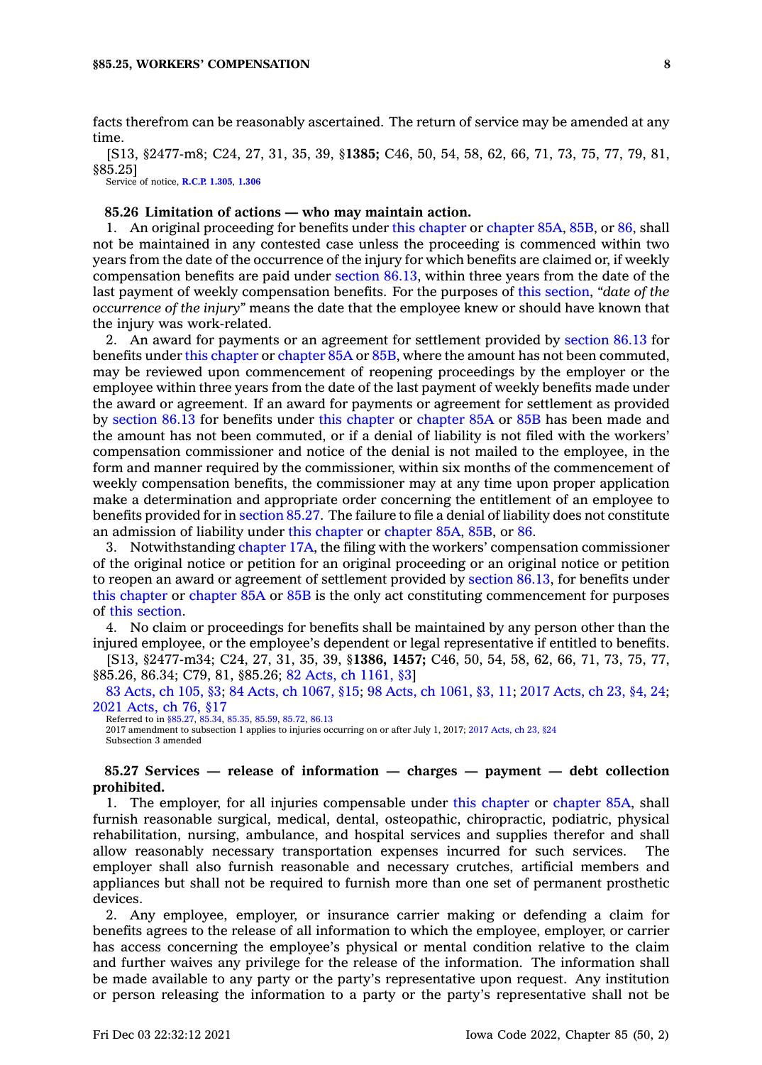facts therefrom can be reasonably ascertained. The return of service may be amended at any time.

[S13, §2477-m8; C24, 27, 31, 35, 39, §**1385;** C46, 50, 54, 58, 62, 66, 71, 73, 75, 77, 79, 81, §85.25]

Service of notice, **[R.C.P.](https://www.legis.iowa.gov/docs/ACO/CourtRulesChapter/1.pdf) 1.305**, **[1.306](https://www.legis.iowa.gov/docs/ACO/CourtRulesChapter/1.pdf)**

#### **85.26 Limitation of actions — who may maintain action.**

1. An original proceeding for benefits under this [chapter](https://www.legis.iowa.gov/docs/code//85.pdf) or [chapter](https://www.legis.iowa.gov/docs/code//85A.pdf) 85A, [85B](https://www.legis.iowa.gov/docs/code//85B.pdf), or [86](https://www.legis.iowa.gov/docs/code//86.pdf), shall not be maintained in any contested case unless the proceeding is commenced within two years from the date of the occurrence of the injury for which benefits are claimed or, if weekly compensation benefits are paid under [section](https://www.legis.iowa.gov/docs/code/86.13.pdf) 86.13, within three years from the date of the last payment of weekly compensation benefits. For the purposes of this [section](https://www.legis.iowa.gov/docs/code/85.26.pdf), *"date of the occurrence of the injury"* means the date that the employee knew or should have known that the injury was work-related.

2. An award for payments or an agreement for settlement provided by [section](https://www.legis.iowa.gov/docs/code/86.13.pdf) 86.13 for benefits under this [chapter](https://www.legis.iowa.gov/docs/code//85.pdf) or [chapter](https://www.legis.iowa.gov/docs/code//85A.pdf) 85A or [85B](https://www.legis.iowa.gov/docs/code//85B.pdf), where the amount has not been commuted, may be reviewed upon commencement of reopening proceedings by the employer or the employee within three years from the date of the last payment of weekly benefits made under the award or agreement. If an award for payments or agreement for settlement as provided by [section](https://www.legis.iowa.gov/docs/code/86.13.pdf) 86.13 for benefits under this [chapter](https://www.legis.iowa.gov/docs/code//85.pdf) or [chapter](https://www.legis.iowa.gov/docs/code//85A.pdf) 85A or [85B](https://www.legis.iowa.gov/docs/code//85B.pdf) has been made and the amount has not been commuted, or if <sup>a</sup> denial of liability is not filed with the workers' compensation commissioner and notice of the denial is not mailed to the employee, in the form and manner required by the commissioner, within six months of the commencement of weekly compensation benefits, the commissioner may at any time upon proper application make <sup>a</sup> determination and appropriate order concerning the entitlement of an employee to benefits provided for in [section](https://www.legis.iowa.gov/docs/code/85.27.pdf) 85.27. The failure to file <sup>a</sup> denial of liability does not constitute an admission of liability under this [chapter](https://www.legis.iowa.gov/docs/code//85.pdf) or [chapter](https://www.legis.iowa.gov/docs/code//85A.pdf) 85A, [85B](https://www.legis.iowa.gov/docs/code//85B.pdf), or [86](https://www.legis.iowa.gov/docs/code//86.pdf).

3. Notwithstanding [chapter](https://www.legis.iowa.gov/docs/code//17A.pdf) 17A, the filing with the workers' compensation commissioner of the original notice or petition for an original proceeding or an original notice or petition to reopen an award or agreement of settlement provided by [section](https://www.legis.iowa.gov/docs/code/86.13.pdf) 86.13, for benefits under this [chapter](https://www.legis.iowa.gov/docs/code//85.pdf) or [chapter](https://www.legis.iowa.gov/docs/code//85A.pdf) 85A or [85B](https://www.legis.iowa.gov/docs/code//85B.pdf) is the only act constituting commencement for purposes of this [section](https://www.legis.iowa.gov/docs/code/85.26.pdf).

4. No claim or proceedings for benefits shall be maintained by any person other than the injured employee, or the employee's dependent or legal representative if entitled to benefits.

[S13, §2477-m34; C24, 27, 31, 35, 39, §**1386, 1457;** C46, 50, 54, 58, 62, 66, 71, 73, 75, 77, §85.26, 86.34; C79, 81, §85.26; 82 Acts, ch [1161,](https://www.legis.iowa.gov/docs/acts/1982/CH1161.pdf) §3]

83 [Acts,](https://www.legis.iowa.gov/docs/acts/1983/CH0105.pdf) ch 105, §3; 84 Acts, ch [1067,](https://www.legis.iowa.gov/docs/acts/84/CH1067.pdf) §15; 98 Acts, ch [1061,](https://www.legis.iowa.gov/docs/acts/98/CH1061.pdf) §3, 11; 2017 [Acts,](https://www.legis.iowa.gov/docs/acts/2017/CH0023.pdf) ch 23, §4, 24; 2021 [Acts,](https://www.legis.iowa.gov/docs/acts/2021/CH0076.pdf) ch 76, §17

Referred to in [§85.27](https://www.legis.iowa.gov/docs/code/85.27.pdf), [85.34](https://www.legis.iowa.gov/docs/code/85.34.pdf), [85.35](https://www.legis.iowa.gov/docs/code/85.35.pdf), [85.59](https://www.legis.iowa.gov/docs/code/85.59.pdf), [85.72](https://www.legis.iowa.gov/docs/code/85.72.pdf), [86.13](https://www.legis.iowa.gov/docs/code/86.13.pdf) 2017 amendment to subsection 1 applies to injuries occurring on or after July 1, 2017; 2017 [Acts,](https://www.legis.iowa.gov/docs/acts/2017/CH23.pdf) ch 23, §24 Subsection 3 amended

### **85.27 Services — release of information — charges — payment — debt collection prohibited.**

1. The employer, for all injuries compensable under this [chapter](https://www.legis.iowa.gov/docs/code//85.pdf) or [chapter](https://www.legis.iowa.gov/docs/code//85A.pdf) 85A, shall furnish reasonable surgical, medical, dental, osteopathic, chiropractic, podiatric, physical rehabilitation, nursing, ambulance, and hospital services and supplies therefor and shall allow reasonably necessary transportation expenses incurred for such services. The employer shall also furnish reasonable and necessary crutches, artificial members and appliances but shall not be required to furnish more than one set of permanent prosthetic devices.

2. Any employee, employer, or insurance carrier making or defending <sup>a</sup> claim for benefits agrees to the release of all information to which the employee, employer, or carrier has access concerning the employee's physical or mental condition relative to the claim and further waives any privilege for the release of the information. The information shall be made available to any party or the party's representative upon request. Any institution or person releasing the information to <sup>a</sup> party or the party's representative shall not be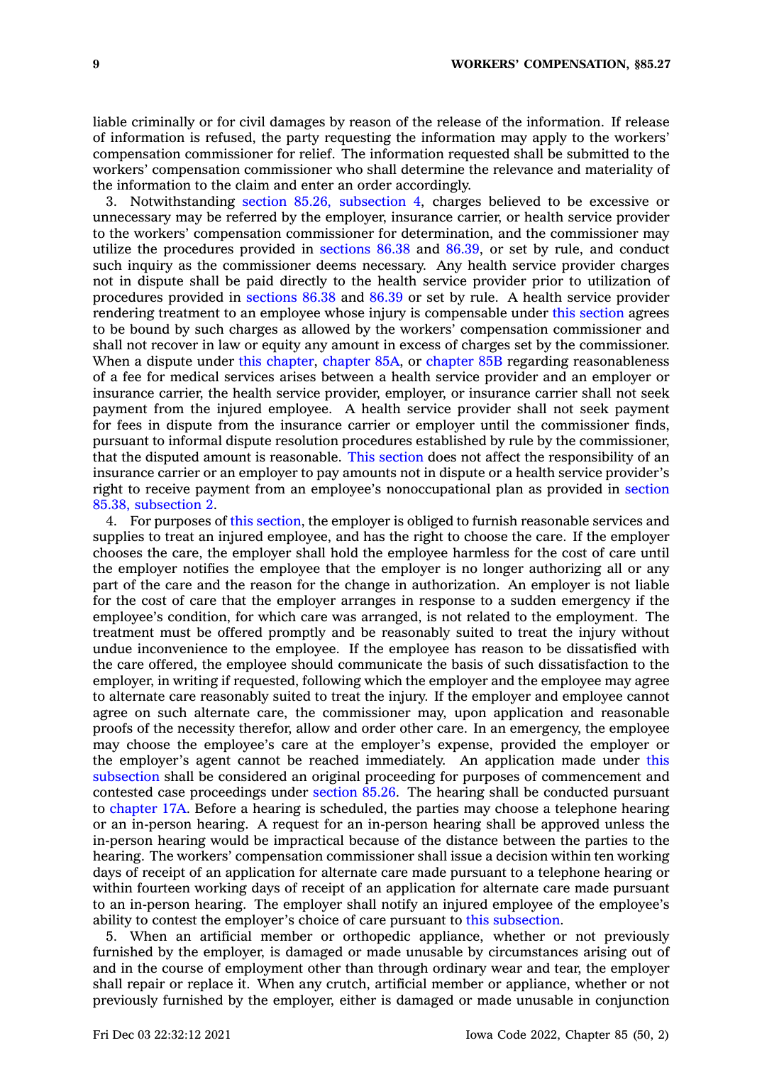liable criminally or for civil damages by reason of the release of the information. If release of information is refused, the party requesting the information may apply to the workers' compensation commissioner for relief. The information requested shall be submitted to the workers' compensation commissioner who shall determine the relevance and materiality of the information to the claim and enter an order accordingly.

3. Notwithstanding section 85.26, [subsection](https://www.legis.iowa.gov/docs/code/85.26.pdf) 4, charges believed to be excessive or unnecessary may be referred by the employer, insurance carrier, or health service provider to the workers' compensation commissioner for determination, and the commissioner may utilize the procedures provided in [sections](https://www.legis.iowa.gov/docs/code/86.38.pdf) 86.38 and [86.39](https://www.legis.iowa.gov/docs/code/86.39.pdf), or set by rule, and conduct such inquiry as the commissioner deems necessary. Any health service provider charges not in dispute shall be paid directly to the health service provider prior to utilization of procedures provided in [sections](https://www.legis.iowa.gov/docs/code/86.38.pdf) 86.38 and [86.39](https://www.legis.iowa.gov/docs/code/86.39.pdf) or set by rule. A health service provider rendering treatment to an employee whose injury is compensable under this [section](https://www.legis.iowa.gov/docs/code/85.27.pdf) agrees to be bound by such charges as allowed by the workers' compensation commissioner and shall not recover in law or equity any amount in excess of charges set by the commissioner. When a dispute under this [chapter](https://www.legis.iowa.gov/docs/code//85B.pdf), chapter 85A, or chapter 85B regarding reasonableness of <sup>a</sup> fee for medical services arises between <sup>a</sup> health service provider and an employer or insurance carrier, the health service provider, employer, or insurance carrier shall not seek payment from the injured employee. A health service provider shall not seek payment for fees in dispute from the insurance carrier or employer until the commissioner finds, pursuant to informal dispute resolution procedures established by rule by the commissioner, that the disputed amount is reasonable. This [section](https://www.legis.iowa.gov/docs/code/85.27.pdf) does not affect the responsibility of an insurance carrier or an employer to pay amounts not in dispute or <sup>a</sup> health service provider's right to receive payment from an employee's nonoccupational plan as provided in [section](https://www.legis.iowa.gov/docs/code/85.38.pdf) 85.38, [subsection](https://www.legis.iowa.gov/docs/code/85.38.pdf) 2.

4. For purposes of this [section](https://www.legis.iowa.gov/docs/code/85.27.pdf), the employer is obliged to furnish reasonable services and supplies to treat an injured employee, and has the right to choose the care. If the employer chooses the care, the employer shall hold the employee harmless for the cost of care until the employer notifies the employee that the employer is no longer authorizing all or any part of the care and the reason for the change in authorization. An employer is not liable for the cost of care that the employer arranges in response to <sup>a</sup> sudden emergency if the employee's condition, for which care was arranged, is not related to the employment. The treatment must be offered promptly and be reasonably suited to treat the injury without undue inconvenience to the employee. If the employee has reason to be dissatisfied with the care offered, the employee should communicate the basis of such dissatisfaction to the employer, in writing if requested, following which the employer and the employee may agree to alternate care reasonably suited to treat the injury. If the employer and employee cannot agree on such alternate care, the commissioner may, upon application and reasonable proofs of the necessity therefor, allow and order other care. In an emergency, the employee may choose the employee's care at the employer's expense, provided the employer or the employer's agent cannot be reached immediately. An application made under [this](https://www.legis.iowa.gov/docs/code/85.27.pdf) [subsection](https://www.legis.iowa.gov/docs/code/85.27.pdf) shall be considered an original proceeding for purposes of commencement and contested case proceedings under [section](https://www.legis.iowa.gov/docs/code/85.26.pdf) 85.26. The hearing shall be conducted pursuant to [chapter](https://www.legis.iowa.gov/docs/code//17A.pdf) 17A. Before <sup>a</sup> hearing is scheduled, the parties may choose <sup>a</sup> telephone hearing or an in-person hearing. A request for an in-person hearing shall be approved unless the in-person hearing would be impractical because of the distance between the parties to the hearing. The workers' compensation commissioner shall issue <sup>a</sup> decision within ten working days of receipt of an application for alternate care made pursuant to <sup>a</sup> telephone hearing or within fourteen working days of receipt of an application for alternate care made pursuant to an in-person hearing. The employer shall notify an injured employee of the employee's ability to contest the employer's choice of care pursuant to this [subsection](https://www.legis.iowa.gov/docs/code/85.27.pdf).

5. When an artificial member or orthopedic appliance, whether or not previously furnished by the employer, is damaged or made unusable by circumstances arising out of and in the course of employment other than through ordinary wear and tear, the employer shall repair or replace it. When any crutch, artificial member or appliance, whether or not previously furnished by the employer, either is damaged or made unusable in conjunction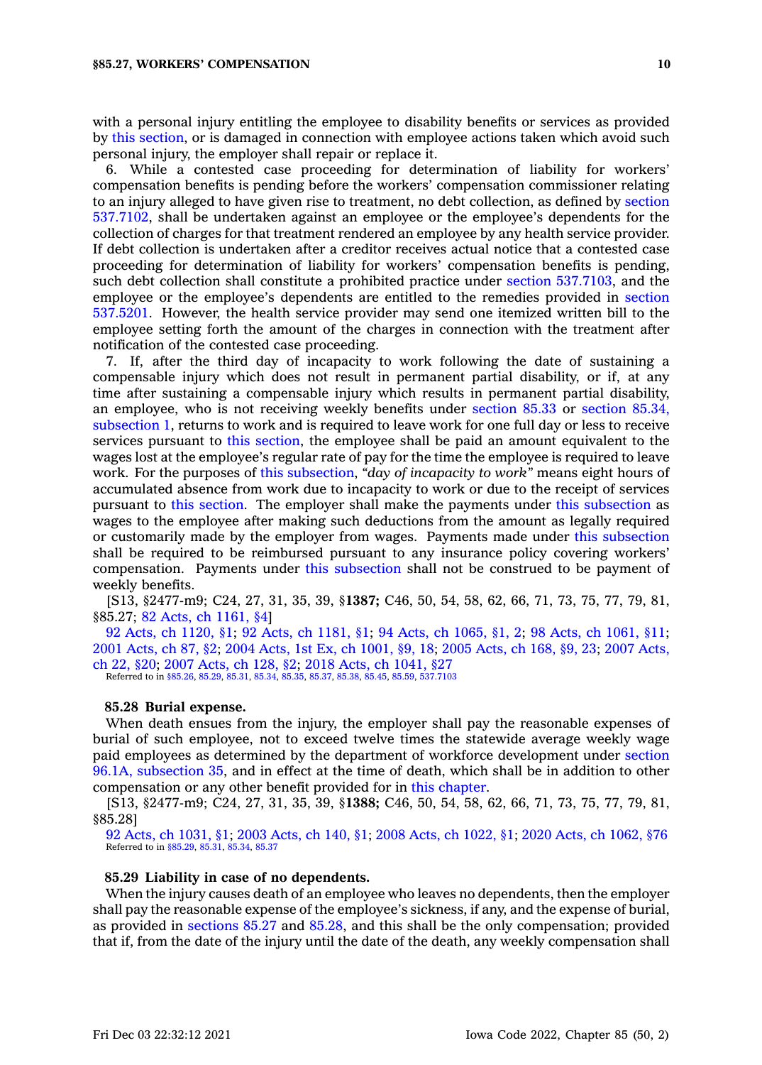with <sup>a</sup> personal injury entitling the employee to disability benefits or services as provided by this [section](https://www.legis.iowa.gov/docs/code/85.27.pdf), or is damaged in connection with employee actions taken which avoid such personal injury, the employer shall repair or replace it.

6. While <sup>a</sup> contested case proceeding for determination of liability for workers' compensation benefits is pending before the workers' compensation commissioner relating to an injury alleged to have given rise to treatment, no debt collection, as defined by [section](https://www.legis.iowa.gov/docs/code/537.7102.pdf) [537.7102](https://www.legis.iowa.gov/docs/code/537.7102.pdf), shall be undertaken against an employee or the employee's dependents for the collection of charges for that treatment rendered an employee by any health service provider. If debt collection is undertaken after <sup>a</sup> creditor receives actual notice that <sup>a</sup> contested case proceeding for determination of liability for workers' compensation benefits is pending, such debt collection shall constitute <sup>a</sup> prohibited practice under section [537.7103](https://www.legis.iowa.gov/docs/code/537.7103.pdf), and the employee or the employee's dependents are entitled to the remedies provided in [section](https://www.legis.iowa.gov/docs/code/537.5201.pdf) [537.5201](https://www.legis.iowa.gov/docs/code/537.5201.pdf). However, the health service provider may send one itemized written bill to the employee setting forth the amount of the charges in connection with the treatment after notification of the contested case proceeding.

7. If, after the third day of incapacity to work following the date of sustaining <sup>a</sup> compensable injury which does not result in permanent partial disability, or if, at any time after sustaining <sup>a</sup> compensable injury which results in permanent partial disability, an employee, who is not receiving weekly benefits under [section](https://www.legis.iowa.gov/docs/code/85.33.pdf) 85.33 or [section](https://www.legis.iowa.gov/docs/code/85.34.pdf) 85.34, [subsection](https://www.legis.iowa.gov/docs/code/85.34.pdf) 1, returns to work and is required to leave work for one full day or less to receive services pursuant to this [section](https://www.legis.iowa.gov/docs/code/85.27.pdf), the employee shall be paid an amount equivalent to the wages lost at the employee's regular rate of pay for the time the employee is required to leave work. For the purposes of this [subsection](https://www.legis.iowa.gov/docs/code/85.27.pdf), *"day of incapacity to work"* means eight hours of accumulated absence from work due to incapacity to work or due to the receipt of services pursuant to this [section](https://www.legis.iowa.gov/docs/code/85.27.pdf). The employer shall make the payments under this [subsection](https://www.legis.iowa.gov/docs/code/85.27.pdf) as wages to the employee after making such deductions from the amount as legally required or customarily made by the employer from wages. Payments made under this [subsection](https://www.legis.iowa.gov/docs/code/85.27.pdf) shall be required to be reimbursed pursuant to any insurance policy covering workers' compensation. Payments under this [subsection](https://www.legis.iowa.gov/docs/code/85.27.pdf) shall not be construed to be payment of weekly benefits.

[S13, §2477-m9; C24, 27, 31, 35, 39, §**1387;** C46, 50, 54, 58, 62, 66, 71, 73, 75, 77, 79, 81, §85.27; 82 Acts, ch [1161,](https://www.legis.iowa.gov/docs/acts/1982/CH1161.pdf) §4]

92 Acts, ch [1120,](https://www.legis.iowa.gov/docs/acts/1992/CH1120.pdf) §1; 92 Acts, ch [1181,](https://www.legis.iowa.gov/docs/acts/92/CH1181.pdf) §1; 94 Acts, ch [1065,](https://www.legis.iowa.gov/docs/acts/94/CH1065.pdf) §1, 2; 98 Acts, ch [1061,](https://www.legis.iowa.gov/docs/acts/98/CH1061.pdf) §11; 2001 [Acts,](https://www.legis.iowa.gov/docs/acts/2001/CH0087.pdf) ch 87, §2; 2004 Acts, 1st Ex, ch [1001,](https://www.legis.iowa.gov/docs/acts/2004/CH1001.pdf) §9, 18; 2005 [Acts,](https://www.legis.iowa.gov/docs/acts/2005/CH0168.pdf) ch 168, §9, 23; 2007 [Acts,](https://www.legis.iowa.gov/docs/acts/2007/CH0022.pdf) ch 22, [§20](https://www.legis.iowa.gov/docs/acts/2007/CH0022.pdf); 2007 [Acts,](https://www.legis.iowa.gov/docs/acts/2007/CH0128.pdf) ch 128, §2; 2018 Acts, ch [1041,](https://www.legis.iowa.gov/docs/acts/2018/CH1041.pdf) §27 Referred to in [§85.26](https://www.legis.iowa.gov/docs/code/85.26.pdf), [85.29](https://www.legis.iowa.gov/docs/code/85.29.pdf), [85.31,](https://www.legis.iowa.gov/docs/code/85.31.pdf) [85.34,](https://www.legis.iowa.gov/docs/code/85.34.pdf) [85.35](https://www.legis.iowa.gov/docs/code/85.35.pdf), [85.37](https://www.legis.iowa.gov/docs/code/85.37.pdf), [85.38](https://www.legis.iowa.gov/docs/code/85.38.pdf), [85.45](https://www.legis.iowa.gov/docs/code/85.45.pdf), [85.59](https://www.legis.iowa.gov/docs/code/85.59.pdf), [537.7103](https://www.legis.iowa.gov/docs/code/537.7103.pdf)

#### **85.28 Burial expense.**

When death ensues from the injury, the employer shall pay the reasonable expenses of burial of such employee, not to exceed twelve times the statewide average weekly wage paid employees as determined by the department of workforce development under [section](https://www.legis.iowa.gov/docs/code/96.1A.pdf) 96.1A, [subsection](https://www.legis.iowa.gov/docs/code/96.1A.pdf) 35, and in effect at the time of death, which shall be in addition to other compensation or any other benefit provided for in this [chapter](https://www.legis.iowa.gov/docs/code//85.pdf).

[S13, §2477-m9; C24, 27, 31, 35, 39, §**1388;** C46, 50, 54, 58, 62, 66, 71, 73, 75, 77, 79, 81, §85.28]

92 Acts, ch [1031,](https://www.legis.iowa.gov/docs/acts/1992/CH1031.pdf) §1; 2003 [Acts,](https://www.legis.iowa.gov/docs/acts/2003/CH0140.pdf) ch 140, §1; 2008 Acts, ch [1022,](https://www.legis.iowa.gov/docs/acts/2008/CH1022.pdf) §1; 2020 Acts, ch [1062,](https://www.legis.iowa.gov/docs/acts/2020/CH1062.pdf) §76 Referred to in [§85.29](https://www.legis.iowa.gov/docs/code/85.29.pdf), [85.31](https://www.legis.iowa.gov/docs/code/85.31.pdf), [85.34](https://www.legis.iowa.gov/docs/code/85.34.pdf), [85.37](https://www.legis.iowa.gov/docs/code/85.37.pdf)

### **85.29 Liability in case of no dependents.**

When the injury causes death of an employee who leaves no dependents, then the employer shall pay the reasonable expense of the employee's sickness, if any, and the expense of burial, as provided in [sections](https://www.legis.iowa.gov/docs/code/85.27.pdf) 85.27 and [85.28](https://www.legis.iowa.gov/docs/code/85.28.pdf), and this shall be the only compensation; provided that if, from the date of the injury until the date of the death, any weekly compensation shall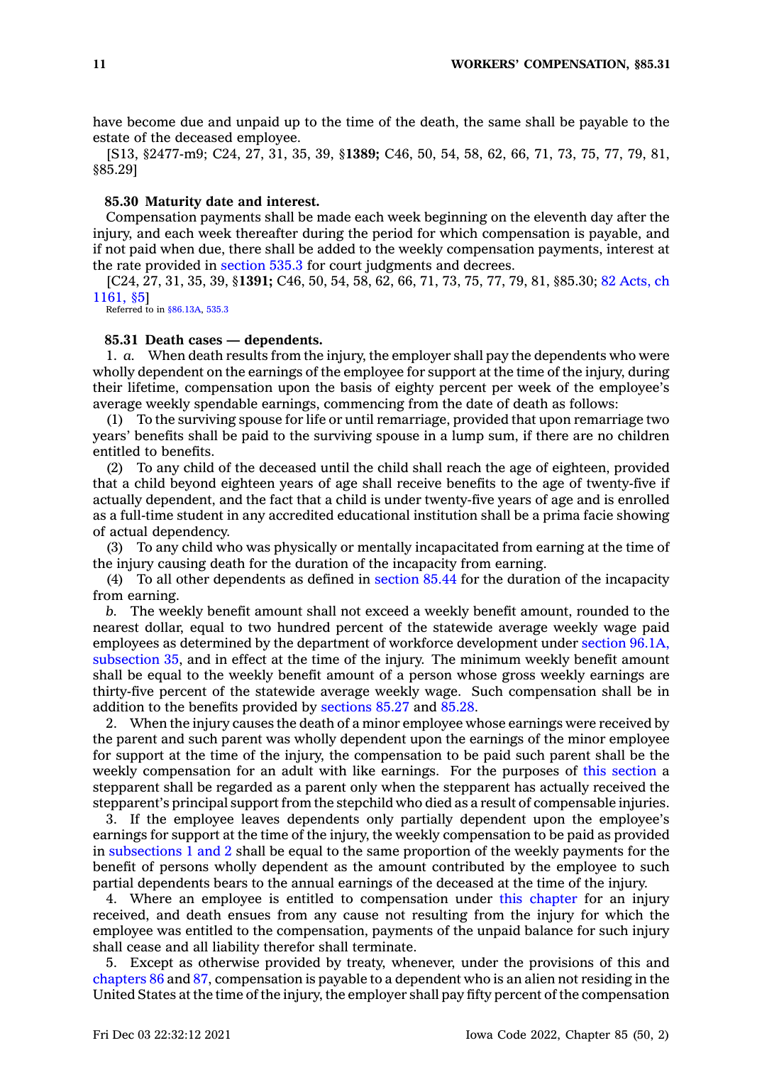have become due and unpaid up to the time of the death, the same shall be payable to the estate of the deceased employee.

[S13, §2477-m9; C24, 27, 31, 35, 39, §**1389;** C46, 50, 54, 58, 62, 66, 71, 73, 75, 77, 79, 81, §85.29]

### **85.30 Maturity date and interest.**

Compensation payments shall be made each week beginning on the eleventh day after the injury, and each week thereafter during the period for which compensation is payable, and if not paid when due, there shall be added to the weekly compensation payments, interest at the rate provided in [section](https://www.legis.iowa.gov/docs/code/535.3.pdf) 535.3 for court judgments and decrees.

[C24, 27, 31, 35, 39, §**1391;** C46, 50, 54, 58, 62, 66, 71, 73, 75, 77, 79, 81, §85.30; 82 [Acts,](https://www.legis.iowa.gov/docs/acts/1982/CH1161.pdf) ch [1161,](https://www.legis.iowa.gov/docs/acts/1982/CH1161.pdf) §5]

Referred to in [§86.13A](https://www.legis.iowa.gov/docs/code/86.13A.pdf), [535.3](https://www.legis.iowa.gov/docs/code/535.3.pdf)

### **85.31 Death cases — dependents.**

1. *a.* When death results from the injury, the employer shall pay the dependents who were wholly dependent on the earnings of the employee for support at the time of the injury, during their lifetime, compensation upon the basis of eighty percent per week of the employee's average weekly spendable earnings, commencing from the date of death as follows:

(1) To the surviving spouse for life or until remarriage, provided that upon remarriage two years' benefits shall be paid to the surviving spouse in <sup>a</sup> lump sum, if there are no children entitled to benefits.

(2) To any child of the deceased until the child shall reach the age of eighteen, provided that <sup>a</sup> child beyond eighteen years of age shall receive benefits to the age of twenty-five if actually dependent, and the fact that <sup>a</sup> child is under twenty-five years of age and is enrolled as <sup>a</sup> full-time student in any accredited educational institution shall be <sup>a</sup> prima facie showing of actual dependency.

(3) To any child who was physically or mentally incapacitated from earning at the time of the injury causing death for the duration of the incapacity from earning.

(4) To all other dependents as defined in [section](https://www.legis.iowa.gov/docs/code/85.44.pdf) 85.44 for the duration of the incapacity from earning.

*b.* The weekly benefit amount shall not exceed <sup>a</sup> weekly benefit amount, rounded to the nearest dollar, equal to two hundred percent of the statewide average weekly wage paid employees as determined by the department of workforce development under section [96.1A,](https://www.legis.iowa.gov/docs/code/96.1A.pdf) [subsection](https://www.legis.iowa.gov/docs/code/96.1A.pdf) 35, and in effect at the time of the injury. The minimum weekly benefit amount shall be equal to the weekly benefit amount of <sup>a</sup> person whose gross weekly earnings are thirty-five percent of the statewide average weekly wage. Such compensation shall be in addition to the benefits provided by [sections](https://www.legis.iowa.gov/docs/code/85.27.pdf) 85.27 and [85.28](https://www.legis.iowa.gov/docs/code/85.28.pdf).

2. When the injury causes the death of <sup>a</sup> minor employee whose earnings were received by the parent and such parent was wholly dependent upon the earnings of the minor employee for support at the time of the injury, the compensation to be paid such parent shall be the weekly compensation for an adult with like earnings. For the purposes of this [section](https://www.legis.iowa.gov/docs/code/85.31.pdf) <sup>a</sup> stepparent shall be regarded as <sup>a</sup> parent only when the stepparent has actually received the stepparent's principal support from the stepchild who died as <sup>a</sup> result of compensable injuries.

3. If the employee leaves dependents only partially dependent upon the employee's earnings for support at the time of the injury, the weekly compensation to be paid as provided in [subsections](https://www.legis.iowa.gov/docs/code/85.31.pdf) 1 and 2 shall be equal to the same proportion of the weekly payments for the benefit of persons wholly dependent as the amount contributed by the employee to such partial dependents bears to the annual earnings of the deceased at the time of the injury.

4. Where an employee is entitled to compensation under this [chapter](https://www.legis.iowa.gov/docs/code//85.pdf) for an injury received, and death ensues from any cause not resulting from the injury for which the employee was entitled to the compensation, payments of the unpaid balance for such injury shall cease and all liability therefor shall terminate.

5. Except as otherwise provided by treaty, whenever, under the provisions of this and [chapters](https://www.legis.iowa.gov/docs/code//86.pdf) 86 and [87](https://www.legis.iowa.gov/docs/code//87.pdf), compensation is payable to <sup>a</sup> dependent who is an alien not residing in the United States at the time of the injury, the employer shall pay fifty percent of the compensation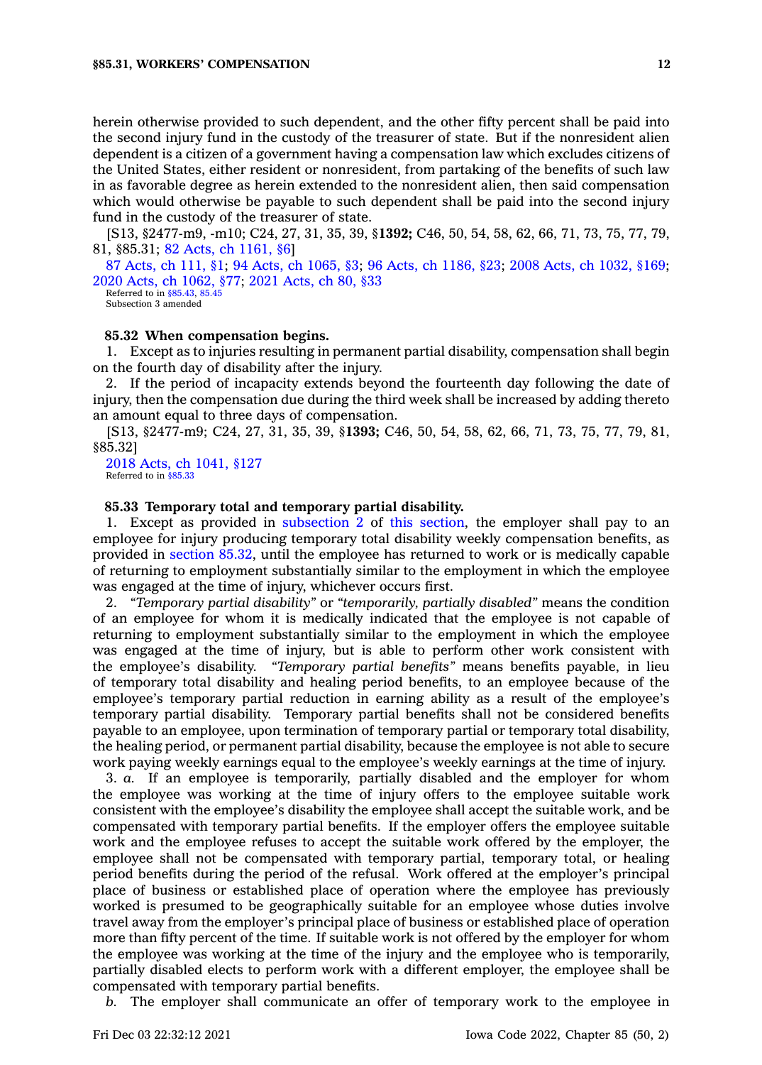herein otherwise provided to such dependent, and the other fifty percent shall be paid into the second injury fund in the custody of the treasurer of state. But if the nonresident alien dependent is <sup>a</sup> citizen of <sup>a</sup> government having <sup>a</sup> compensation law which excludes citizens of the United States, either resident or nonresident, from partaking of the benefits of such law in as favorable degree as herein extended to the nonresident alien, then said compensation which would otherwise be payable to such dependent shall be paid into the second injury fund in the custody of the treasurer of state.

[S13, §2477-m9, -m10; C24, 27, 31, 35, 39, §**1392;** C46, 50, 54, 58, 62, 66, 71, 73, 75, 77, 79, 81, §85.31; 82 Acts, ch [1161,](https://www.legis.iowa.gov/docs/acts/1982/CH1161.pdf) §6]

87 [Acts,](https://www.legis.iowa.gov/docs/acts/1987/CH0111.pdf) ch 111, §1; 94 Acts, ch [1065,](https://www.legis.iowa.gov/docs/acts/94/CH1065.pdf) §3; 96 Acts, ch [1186,](https://www.legis.iowa.gov/docs/acts/96/CH1186.pdf) §23; 2008 Acts, ch [1032,](https://www.legis.iowa.gov/docs/acts/2008/CH1032.pdf) §169; 2020 Acts, ch [1062,](https://www.legis.iowa.gov/docs/acts/2020/CH1062.pdf) §77; 2021 [Acts,](https://www.legis.iowa.gov/docs/acts/2021/CH0080.pdf) ch 80, §33

Referred to in [§85.43](https://www.legis.iowa.gov/docs/code/85.43.pdf), [85.45](https://www.legis.iowa.gov/docs/code/85.45.pdf) Subsection 3 amended

### **85.32 When compensation begins.**

1. Except as to injuries resulting in permanent partial disability, compensation shall begin on the fourth day of disability after the injury.

2. If the period of incapacity extends beyond the fourteenth day following the date of injury, then the compensation due during the third week shall be increased by adding thereto an amount equal to three days of compensation.

[S13, §2477-m9; C24, 27, 31, 35, 39, §**1393;** C46, 50, 54, 58, 62, 66, 71, 73, 75, 77, 79, 81, §85.32]

2018 Acts, ch [1041,](https://www.legis.iowa.gov/docs/acts/2018/CH1041.pdf) §127 Referred to in [§85.33](https://www.legis.iowa.gov/docs/code/85.33.pdf)

#### **85.33 Temporary total and temporary partial disability.**

1. Except as provided in [subsection](https://www.legis.iowa.gov/docs/code/85.33.pdf) 2 of this [section](https://www.legis.iowa.gov/docs/code/85.33.pdf), the employer shall pay to an employee for injury producing temporary total disability weekly compensation benefits, as provided in [section](https://www.legis.iowa.gov/docs/code/85.32.pdf) 85.32, until the employee has returned to work or is medically capable of returning to employment substantially similar to the employment in which the employee was engaged at the time of injury, whichever occurs first.

2. *"Temporary partial disability"* or *"temporarily, partially disabled"* means the condition of an employee for whom it is medically indicated that the employee is not capable of returning to employment substantially similar to the employment in which the employee was engaged at the time of injury, but is able to perform other work consistent with the employee's disability. *"Temporary partial benefits"* means benefits payable, in lieu of temporary total disability and healing period benefits, to an employee because of the employee's temporary partial reduction in earning ability as <sup>a</sup> result of the employee's temporary partial disability. Temporary partial benefits shall not be considered benefits payable to an employee, upon termination of temporary partial or temporary total disability, the healing period, or permanent partial disability, because the employee is not able to secure work paying weekly earnings equal to the employee's weekly earnings at the time of injury.

3. *a.* If an employee is temporarily, partially disabled and the employer for whom the employee was working at the time of injury offers to the employee suitable work consistent with the employee's disability the employee shall accept the suitable work, and be compensated with temporary partial benefits. If the employer offers the employee suitable work and the employee refuses to accept the suitable work offered by the employer, the employee shall not be compensated with temporary partial, temporary total, or healing period benefits during the period of the refusal. Work offered at the employer's principal place of business or established place of operation where the employee has previously worked is presumed to be geographically suitable for an employee whose duties involve travel away from the employer's principal place of business or established place of operation more than fifty percent of the time. If suitable work is not offered by the employer for whom the employee was working at the time of the injury and the employee who is temporarily, partially disabled elects to perform work with <sup>a</sup> different employer, the employee shall be compensated with temporary partial benefits.

*b.* The employer shall communicate an offer of temporary work to the employee in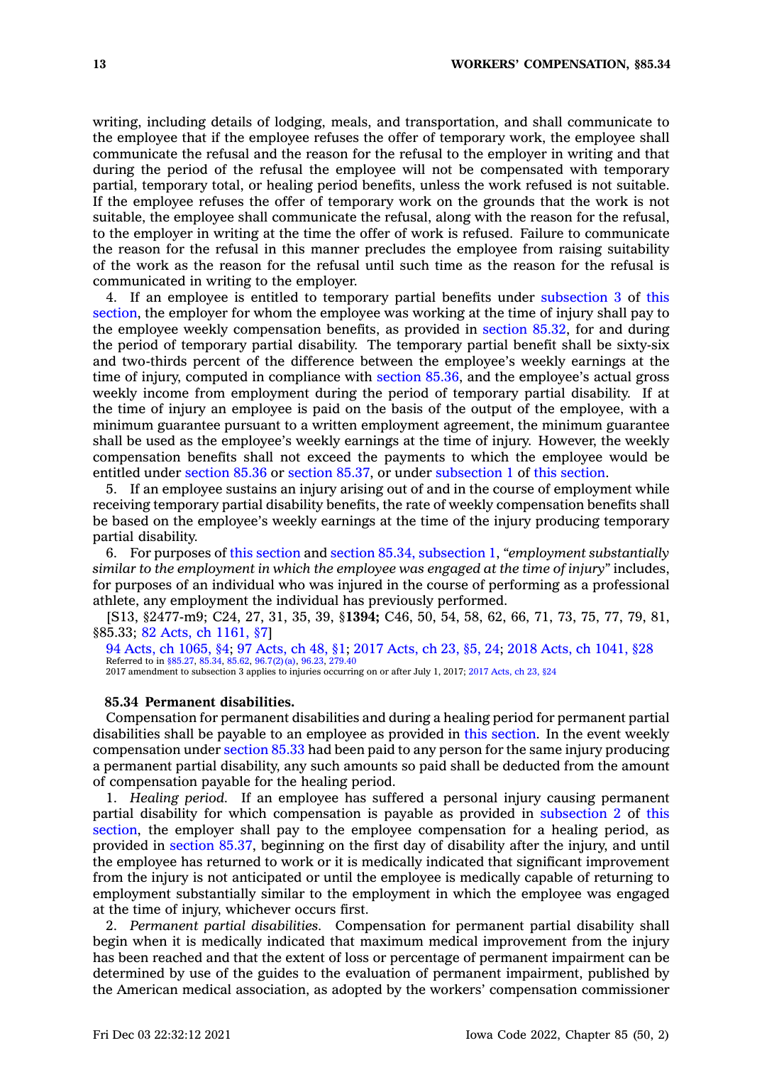writing, including details of lodging, meals, and transportation, and shall communicate to the employee that if the employee refuses the offer of temporary work, the employee shall communicate the refusal and the reason for the refusal to the employer in writing and that during the period of the refusal the employee will not be compensated with temporary partial, temporary total, or healing period benefits, unless the work refused is not suitable. If the employee refuses the offer of temporary work on the grounds that the work is not suitable, the employee shall communicate the refusal, along with the reason for the refusal, to the employer in writing at the time the offer of work is refused. Failure to communicate the reason for the refusal in this manner precludes the employee from raising suitability of the work as the reason for the refusal until such time as the reason for the refusal is communicated in writing to the employer.

4. If an employee is entitled to temporary partial benefits under [subsection](https://www.legis.iowa.gov/docs/code/85.33.pdf) 3 of [this](https://www.legis.iowa.gov/docs/code/85.33.pdf) [section](https://www.legis.iowa.gov/docs/code/85.33.pdf), the employer for whom the employee was working at the time of injury shall pay to the employee weekly compensation benefits, as provided in [section](https://www.legis.iowa.gov/docs/code/85.32.pdf) 85.32, for and during the period of temporary partial disability. The temporary partial benefit shall be sixty-six and two-thirds percent of the difference between the employee's weekly earnings at the time of injury, computed in compliance with [section](https://www.legis.iowa.gov/docs/code/85.36.pdf) 85.36, and the employee's actual gross weekly income from employment during the period of temporary partial disability. If at the time of injury an employee is paid on the basis of the output of the employee, with <sup>a</sup> minimum guarantee pursuant to <sup>a</sup> written employment agreement, the minimum guarantee shall be used as the employee's weekly earnings at the time of injury. However, the weekly compensation benefits shall not exceed the payments to which the employee would be entitled under [section](https://www.legis.iowa.gov/docs/code/85.36.pdf) 85.36 or [section](https://www.legis.iowa.gov/docs/code/85.37.pdf) 85.37, or under [subsection](https://www.legis.iowa.gov/docs/code/85.33.pdf) 1 of this [section](https://www.legis.iowa.gov/docs/code/85.33.pdf).

5. If an employee sustains an injury arising out of and in the course of employment while receiving temporary partial disability benefits, the rate of weekly compensation benefits shall be based on the employee's weekly earnings at the time of the injury producing temporary partial disability.

6. For purposes of this [section](https://www.legis.iowa.gov/docs/code/85.33.pdf) and section 85.34, [subsection](https://www.legis.iowa.gov/docs/code/85.34.pdf) 1, *"employment substantially similar to the employment in which the employee was engaged at the time of injury"* includes, for purposes of an individual who was injured in the course of performing as <sup>a</sup> professional athlete, any employment the individual has previously performed.

[S13, §2477-m9; C24, 27, 31, 35, 39, §**1394;** C46, 50, 54, 58, 62, 66, 71, 73, 75, 77, 79, 81, §85.33; 82 Acts, ch [1161,](https://www.legis.iowa.gov/docs/acts/1982/CH1161.pdf) §7]

94 Acts, ch [1065,](https://www.legis.iowa.gov/docs/acts/1994/CH1065.pdf) §4; 97 [Acts,](https://www.legis.iowa.gov/docs/acts/97/CH0048.pdf) ch 48, §1; 2017 [Acts,](https://www.legis.iowa.gov/docs/acts/2017/CH0023.pdf) ch 23, §5, 24; 2018 Acts, ch [1041,](https://www.legis.iowa.gov/docs/acts/2018/CH1041.pdf) §28 Referred to in [§85.27](https://www.legis.iowa.gov/docs/code/85.27.pdf), [85.34](https://www.legis.iowa.gov/docs/code/85.34.pdf), [85.62](https://www.legis.iowa.gov/docs/code/85.62.pdf), [96.7\(2\)\(a\)](https://www.legis.iowa.gov/docs/code/96.7.pdf), [96.23](https://www.legis.iowa.gov/docs/code/96.23.pdf), [279.40](https://www.legis.iowa.gov/docs/code/279.40.pdf) 2017 amendment to subsection 3 applies to injuries occurring on or after July 1, 2017; 2017 [Acts,](https://www.legis.iowa.gov/docs/acts/2017/CH23.pdf) ch 23, §24

#### **85.34 Permanent disabilities.**

Compensation for permanent disabilities and during <sup>a</sup> healing period for permanent partial disabilities shall be payable to an employee as provided in this [section](https://www.legis.iowa.gov/docs/code/85.34.pdf). In the event weekly compensation under [section](https://www.legis.iowa.gov/docs/code/85.33.pdf) 85.33 had been paid to any person for the same injury producing <sup>a</sup> permanent partial disability, any such amounts so paid shall be deducted from the amount of compensation payable for the healing period.

1. *Healing period.* If an employee has suffered <sup>a</sup> personal injury causing permanent partial disability for which compensation is payable as provided in [subsection](https://www.legis.iowa.gov/docs/code/85.34.pdf) 2 of [this](https://www.legis.iowa.gov/docs/code/85.34.pdf) [section](https://www.legis.iowa.gov/docs/code/85.34.pdf), the employer shall pay to the employee compensation for <sup>a</sup> healing period, as provided in [section](https://www.legis.iowa.gov/docs/code/85.37.pdf) 85.37, beginning on the first day of disability after the injury, and until the employee has returned to work or it is medically indicated that significant improvement from the injury is not anticipated or until the employee is medically capable of returning to employment substantially similar to the employment in which the employee was engaged at the time of injury, whichever occurs first.

2. *Permanent partial disabilities.* Compensation for permanent partial disability shall begin when it is medically indicated that maximum medical improvement from the injury has been reached and that the extent of loss or percentage of permanent impairment can be determined by use of the guides to the evaluation of permanent impairment, published by the American medical association, as adopted by the workers' compensation commissioner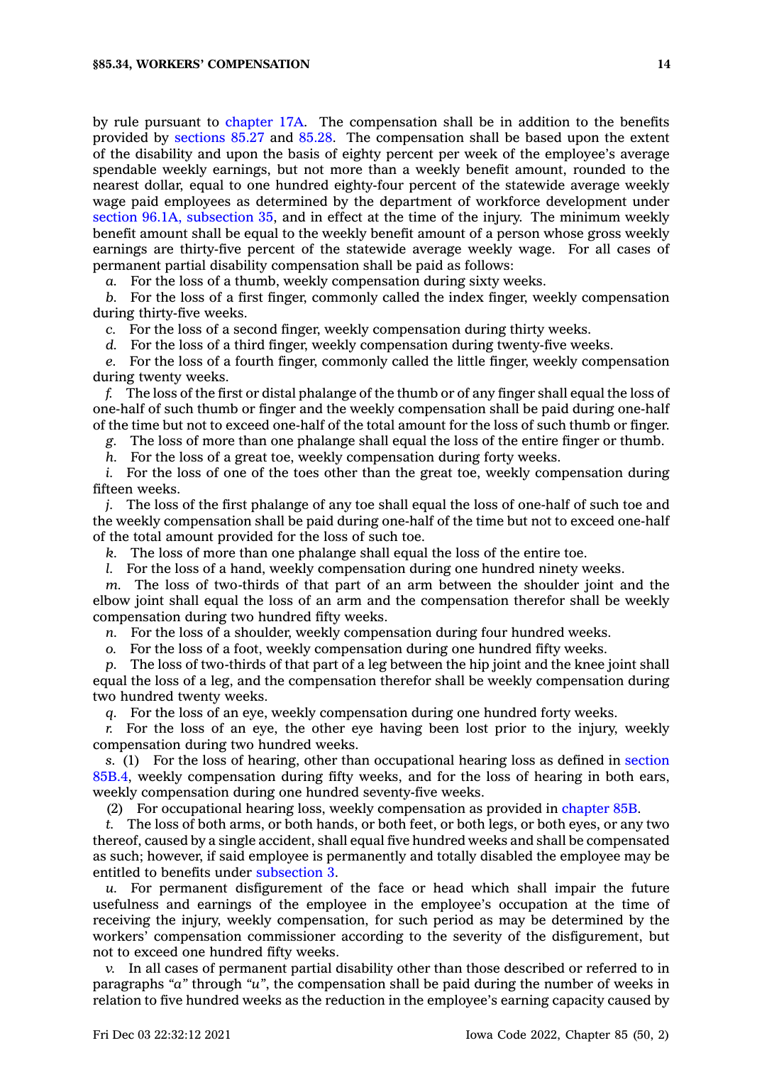by rule pursuant to [chapter](https://www.legis.iowa.gov/docs/code//17A.pdf) 17A. The compensation shall be in addition to the benefits provided by [sections](https://www.legis.iowa.gov/docs/code/85.27.pdf) 85.27 and [85.28](https://www.legis.iowa.gov/docs/code/85.28.pdf). The compensation shall be based upon the extent of the disability and upon the basis of eighty percent per week of the employee's average spendable weekly earnings, but not more than <sup>a</sup> weekly benefit amount, rounded to the nearest dollar, equal to one hundred eighty-four percent of the statewide average weekly wage paid employees as determined by the department of workforce development under section 96.1A, [subsection](https://www.legis.iowa.gov/docs/code/96.1A.pdf) 35, and in effect at the time of the injury. The minimum weekly benefit amount shall be equal to the weekly benefit amount of <sup>a</sup> person whose gross weekly earnings are thirty-five percent of the statewide average weekly wage. For all cases of permanent partial disability compensation shall be paid as follows:

*a.* For the loss of <sup>a</sup> thumb, weekly compensation during sixty weeks.

*b.* For the loss of <sup>a</sup> first finger, commonly called the index finger, weekly compensation during thirty-five weeks.

*c.* For the loss of <sup>a</sup> second finger, weekly compensation during thirty weeks.

*d.* For the loss of <sup>a</sup> third finger, weekly compensation during twenty-five weeks.

*e.* For the loss of <sup>a</sup> fourth finger, commonly called the little finger, weekly compensation during twenty weeks.

*f.* The loss of the first or distal phalange of the thumb or of any finger shall equal the loss of one-half of such thumb or finger and the weekly compensation shall be paid during one-half of the time but not to exceed one-half of the total amount for the loss of such thumb or finger.

*g.* The loss of more than one phalange shall equal the loss of the entire finger or thumb.

*h.* For the loss of <sup>a</sup> great toe, weekly compensation during forty weeks.

*i.* For the loss of one of the toes other than the great toe, weekly compensation during fifteen weeks.

*j.* The loss of the first phalange of any toe shall equal the loss of one-half of such toe and the weekly compensation shall be paid during one-half of the time but not to exceed one-half of the total amount provided for the loss of such toe.

*k.* The loss of more than one phalange shall equal the loss of the entire toe.

*l.* For the loss of a hand, weekly compensation during one hundred ninety weeks.

*m.* The loss of two-thirds of that part of an arm between the shoulder joint and the elbow joint shall equal the loss of an arm and the compensation therefor shall be weekly compensation during two hundred fifty weeks.

*n.* For the loss of <sup>a</sup> shoulder, weekly compensation during four hundred weeks.

*o.* For the loss of <sup>a</sup> foot, weekly compensation during one hundred fifty weeks.

*p.* The loss of two-thirds of that part of <sup>a</sup> leg between the hip joint and the knee joint shall equal the loss of <sup>a</sup> leg, and the compensation therefor shall be weekly compensation during two hundred twenty weeks.

*q.* For the loss of an eye, weekly compensation during one hundred forty weeks.

*r.* For the loss of an eye, the other eye having been lost prior to the injury, weekly compensation during two hundred weeks.

*s.* (1) For the loss of hearing, other than occupational hearing loss as defined in [section](https://www.legis.iowa.gov/docs/code/85B.4.pdf) [85B.4](https://www.legis.iowa.gov/docs/code/85B.4.pdf), weekly compensation during fifty weeks, and for the loss of hearing in both ears, weekly compensation during one hundred seventy-five weeks.

(2) For occupational hearing loss, weekly compensation as provided in [chapter](https://www.legis.iowa.gov/docs/code//85B.pdf) 85B.

*t.* The loss of both arms, or both hands, or both feet, or both legs, or both eyes, or any two thereof, caused by <sup>a</sup> single accident, shall equal five hundred weeks and shall be compensated as such; however, if said employee is permanently and totally disabled the employee may be entitled to benefits under [subsection](https://www.legis.iowa.gov/docs/code/85.34.pdf) 3.

*u.* For permanent disfigurement of the face or head which shall impair the future usefulness and earnings of the employee in the employee's occupation at the time of receiving the injury, weekly compensation, for such period as may be determined by the workers' compensation commissioner according to the severity of the disfigurement, but not to exceed one hundred fifty weeks.

*v.* In all cases of permanent partial disability other than those described or referred to in paragraphs *"a"* through *"u"*, the compensation shall be paid during the number of weeks in relation to five hundred weeks as the reduction in the employee's earning capacity caused by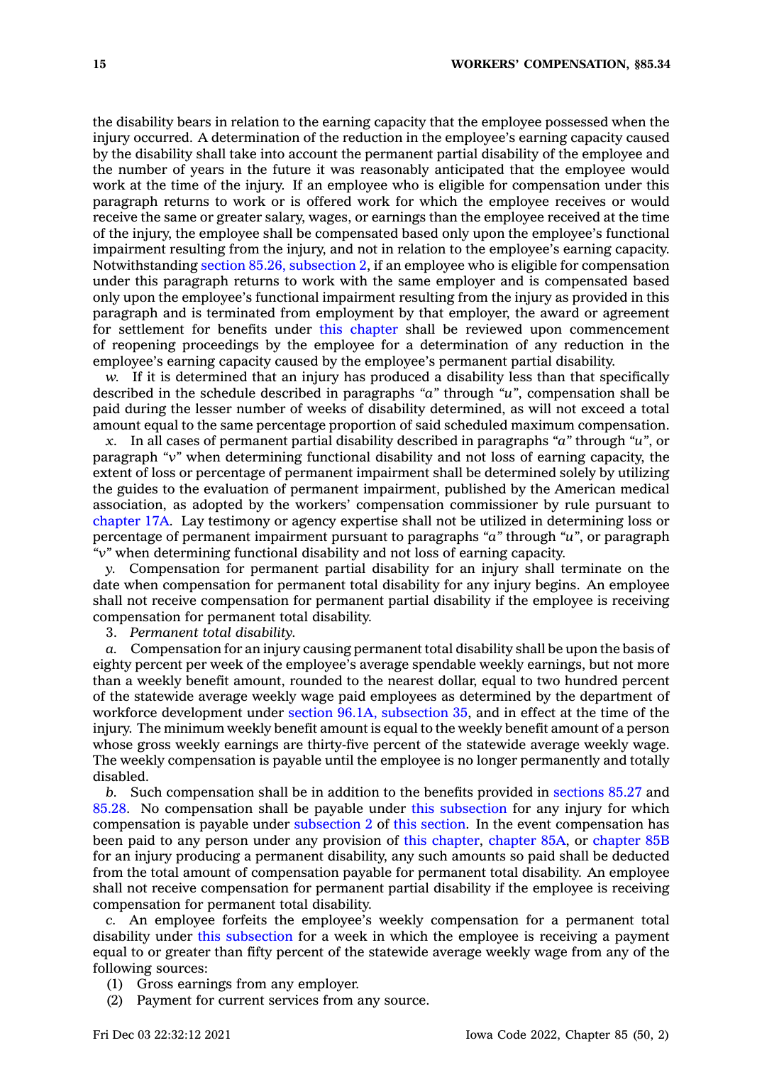the disability bears in relation to the earning capacity that the employee possessed when the injury occurred. A determination of the reduction in the employee's earning capacity caused by the disability shall take into account the permanent partial disability of the employee and the number of years in the future it was reasonably anticipated that the employee would work at the time of the injury. If an employee who is eligible for compensation under this paragraph returns to work or is offered work for which the employee receives or would receive the same or greater salary, wages, or earnings than the employee received at the time of the injury, the employee shall be compensated based only upon the employee's functional impairment resulting from the injury, and not in relation to the employee's earning capacity. Notwithstanding section 85.26, [subsection](https://www.legis.iowa.gov/docs/code/85.26.pdf) 2, if an employee who is eligible for compensation under this paragraph returns to work with the same employer and is compensated based only upon the employee's functional impairment resulting from the injury as provided in this paragraph and is terminated from employment by that employer, the award or agreement for settlement for benefits under this [chapter](https://www.legis.iowa.gov/docs/code//85.pdf) shall be reviewed upon commencement of reopening proceedings by the employee for <sup>a</sup> determination of any reduction in the employee's earning capacity caused by the employee's permanent partial disability.

*w.* If it is determined that an injury has produced <sup>a</sup> disability less than that specifically described in the schedule described in paragraphs *"a"* through *"u"*, compensation shall be paid during the lesser number of weeks of disability determined, as will not exceed <sup>a</sup> total amount equal to the same percentage proportion of said scheduled maximum compensation.

*x.* In all cases of permanent partial disability described in paragraphs *"a"* through *"u"*, or paragraph *"v"* when determining functional disability and not loss of earning capacity, the extent of loss or percentage of permanent impairment shall be determined solely by utilizing the guides to the evaluation of permanent impairment, published by the American medical association, as adopted by the workers' compensation commissioner by rule pursuant to [chapter](https://www.legis.iowa.gov/docs/code//17A.pdf) 17A. Lay testimony or agency expertise shall not be utilized in determining loss or percentage of permanent impairment pursuant to paragraphs *"a"* through *"u"*, or paragraph *"v"* when determining functional disability and not loss of earning capacity.

*y.* Compensation for permanent partial disability for an injury shall terminate on the date when compensation for permanent total disability for any injury begins. An employee shall not receive compensation for permanent partial disability if the employee is receiving compensation for permanent total disability.

3. *Permanent total disability.*

*a.* Compensation for an injury causing permanent total disability shall be upon the basis of eighty percent per week of the employee's average spendable weekly earnings, but not more than <sup>a</sup> weekly benefit amount, rounded to the nearest dollar, equal to two hundred percent of the statewide average weekly wage paid employees as determined by the department of workforce development under section 96.1A, [subsection](https://www.legis.iowa.gov/docs/code/96.1A.pdf) 35, and in effect at the time of the injury. The minimum weekly benefit amount is equal to the weekly benefit amount of <sup>a</sup> person whose gross weekly earnings are thirty-five percent of the statewide average weekly wage. The weekly compensation is payable until the employee is no longer permanently and totally disabled.

*b.* Such compensation shall be in addition to the benefits provided in [sections](https://www.legis.iowa.gov/docs/code/85.27.pdf) 85.27 and [85.28](https://www.legis.iowa.gov/docs/code/85.28.pdf). No compensation shall be payable under this [subsection](https://www.legis.iowa.gov/docs/code/85.34.pdf) for any injury for which compensation is payable under [subsection](https://www.legis.iowa.gov/docs/code/85.34.pdf) 2 of this [section](https://www.legis.iowa.gov/docs/code/85.34.pdf). In the event compensation has been paid to any person under any provision of this [chapter](https://www.legis.iowa.gov/docs/code//85.pdf), [chapter](https://www.legis.iowa.gov/docs/code//85A.pdf) 85A, or [chapter](https://www.legis.iowa.gov/docs/code//85B.pdf) 85B for an injury producing <sup>a</sup> permanent disability, any such amounts so paid shall be deducted from the total amount of compensation payable for permanent total disability. An employee shall not receive compensation for permanent partial disability if the employee is receiving compensation for permanent total disability.

*c.* An employee forfeits the employee's weekly compensation for <sup>a</sup> permanent total disability under this [subsection](https://www.legis.iowa.gov/docs/code/85.34.pdf) for <sup>a</sup> week in which the employee is receiving <sup>a</sup> payment equal to or greater than fifty percent of the statewide average weekly wage from any of the following sources:

- (1) Gross earnings from any employer.
- (2) Payment for current services from any source.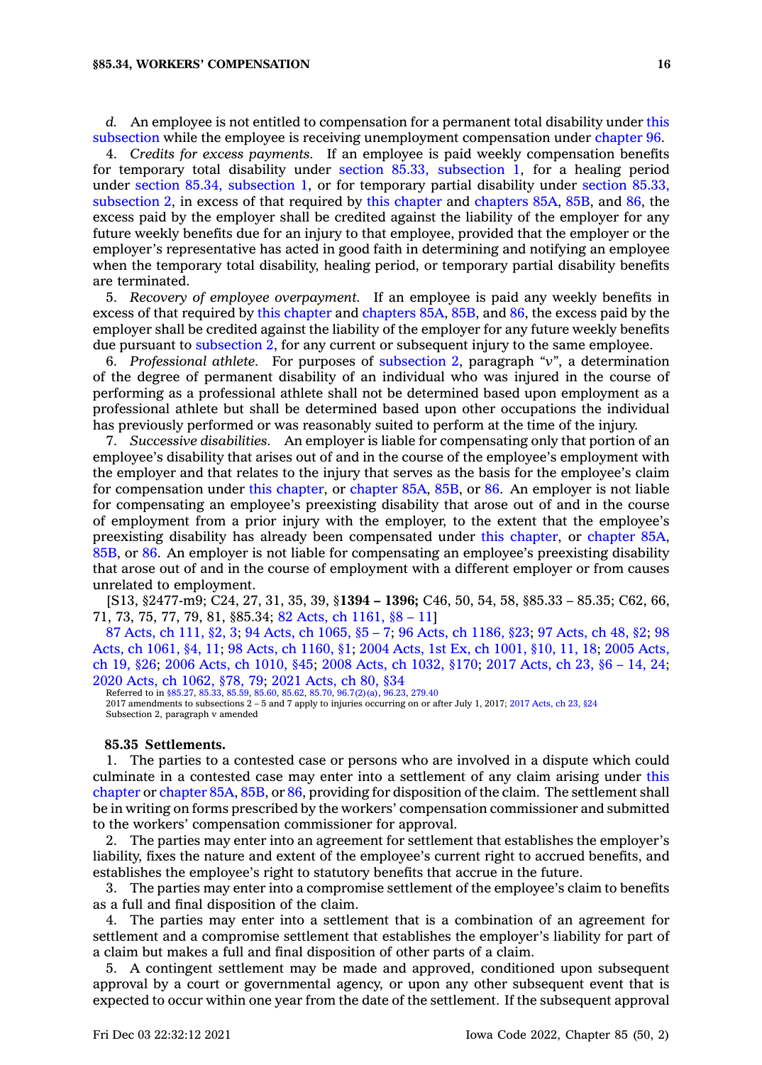#### **§85.34, WORKERS' COMPENSATION 16**

*d.* An employee is not entitled to compensation for <sup>a</sup> permanent total disability under [this](https://www.legis.iowa.gov/docs/code/85.34.pdf) [subsection](https://www.legis.iowa.gov/docs/code/85.34.pdf) while the employee is receiving unemployment compensation under [chapter](https://www.legis.iowa.gov/docs/code//96.pdf) 96.

4. *Credits for excess payments.* If an employee is paid weekly compensation benefits for temporary total disability under section 85.33, [subsection](https://www.legis.iowa.gov/docs/code/85.33.pdf) 1, for <sup>a</sup> healing period under section 85.34, [subsection](https://www.legis.iowa.gov/docs/code/85.34.pdf) 1, or for temporary partial disability under section [85.33,](https://www.legis.iowa.gov/docs/code/85.33.pdf) [subsection](https://www.legis.iowa.gov/docs/code/85.33.pdf) 2, in excess of that required by this [chapter](https://www.legis.iowa.gov/docs/code//85.pdf) and [chapters](https://www.legis.iowa.gov/docs/code//85A.pdf) 85A, [85B](https://www.legis.iowa.gov/docs/code//85B.pdf), and [86](https://www.legis.iowa.gov/docs/code//86.pdf), the excess paid by the employer shall be credited against the liability of the employer for any future weekly benefits due for an injury to that employee, provided that the employer or the employer's representative has acted in good faith in determining and notifying an employee when the temporary total disability, healing period, or temporary partial disability benefits are terminated.

5. *Recovery of employee overpayment.* If an employee is paid any weekly benefits in excess of that required by this [chapter](https://www.legis.iowa.gov/docs/code//85.pdf) and [chapters](https://www.legis.iowa.gov/docs/code//85A.pdf) 85A, [85B](https://www.legis.iowa.gov/docs/code//85B.pdf), and [86](https://www.legis.iowa.gov/docs/code//86.pdf), the excess paid by the employer shall be credited against the liability of the employer for any future weekly benefits due pursuant to [subsection](https://www.legis.iowa.gov/docs/code/85.34.pdf) 2, for any current or subsequent injury to the same employee.

6. *Professional athlete.* For purposes of [subsection](https://www.legis.iowa.gov/docs/code/85.34.pdf) 2, paragraph *"v"*, <sup>a</sup> determination of the degree of permanent disability of an individual who was injured in the course of performing as <sup>a</sup> professional athlete shall not be determined based upon employment as <sup>a</sup> professional athlete but shall be determined based upon other occupations the individual has previously performed or was reasonably suited to perform at the time of the injury.

7. *Successive disabilities.* An employer is liable for compensating only that portion of an employee's disability that arises out of and in the course of the employee's employment with the employer and that relates to the injury that serves as the basis for the employee's claim for compensation under this [chapter](https://www.legis.iowa.gov/docs/code//85.pdf), or [chapter](https://www.legis.iowa.gov/docs/code//85A.pdf) 85A, [85B](https://www.legis.iowa.gov/docs/code//85B.pdf), or [86](https://www.legis.iowa.gov/docs/code//86.pdf). An employer is not liable for compensating an employee's preexisting disability that arose out of and in the course of employment from <sup>a</sup> prior injury with the employer, to the extent that the employee's preexisting disability has already been compensated under this [chapter](https://www.legis.iowa.gov/docs/code//85.pdf), or [chapter](https://www.legis.iowa.gov/docs/code//85A.pdf) 85A, [85B](https://www.legis.iowa.gov/docs/code//85B.pdf), or [86](https://www.legis.iowa.gov/docs/code//86.pdf). An employer is not liable for compensating an employee's preexisting disability that arose out of and in the course of employment with <sup>a</sup> different employer or from causes unrelated to employment.

[S13, §2477-m9; C24, 27, 31, 35, 39, §**1394 – 1396;** C46, 50, 54, 58, §85.33 – 85.35; C62, 66, 71, 73, 75, 77, 79, 81, §85.34; 82 Acts, ch [1161,](https://www.legis.iowa.gov/docs/acts/1982/CH1161.pdf) §8 – 11]

87 [Acts,](https://www.legis.iowa.gov/docs/acts/1987/CH0111.pdf) ch 111, §2, 3; 94 Acts, ch [1065,](https://www.legis.iowa.gov/docs/acts/94/CH1065.pdf) §5 – 7; 96 Acts, ch [1186,](https://www.legis.iowa.gov/docs/acts/96/CH1186.pdf) §23; 97 [Acts,](https://www.legis.iowa.gov/docs/acts/97/CH0048.pdf) ch 48, §2; [98](https://www.legis.iowa.gov/docs/acts/98/CH1061.pdf) Acts, ch [1061,](https://www.legis.iowa.gov/docs/acts/98/CH1061.pdf) §4, 11; 98 Acts, ch [1160,](https://www.legis.iowa.gov/docs/acts/98/CH1160.pdf) §1; 2004 Acts, 1st Ex, ch [1001,](https://www.legis.iowa.gov/docs/acts/2004/CH1001.pdf) §10, 11, 18; 2005 [Acts,](https://www.legis.iowa.gov/docs/acts/2005/CH0019.pdf) ch 19, [§26](https://www.legis.iowa.gov/docs/acts/2005/CH0019.pdf); 2006 Acts, ch [1010,](https://www.legis.iowa.gov/docs/acts/2006/CH1010.pdf) §45; 2008 Acts, ch [1032,](https://www.legis.iowa.gov/docs/acts/2008/CH1032.pdf) §170; 2017 [Acts,](https://www.legis.iowa.gov/docs/acts/2017/CH0023.pdf) ch 23, §6 – 14, 24; 2020 Acts, ch [1062,](https://www.legis.iowa.gov/docs/acts/2020/CH1062.pdf) §78, 79; 2021 [Acts,](https://www.legis.iowa.gov/docs/acts/2021/CH0080.pdf) ch 80, §34

Referred to in [§85.27](https://www.legis.iowa.gov/docs/code/85.27.pdf), [85.33](https://www.legis.iowa.gov/docs/code/85.33.pdf), [85.59](https://www.legis.iowa.gov/docs/code/85.59.pdf), [85.60,](https://www.legis.iowa.gov/docs/code/85.60.pdf) [85.62,](https://www.legis.iowa.gov/docs/code/85.62.pdf) [85.70](https://www.legis.iowa.gov/docs/code/85.70.pdf), [96.7\(2\)\(a\)](https://www.legis.iowa.gov/docs/code/96.7.pdf), [96.23](https://www.legis.iowa.gov/docs/code/96.23.pdf), [279.40](https://www.legis.iowa.gov/docs/code/279.40.pdf) 2017 amendments to subsections 2 – 5 and 7 apply to injuries occurring on or after July 1, 2017; 2017 [Acts,](https://www.legis.iowa.gov/docs/acts/2017/CH23.pdf) ch 23, §24 Subsection 2, paragraph <sup>v</sup> amended

#### **85.35 Settlements.**

1. The parties to <sup>a</sup> contested case or persons who are involved in <sup>a</sup> dispute which could culminate in <sup>a</sup> contested case may enter into <sup>a</sup> settlement of any claim arising under [this](https://www.legis.iowa.gov/docs/code//85.pdf) [chapter](https://www.legis.iowa.gov/docs/code//85.pdf) or [chapter](https://www.legis.iowa.gov/docs/code//85A.pdf) 85A, [85B](https://www.legis.iowa.gov/docs/code//85B.pdf), or [86](https://www.legis.iowa.gov/docs/code//86.pdf), providing for disposition of the claim. The settlement shall be in writing on forms prescribed by the workers' compensation commissioner and submitted to the workers' compensation commissioner for approval.

2. The parties may enter into an agreement for settlement that establishes the employer's liability, fixes the nature and extent of the employee's current right to accrued benefits, and establishes the employee's right to statutory benefits that accrue in the future.

3. The parties may enter into <sup>a</sup> compromise settlement of the employee's claim to benefits as <sup>a</sup> full and final disposition of the claim.

4. The parties may enter into <sup>a</sup> settlement that is <sup>a</sup> combination of an agreement for settlement and <sup>a</sup> compromise settlement that establishes the employer's liability for part of <sup>a</sup> claim but makes <sup>a</sup> full and final disposition of other parts of <sup>a</sup> claim.

5. A contingent settlement may be made and approved, conditioned upon subsequent approval by <sup>a</sup> court or governmental agency, or upon any other subsequent event that is expected to occur within one year from the date of the settlement. If the subsequent approval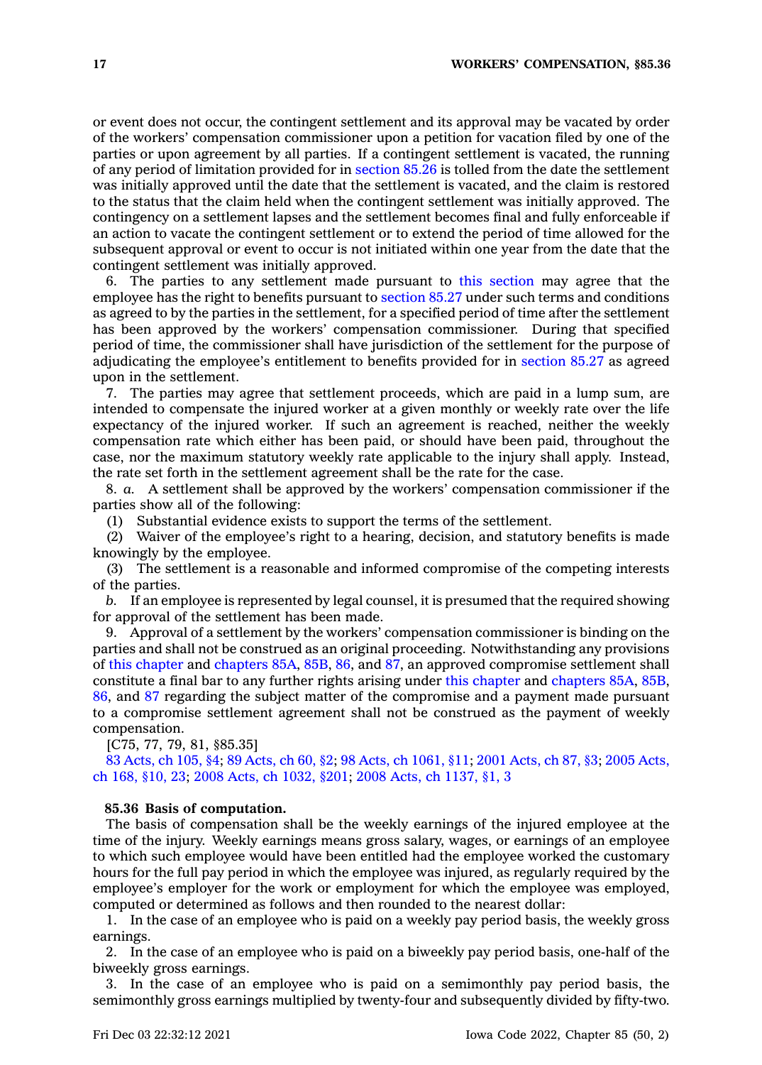or event does not occur, the contingent settlement and its approval may be vacated by order of the workers' compensation commissioner upon <sup>a</sup> petition for vacation filed by one of the parties or upon agreement by all parties. If <sup>a</sup> contingent settlement is vacated, the running of any period of limitation provided for in [section](https://www.legis.iowa.gov/docs/code/85.26.pdf) 85.26 is tolled from the date the settlement was initially approved until the date that the settlement is vacated, and the claim is restored to the status that the claim held when the contingent settlement was initially approved. The contingency on <sup>a</sup> settlement lapses and the settlement becomes final and fully enforceable if an action to vacate the contingent settlement or to extend the period of time allowed for the subsequent approval or event to occur is not initiated within one year from the date that the contingent settlement was initially approved.

6. The parties to any settlement made pursuant to this [section](https://www.legis.iowa.gov/docs/code/85.35.pdf) may agree that the employee has the right to benefits pursuant to [section](https://www.legis.iowa.gov/docs/code/85.27.pdf) 85.27 under such terms and conditions as agreed to by the parties in the settlement, for <sup>a</sup> specified period of time after the settlement has been approved by the workers' compensation commissioner. During that specified period of time, the commissioner shall have jurisdiction of the settlement for the purpose of adjudicating the employee's entitlement to benefits provided for in [section](https://www.legis.iowa.gov/docs/code/85.27.pdf) 85.27 as agreed upon in the settlement.

7. The parties may agree that settlement proceeds, which are paid in <sup>a</sup> lump sum, are intended to compensate the injured worker at <sup>a</sup> given monthly or weekly rate over the life expectancy of the injured worker. If such an agreement is reached, neither the weekly compensation rate which either has been paid, or should have been paid, throughout the case, nor the maximum statutory weekly rate applicable to the injury shall apply. Instead, the rate set forth in the settlement agreement shall be the rate for the case.

8. *a.* A settlement shall be approved by the workers' compensation commissioner if the parties show all of the following:

(1) Substantial evidence exists to support the terms of the settlement.

(2) Waiver of the employee's right to <sup>a</sup> hearing, decision, and statutory benefits is made knowingly by the employee.

(3) The settlement is <sup>a</sup> reasonable and informed compromise of the competing interests of the parties.

*b.* If an employee is represented by legal counsel, it is presumed that the required showing for approval of the settlement has been made.

9. Approval of <sup>a</sup> settlement by the workers' compensation commissioner is binding on the parties and shall not be construed as an original proceeding. Notwithstanding any provisions of this [chapter](https://www.legis.iowa.gov/docs/code//85.pdf) and [chapters](https://www.legis.iowa.gov/docs/code//85A.pdf) 85A, [85B](https://www.legis.iowa.gov/docs/code//85B.pdf), [86](https://www.legis.iowa.gov/docs/code//86.pdf), and [87](https://www.legis.iowa.gov/docs/code//87.pdf), an approved compromise settlement shall constitute <sup>a</sup> final bar to any further rights arising under this [chapter](https://www.legis.iowa.gov/docs/code//85.pdf) and [chapters](https://www.legis.iowa.gov/docs/code//85A.pdf) 85A, [85B](https://www.legis.iowa.gov/docs/code//85B.pdf), [86](https://www.legis.iowa.gov/docs/code//86.pdf), and [87](https://www.legis.iowa.gov/docs/code//87.pdf) regarding the subject matter of the compromise and <sup>a</sup> payment made pursuant to <sup>a</sup> compromise settlement agreement shall not be construed as the payment of weekly compensation.

[C75, 77, 79, 81, §85.35]

83 [Acts,](https://www.legis.iowa.gov/docs/acts/1983/CH0105.pdf) ch 105, §4; 89 [Acts,](https://www.legis.iowa.gov/docs/acts/1989/CH0060.pdf) ch 60, §2; 98 Acts, ch [1061,](https://www.legis.iowa.gov/docs/acts/1998/CH1061.pdf) §11; 2001 [Acts,](https://www.legis.iowa.gov/docs/acts/2001/CH0087.pdf) ch 87, §3; 2005 [Acts,](https://www.legis.iowa.gov/docs/acts/2005/CH0168.pdf) ch 168, [§10,](https://www.legis.iowa.gov/docs/acts/2005/CH0168.pdf) 23; 2008 Acts, ch [1032,](https://www.legis.iowa.gov/docs/acts/2008/CH1032.pdf) §201; 2008 Acts, ch [1137,](https://www.legis.iowa.gov/docs/acts/2008/CH1137.pdf) §1, 3

#### **85.36 Basis of computation.**

The basis of compensation shall be the weekly earnings of the injured employee at the time of the injury. Weekly earnings means gross salary, wages, or earnings of an employee to which such employee would have been entitled had the employee worked the customary hours for the full pay period in which the employee was injured, as regularly required by the employee's employer for the work or employment for which the employee was employed, computed or determined as follows and then rounded to the nearest dollar:

1. In the case of an employee who is paid on <sup>a</sup> weekly pay period basis, the weekly gross earnings.

2. In the case of an employee who is paid on <sup>a</sup> biweekly pay period basis, one-half of the biweekly gross earnings.

3. In the case of an employee who is paid on <sup>a</sup> semimonthly pay period basis, the semimonthly gross earnings multiplied by twenty-four and subsequently divided by fifty-two.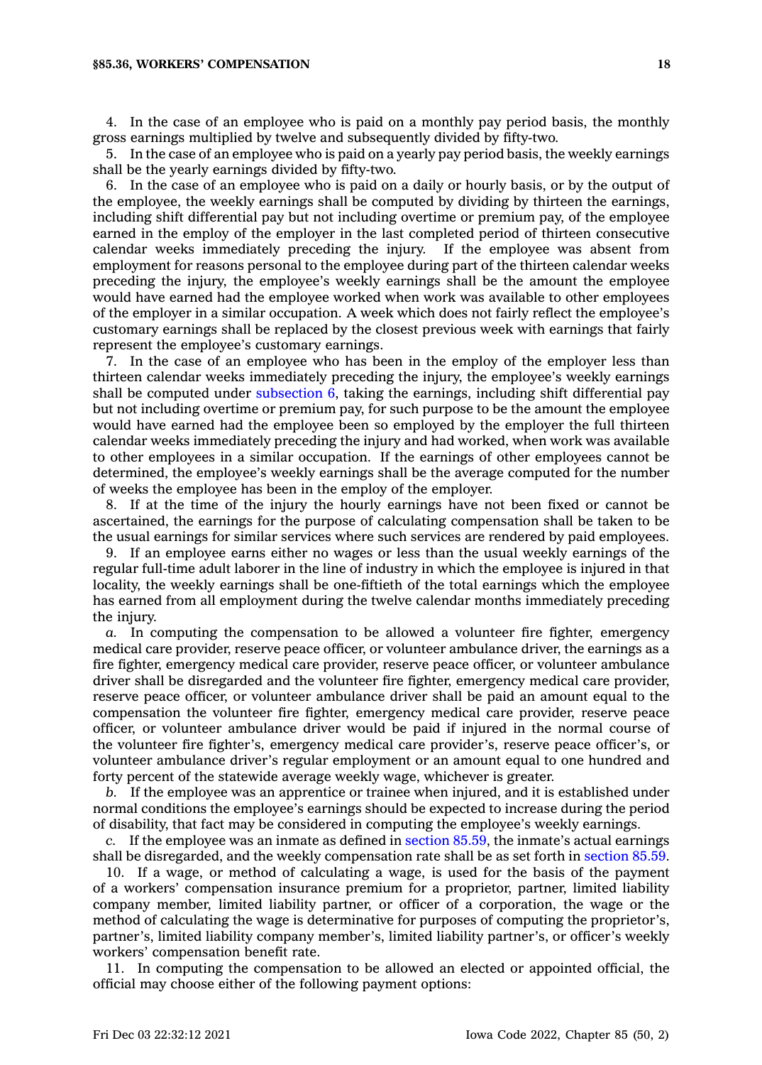#### **§85.36, WORKERS' COMPENSATION 18**

4. In the case of an employee who is paid on <sup>a</sup> monthly pay period basis, the monthly gross earnings multiplied by twelve and subsequently divided by fifty-two.

5. In the case of an employee who is paid on <sup>a</sup> yearly pay period basis, the weekly earnings shall be the yearly earnings divided by fifty-two.

6. In the case of an employee who is paid on <sup>a</sup> daily or hourly basis, or by the output of the employee, the weekly earnings shall be computed by dividing by thirteen the earnings, including shift differential pay but not including overtime or premium pay, of the employee earned in the employ of the employer in the last completed period of thirteen consecutive calendar weeks immediately preceding the injury. If the employee was absent from calendar weeks immediately preceding the injury. employment for reasons personal to the employee during part of the thirteen calendar weeks preceding the injury, the employee's weekly earnings shall be the amount the employee would have earned had the employee worked when work was available to other employees of the employer in <sup>a</sup> similar occupation. A week which does not fairly reflect the employee's customary earnings shall be replaced by the closest previous week with earnings that fairly represent the employee's customary earnings.

7. In the case of an employee who has been in the employ of the employer less than thirteen calendar weeks immediately preceding the injury, the employee's weekly earnings shall be computed under [subsection](https://www.legis.iowa.gov/docs/code/85.36.pdf) 6, taking the earnings, including shift differential pay but not including overtime or premium pay, for such purpose to be the amount the employee would have earned had the employee been so employed by the employer the full thirteen calendar weeks immediately preceding the injury and had worked, when work was available to other employees in <sup>a</sup> similar occupation. If the earnings of other employees cannot be determined, the employee's weekly earnings shall be the average computed for the number of weeks the employee has been in the employ of the employer.

8. If at the time of the injury the hourly earnings have not been fixed or cannot be ascertained, the earnings for the purpose of calculating compensation shall be taken to be the usual earnings for similar services where such services are rendered by paid employees.

9. If an employee earns either no wages or less than the usual weekly earnings of the regular full-time adult laborer in the line of industry in which the employee is injured in that locality, the weekly earnings shall be one-fiftieth of the total earnings which the employee has earned from all employment during the twelve calendar months immediately preceding the injury.

*a.* In computing the compensation to be allowed <sup>a</sup> volunteer fire fighter, emergency medical care provider, reserve peace officer, or volunteer ambulance driver, the earnings as <sup>a</sup> fire fighter, emergency medical care provider, reserve peace officer, or volunteer ambulance driver shall be disregarded and the volunteer fire fighter, emergency medical care provider, reserve peace officer, or volunteer ambulance driver shall be paid an amount equal to the compensation the volunteer fire fighter, emergency medical care provider, reserve peace officer, or volunteer ambulance driver would be paid if injured in the normal course of the volunteer fire fighter's, emergency medical care provider's, reserve peace officer's, or volunteer ambulance driver's regular employment or an amount equal to one hundred and forty percent of the statewide average weekly wage, whichever is greater.

*b.* If the employee was an apprentice or trainee when injured, and it is established under normal conditions the employee's earnings should be expected to increase during the period of disability, that fact may be considered in computing the employee's weekly earnings.

*c.* If the employee was an inmate as defined in [section](https://www.legis.iowa.gov/docs/code/85.59.pdf) 85.59, the inmate's actual earnings shall be disregarded, and the weekly compensation rate shall be as set forth in [section](https://www.legis.iowa.gov/docs/code/85.59.pdf) 85.59.

10. If <sup>a</sup> wage, or method of calculating <sup>a</sup> wage, is used for the basis of the payment of <sup>a</sup> workers' compensation insurance premium for <sup>a</sup> proprietor, partner, limited liability company member, limited liability partner, or officer of <sup>a</sup> corporation, the wage or the method of calculating the wage is determinative for purposes of computing the proprietor's, partner's, limited liability company member's, limited liability partner's, or officer's weekly workers' compensation benefit rate.

11. In computing the compensation to be allowed an elected or appointed official, the official may choose either of the following payment options: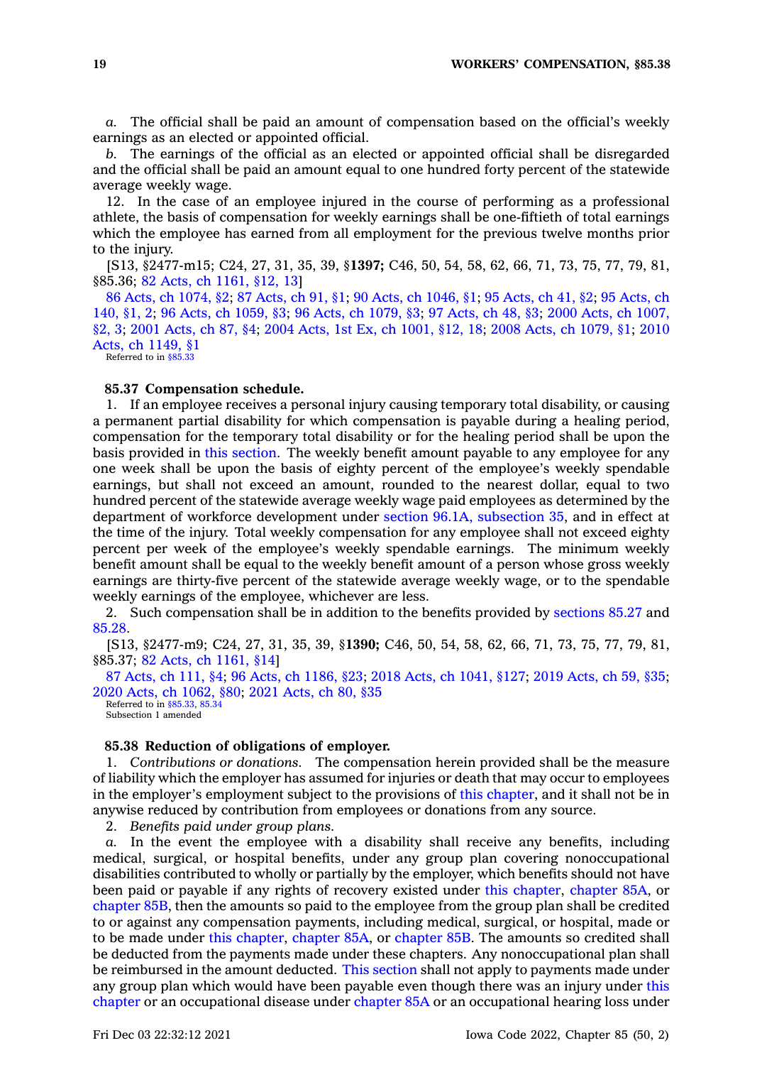**19 WORKERS' COMPENSATION, §85.38**

*a.* The official shall be paid an amount of compensation based on the official's weekly earnings as an elected or appointed official.

*b.* The earnings of the official as an elected or appointed official shall be disregarded and the official shall be paid an amount equal to one hundred forty percent of the statewide average weekly wage.

12. In the case of an employee injured in the course of performing as <sup>a</sup> professional athlete, the basis of compensation for weekly earnings shall be one-fiftieth of total earnings which the employee has earned from all employment for the previous twelve months prior to the injury.

[S13, §2477-m15; C24, 27, 31, 35, 39, §**1397;** C46, 50, 54, 58, 62, 66, 71, 73, 75, 77, 79, 81, §85.36; 82 Acts, ch [1161,](https://www.legis.iowa.gov/docs/acts/1982/CH1161.pdf) §12, 13]

86 Acts, ch [1074,](https://www.legis.iowa.gov/docs/acts/1986/CH1074.pdf) §2; 87 [Acts,](https://www.legis.iowa.gov/docs/acts/87/CH0091.pdf) ch 91, §1; 90 Acts, ch [1046,](https://www.legis.iowa.gov/docs/acts/90/CH1046.pdf) §1; 95 [Acts,](https://www.legis.iowa.gov/docs/acts/95/CH0041.pdf) ch 41, §2; 95 [Acts,](https://www.legis.iowa.gov/docs/acts/95/CH0140.pdf) ch [140,](https://www.legis.iowa.gov/docs/acts/95/CH0140.pdf) §1, 2; 96 Acts, ch [1059,](https://www.legis.iowa.gov/docs/acts/96/CH1059.pdf) §3; 96 Acts, ch [1079,](https://www.legis.iowa.gov/docs/acts/96/CH1079.pdf) §3; 97 [Acts,](https://www.legis.iowa.gov/docs/acts/97/CH0048.pdf) ch 48, §3; 2000 Acts, ch [1007,](https://www.legis.iowa.gov/docs/acts/2000/CH1007.pdf) [§2,](https://www.legis.iowa.gov/docs/acts/2000/CH1007.pdf) 3; 2001 [Acts,](https://www.legis.iowa.gov/docs/acts/2001/CH0087.pdf) ch 87, §4; 2004 Acts, 1st Ex, ch [1001,](https://www.legis.iowa.gov/docs/acts//CH0000.pdf) §12, 18; 2008 Acts, ch [1079,](https://www.legis.iowa.gov/docs/acts/2008/CH1079.pdf) §1; [2010](https://www.legis.iowa.gov/docs/acts/2010/CH1149.pdf) Acts, ch [1149,](https://www.legis.iowa.gov/docs/acts/2010/CH1149.pdf) §1

Referred to in [§85.33](https://www.legis.iowa.gov/docs/code/85.33.pdf)

#### **85.37 Compensation schedule.**

1. If an employee receives <sup>a</sup> personal injury causing temporary total disability, or causing <sup>a</sup> permanent partial disability for which compensation is payable during <sup>a</sup> healing period, compensation for the temporary total disability or for the healing period shall be upon the basis provided in this [section](https://www.legis.iowa.gov/docs/code/85.37.pdf). The weekly benefit amount payable to any employee for any one week shall be upon the basis of eighty percent of the employee's weekly spendable earnings, but shall not exceed an amount, rounded to the nearest dollar, equal to two hundred percent of the statewide average weekly wage paid employees as determined by the department of workforce development under section 96.1A, [subsection](https://www.legis.iowa.gov/docs/code/96.1A.pdf) 35, and in effect at the time of the injury. Total weekly compensation for any employee shall not exceed eighty percent per week of the employee's weekly spendable earnings. The minimum weekly benefit amount shall be equal to the weekly benefit amount of <sup>a</sup> person whose gross weekly earnings are thirty-five percent of the statewide average weekly wage, or to the spendable weekly earnings of the employee, whichever are less.

2. Such compensation shall be in addition to the benefits provided by [sections](https://www.legis.iowa.gov/docs/code/85.27.pdf) 85.27 and [85.28](https://www.legis.iowa.gov/docs/code/85.28.pdf).

[S13, §2477-m9; C24, 27, 31, 35, 39, §**1390;** C46, 50, 54, 58, 62, 66, 71, 73, 75, 77, 79, 81, §85.37; 82 Acts, ch [1161,](https://www.legis.iowa.gov/docs/acts/1982/CH1161.pdf) §14]

87 [Acts,](https://www.legis.iowa.gov/docs/acts/1987/CH0111.pdf) ch 111, §4; 96 Acts, ch [1186,](https://www.legis.iowa.gov/docs/acts/96/CH1186.pdf) §23; 2018 Acts, ch [1041,](https://www.legis.iowa.gov/docs/acts/2018/CH1041.pdf) §127; 2019 [Acts,](https://www.legis.iowa.gov/docs/acts/2019/CH0059.pdf) ch 59, §35; 2020 Acts, ch [1062,](https://www.legis.iowa.gov/docs/acts/2020/CH1062.pdf) §80; 2021 [Acts,](https://www.legis.iowa.gov/docs/acts/2021/CH0080.pdf) ch 80, §35 Referred to in [§85.33](https://www.legis.iowa.gov/docs/code/85.33.pdf), [85.34](https://www.legis.iowa.gov/docs/code/85.34.pdf)

Subsection 1 amended

#### **85.38 Reduction of obligations of employer.**

1. *Contributions or donations.* The compensation herein provided shall be the measure of liability which the employer has assumed for injuries or death that may occur to employees in the employer's employment subject to the provisions of this [chapter](https://www.legis.iowa.gov/docs/code//85.pdf), and it shall not be in anywise reduced by contribution from employees or donations from any source.

2. *Benefits paid under group plans.*

*a.* In the event the employee with <sup>a</sup> disability shall receive any benefits, including medical, surgical, or hospital benefits, under any group plan covering nonoccupational disabilities contributed to wholly or partially by the employer, which benefits should not have been paid or payable if any rights of recovery existed under this [chapter](https://www.legis.iowa.gov/docs/code//85.pdf), [chapter](https://www.legis.iowa.gov/docs/code//85A.pdf) 85A, or [chapter](https://www.legis.iowa.gov/docs/code//85B.pdf) 85B, then the amounts so paid to the employee from the group plan shall be credited to or against any compensation payments, including medical, surgical, or hospital, made or to be made under this [chapter](https://www.legis.iowa.gov/docs/code//85.pdf), [chapter](https://www.legis.iowa.gov/docs/code//85A.pdf) 85A, or [chapter](https://www.legis.iowa.gov/docs/code//85B.pdf) 85B. The amounts so credited shall be deducted from the payments made under these chapters. Any nonoccupational plan shall be reimbursed in the amount deducted. This [section](https://www.legis.iowa.gov/docs/code/85.38.pdf) shall not apply to payments made under any group plan which would have been payable even though there was an injury under [this](https://www.legis.iowa.gov/docs/code//85.pdf) [chapter](https://www.legis.iowa.gov/docs/code//85.pdf) or an occupational disease under [chapter](https://www.legis.iowa.gov/docs/code//85A.pdf) 85A or an occupational hearing loss under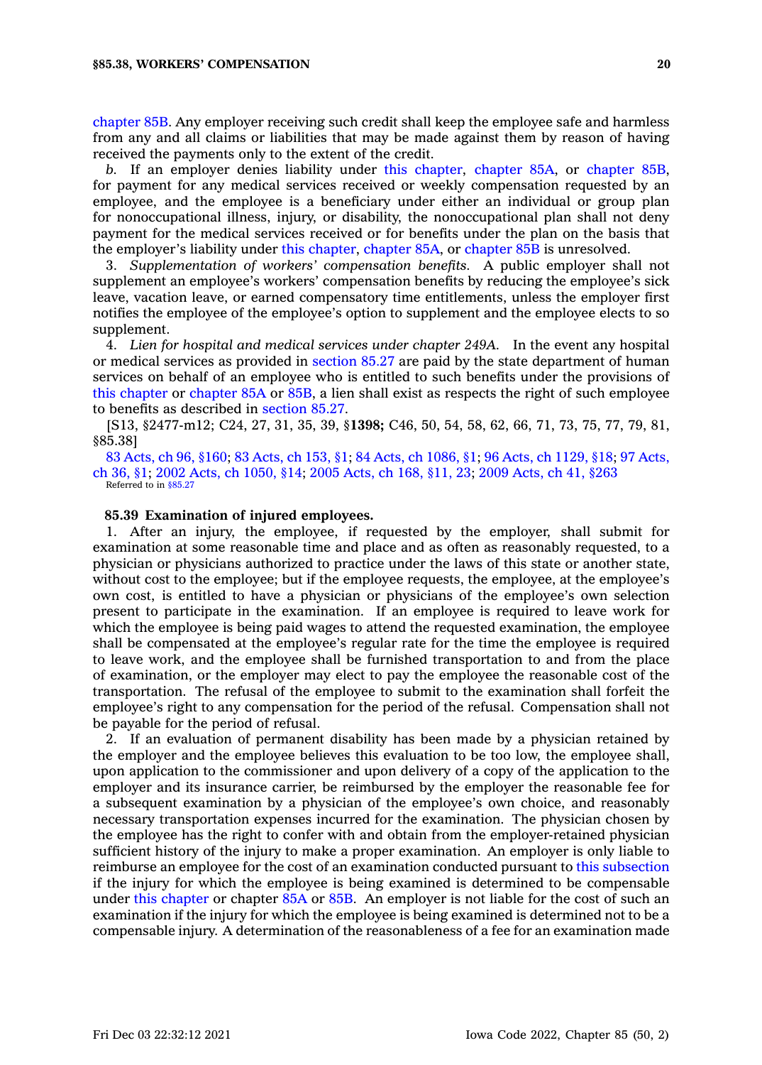[chapter](https://www.legis.iowa.gov/docs/code//85B.pdf) 85B. Any employer receiving such credit shall keep the employee safe and harmless from any and all claims or liabilities that may be made against them by reason of having received the payments only to the extent of the credit.

*b.* If an employer denies liability under this [chapter](https://www.legis.iowa.gov/docs/code//85.pdf), [chapter](https://www.legis.iowa.gov/docs/code//85A.pdf) 85A, or [chapter](https://www.legis.iowa.gov/docs/code//85B.pdf) 85B, for payment for any medical services received or weekly compensation requested by an employee, and the employee is <sup>a</sup> beneficiary under either an individual or group plan for nonoccupational illness, injury, or disability, the nonoccupational plan shall not deny payment for the medical services received or for benefits under the plan on the basis that the employer's liability under this [chapter](https://www.legis.iowa.gov/docs/code//85.pdf), [chapter](https://www.legis.iowa.gov/docs/code//85A.pdf) 85A, or [chapter](https://www.legis.iowa.gov/docs/code//85B.pdf) 85B is unresolved.

3. *Supplementation of workers' compensation benefits.* A public employer shall not supplement an employee's workers' compensation benefits by reducing the employee's sick leave, vacation leave, or earned compensatory time entitlements, unless the employer first notifies the employee of the employee's option to supplement and the employee elects to so supplement.

4. *Lien for hospital and medical services under chapter 249A.* In the event any hospital or medical services as provided in [section](https://www.legis.iowa.gov/docs/code/85.27.pdf) 85.27 are paid by the state department of human services on behalf of an employee who is entitled to such benefits under the provisions of this [chapter](https://www.legis.iowa.gov/docs/code//85.pdf) or [chapter](https://www.legis.iowa.gov/docs/code//85A.pdf) 85A or [85B](https://www.legis.iowa.gov/docs/code//85B.pdf), <sup>a</sup> lien shall exist as respects the right of such employee to benefits as described in [section](https://www.legis.iowa.gov/docs/code/85.27.pdf) 85.27.

[S13, §2477-m12; C24, 27, 31, 35, 39, §**1398;** C46, 50, 54, 58, 62, 66, 71, 73, 75, 77, 79, 81, §85.38]

83 [Acts,](https://www.legis.iowa.gov/docs/acts/1983/CH0096.pdf) ch 96, §160; 83 [Acts,](https://www.legis.iowa.gov/docs/acts/1983/CH0153.pdf) ch 153, §1; 84 Acts, ch [1086,](https://www.legis.iowa.gov/docs/acts/1984/CH1086.pdf) §1; 96 Acts, ch [1129,](https://www.legis.iowa.gov/docs/acts/1996/CH1129.pdf) §18; 97 [Acts,](https://www.legis.iowa.gov/docs/acts/1997/CH0036.pdf) ch [36,](https://www.legis.iowa.gov/docs/acts/1997/CH0036.pdf) §1; 2002 Acts, ch [1050,](https://www.legis.iowa.gov/docs/acts/2002/CH1050.pdf) §14; 2005 [Acts,](https://www.legis.iowa.gov/docs/acts/2005/CH0168.pdf) ch 168, §11, 23; 2009 [Acts,](https://www.legis.iowa.gov/docs/acts/2009/CH0041.pdf) ch 41, §263 Referred to in [§85.27](https://www.legis.iowa.gov/docs/code/85.27.pdf)

### **85.39 Examination of injured employees.**

1. After an injury, the employee, if requested by the employer, shall submit for examination at some reasonable time and place and as often as reasonably requested, to <sup>a</sup> physician or physicians authorized to practice under the laws of this state or another state, without cost to the employee; but if the employee requests, the employee, at the employee's own cost, is entitled to have <sup>a</sup> physician or physicians of the employee's own selection present to participate in the examination. If an employee is required to leave work for which the employee is being paid wages to attend the requested examination, the employee shall be compensated at the employee's regular rate for the time the employee is required to leave work, and the employee shall be furnished transportation to and from the place of examination, or the employer may elect to pay the employee the reasonable cost of the transportation. The refusal of the employee to submit to the examination shall forfeit the employee's right to any compensation for the period of the refusal. Compensation shall not be payable for the period of refusal.

2. If an evaluation of permanent disability has been made by <sup>a</sup> physician retained by the employer and the employee believes this evaluation to be too low, the employee shall, upon application to the commissioner and upon delivery of <sup>a</sup> copy of the application to the employer and its insurance carrier, be reimbursed by the employer the reasonable fee for <sup>a</sup> subsequent examination by <sup>a</sup> physician of the employee's own choice, and reasonably necessary transportation expenses incurred for the examination. The physician chosen by the employee has the right to confer with and obtain from the employer-retained physician sufficient history of the injury to make <sup>a</sup> proper examination. An employer is only liable to reimburse an employee for the cost of an examination conducted pursuant to this [subsection](https://www.legis.iowa.gov/docs/code/85.39.pdf) if the injury for which the employee is being examined is determined to be compensable under this [chapter](https://www.legis.iowa.gov/docs/code//85.pdf) or chapter [85A](https://www.legis.iowa.gov/docs/code//85A.pdf) or [85B](https://www.legis.iowa.gov/docs/code//85B.pdf). An employer is not liable for the cost of such an examination if the injury for which the employee is being examined is determined not to be <sup>a</sup> compensable injury. A determination of the reasonableness of <sup>a</sup> fee for an examination made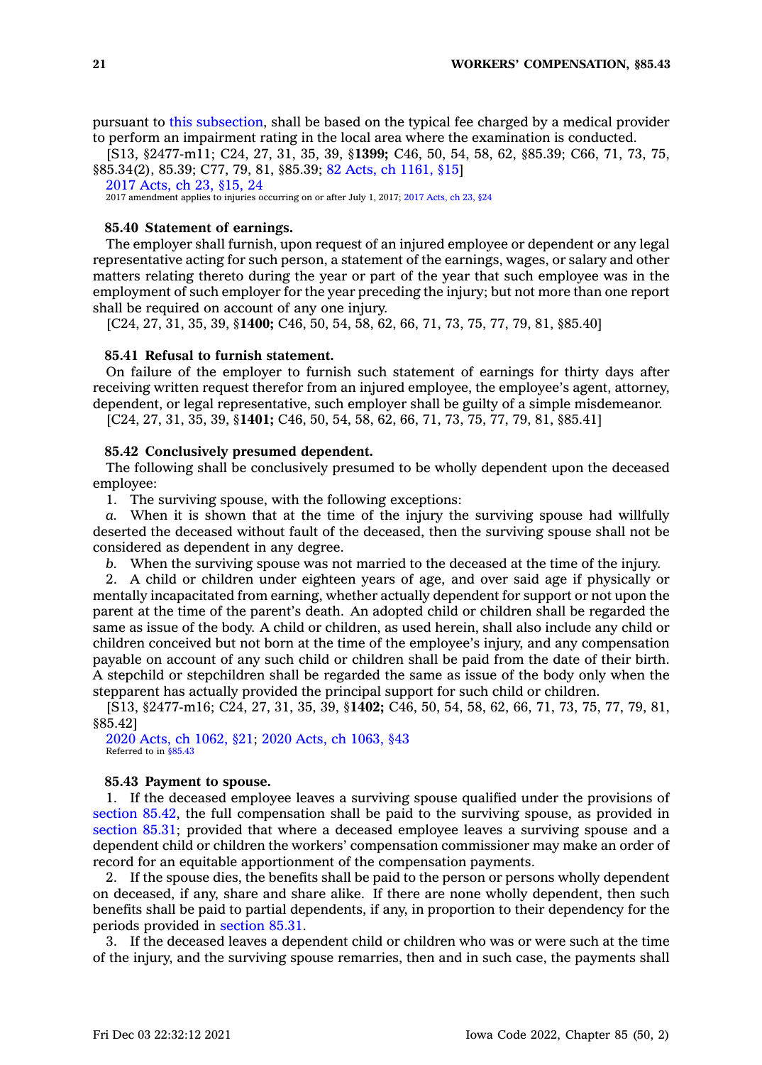pursuant to this [subsection](https://www.legis.iowa.gov/docs/code/85.39.pdf), shall be based on the typical fee charged by <sup>a</sup> medical provider to perform an impairment rating in the local area where the examination is conducted.

[S13, §2477-m11; C24, 27, 31, 35, 39, §**1399;** C46, 50, 54, 58, 62, §85.39; C66, 71, 73, 75, §85.34(2), 85.39; C77, 79, 81, §85.39; 82 Acts, ch [1161,](https://www.legis.iowa.gov/docs/acts/1982/CH1161.pdf) §15]

2017 [Acts,](https://www.legis.iowa.gov/docs/acts/2017/CH0023.pdf) ch 23, §15, 24

2017 amendment applies to injuries occurring on or after July 1, 2017; 2017 [Acts,](https://www.legis.iowa.gov/docs/acts/2017/CH23.pdf) ch 23, §24

### **85.40 Statement of earnings.**

The employer shall furnish, upon request of an injured employee or dependent or any legal representative acting for such person, <sup>a</sup> statement of the earnings, wages, or salary and other matters relating thereto during the year or part of the year that such employee was in the employment of such employer for the year preceding the injury; but not more than one report shall be required on account of any one injury.

[C24, 27, 31, 35, 39, §**1400;** C46, 50, 54, 58, 62, 66, 71, 73, 75, 77, 79, 81, §85.40]

### **85.41 Refusal to furnish statement.**

On failure of the employer to furnish such statement of earnings for thirty days after receiving written request therefor from an injured employee, the employee's agent, attorney, dependent, or legal representative, such employer shall be guilty of <sup>a</sup> simple misdemeanor.

[C24, 27, 31, 35, 39, §**1401;** C46, 50, 54, 58, 62, 66, 71, 73, 75, 77, 79, 81, §85.41]

### **85.42 Conclusively presumed dependent.**

The following shall be conclusively presumed to be wholly dependent upon the deceased employee:

1. The surviving spouse, with the following exceptions:

*a.* When it is shown that at the time of the injury the surviving spouse had willfully deserted the deceased without fault of the deceased, then the surviving spouse shall not be considered as dependent in any degree.

*b.* When the surviving spouse was not married to the deceased at the time of the injury.

2. A child or children under eighteen years of age, and over said age if physically or mentally incapacitated from earning, whether actually dependent for support or not upon the parent at the time of the parent's death. An adopted child or children shall be regarded the same as issue of the body. A child or children, as used herein, shall also include any child or children conceived but not born at the time of the employee's injury, and any compensation payable on account of any such child or children shall be paid from the date of their birth. A stepchild or stepchildren shall be regarded the same as issue of the body only when the stepparent has actually provided the principal support for such child or children.

[S13, §2477-m16; C24, 27, 31, 35, 39, §**1402;** C46, 50, 54, 58, 62, 66, 71, 73, 75, 77, 79, 81, §85.42]

2020 Acts, ch [1062,](https://www.legis.iowa.gov/docs/acts/2020/CH1062.pdf) §21; 2020 Acts, ch [1063,](https://www.legis.iowa.gov/docs/acts/2020/CH1063.pdf) §43 Referred to in [§85.43](https://www.legis.iowa.gov/docs/code/85.43.pdf)

### **85.43 Payment to spouse.**

1. If the deceased employee leaves <sup>a</sup> surviving spouse qualified under the provisions of [section](https://www.legis.iowa.gov/docs/code/85.42.pdf) 85.42, the full compensation shall be paid to the surviving spouse, as provided in [section](https://www.legis.iowa.gov/docs/code/85.31.pdf) 85.31; provided that where <sup>a</sup> deceased employee leaves <sup>a</sup> surviving spouse and <sup>a</sup> dependent child or children the workers' compensation commissioner may make an order of record for an equitable apportionment of the compensation payments.

2. If the spouse dies, the benefits shall be paid to the person or persons wholly dependent on deceased, if any, share and share alike. If there are none wholly dependent, then such benefits shall be paid to partial dependents, if any, in proportion to their dependency for the periods provided in [section](https://www.legis.iowa.gov/docs/code/85.31.pdf) 85.31.

3. If the deceased leaves <sup>a</sup> dependent child or children who was or were such at the time of the injury, and the surviving spouse remarries, then and in such case, the payments shall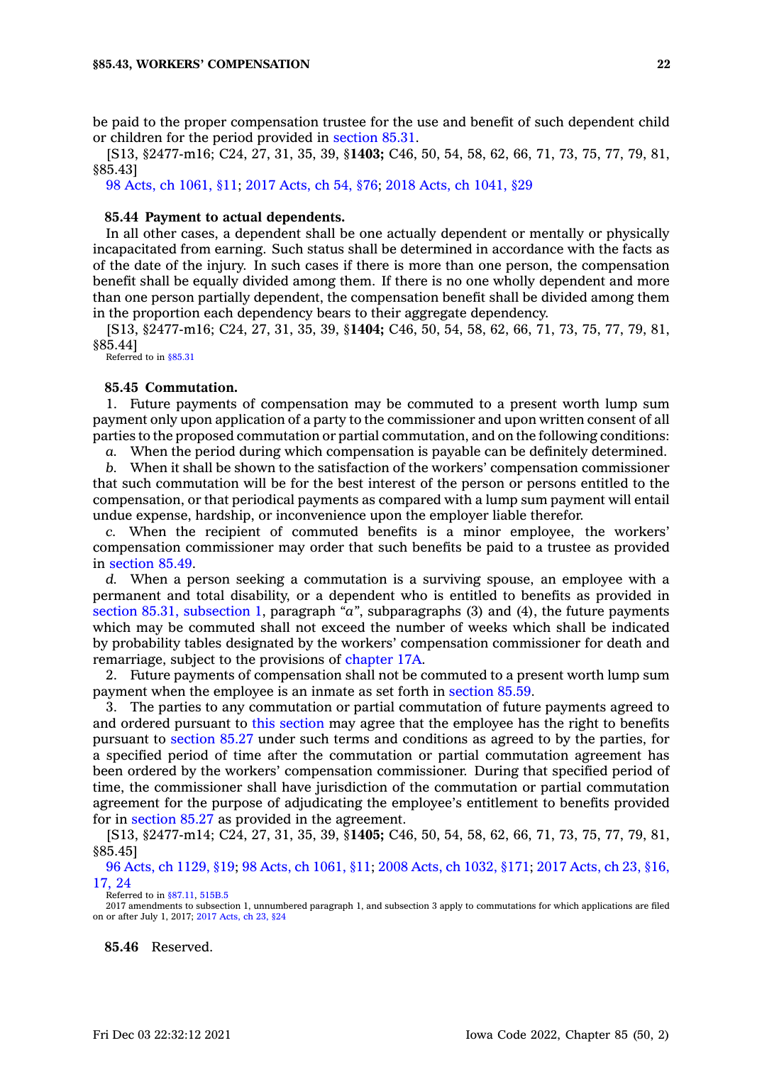be paid to the proper compensation trustee for the use and benefit of such dependent child or children for the period provided in [section](https://www.legis.iowa.gov/docs/code/85.31.pdf) 85.31.

[S13, §2477-m16; C24, 27, 31, 35, 39, §**1403;** C46, 50, 54, 58, 62, 66, 71, 73, 75, 77, 79, 81, §85.43]

98 Acts, ch [1061,](https://www.legis.iowa.gov/docs/acts/1998/CH1061.pdf) §11; 2017 [Acts,](https://www.legis.iowa.gov/docs/acts/2017/CH0054.pdf) ch 54, §76; 2018 Acts, ch [1041,](https://www.legis.iowa.gov/docs/acts/2018/CH1041.pdf) §29

### **85.44 Payment to actual dependents.**

In all other cases, <sup>a</sup> dependent shall be one actually dependent or mentally or physically incapacitated from earning. Such status shall be determined in accordance with the facts as of the date of the injury. In such cases if there is more than one person, the compensation benefit shall be equally divided among them. If there is no one wholly dependent and more than one person partially dependent, the compensation benefit shall be divided among them in the proportion each dependency bears to their aggregate dependency.

[S13, §2477-m16; C24, 27, 31, 35, 39, §**1404;** C46, 50, 54, 58, 62, 66, 71, 73, 75, 77, 79, 81, §85.44]

Referred to in [§85.31](https://www.legis.iowa.gov/docs/code/85.31.pdf)

### **85.45 Commutation.**

1. Future payments of compensation may be commuted to <sup>a</sup> present worth lump sum payment only upon application of <sup>a</sup> party to the commissioner and upon written consent of all parties to the proposed commutation or partial commutation, and on the following conditions:

*a.* When the period during which compensation is payable can be definitely determined.

*b.* When it shall be shown to the satisfaction of the workers' compensation commissioner that such commutation will be for the best interest of the person or persons entitled to the compensation, or that periodical payments as compared with <sup>a</sup> lump sum payment will entail undue expense, hardship, or inconvenience upon the employer liable therefor.

*c.* When the recipient of commuted benefits is <sup>a</sup> minor employee, the workers' compensation commissioner may order that such benefits be paid to <sup>a</sup> trustee as provided in [section](https://www.legis.iowa.gov/docs/code/85.49.pdf) 85.49.

*d.* When <sup>a</sup> person seeking <sup>a</sup> commutation is <sup>a</sup> surviving spouse, an employee with <sup>a</sup> permanent and total disability, or <sup>a</sup> dependent who is entitled to benefits as provided in section 85.31, [subsection](https://www.legis.iowa.gov/docs/code/85.31.pdf) 1, paragraph *"a"*, subparagraphs (3) and (4), the future payments which may be commuted shall not exceed the number of weeks which shall be indicated by probability tables designated by the workers' compensation commissioner for death and remarriage, subject to the provisions of [chapter](https://www.legis.iowa.gov/docs/code//17A.pdf) 17A.

2. Future payments of compensation shall not be commuted to <sup>a</sup> present worth lump sum payment when the employee is an inmate as set forth in [section](https://www.legis.iowa.gov/docs/code/85.59.pdf) 85.59.

3. The parties to any commutation or partial commutation of future payments agreed to and ordered pursuant to this [section](https://www.legis.iowa.gov/docs/code/85.45.pdf) may agree that the employee has the right to benefits pursuant to [section](https://www.legis.iowa.gov/docs/code/85.27.pdf) 85.27 under such terms and conditions as agreed to by the parties, for <sup>a</sup> specified period of time after the commutation or partial commutation agreement has been ordered by the workers' compensation commissioner. During that specified period of time, the commissioner shall have jurisdiction of the commutation or partial commutation agreement for the purpose of adjudicating the employee's entitlement to benefits provided for in [section](https://www.legis.iowa.gov/docs/code/85.27.pdf) 85.27 as provided in the agreement.

[S13, §2477-m14; C24, 27, 31, 35, 39, §**1405;** C46, 50, 54, 58, 62, 66, 71, 73, 75, 77, 79, 81, §85.45]

96 Acts, ch [1129,](https://www.legis.iowa.gov/docs/acts/1996/CH1129.pdf) §19; 98 Acts, ch [1061,](https://www.legis.iowa.gov/docs/acts/98/CH1061.pdf) §11; 2008 Acts, ch [1032,](https://www.legis.iowa.gov/docs/acts/2008/CH1032.pdf) §171; 2017 [Acts,](https://www.legis.iowa.gov/docs/acts/2017/CH0023.pdf) ch 23, §16, [17,](https://www.legis.iowa.gov/docs/acts/2017/CH0023.pdf) 24

Referred to in [§87.11](https://www.legis.iowa.gov/docs/code/87.11.pdf), [515B.5](https://www.legis.iowa.gov/docs/code/515B.5.pdf)

2017 amendments to subsection 1, unnumbered paragraph 1, and subsection 3 apply to commutations for which applications are filed on or after July 1, 2017; 2017 [Acts,](https://www.legis.iowa.gov/docs/acts/2017/CH23.pdf) ch 23, §24

**85.46** Reserved.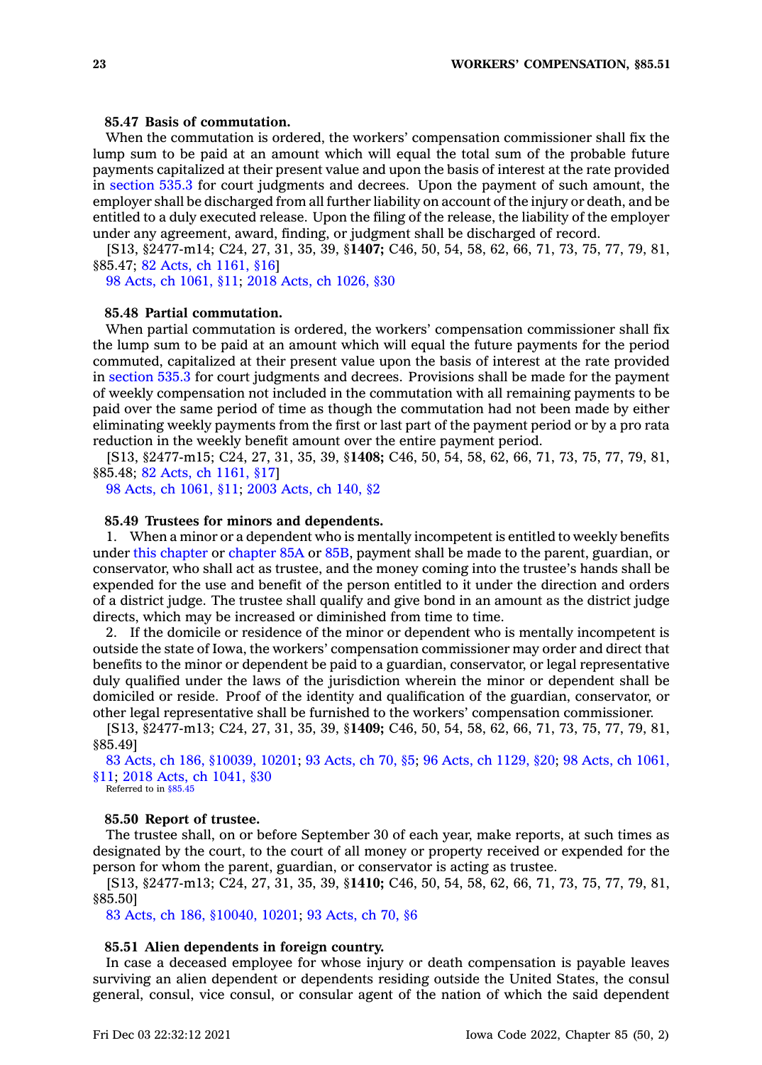### **85.47 Basis of commutation.**

When the commutation is ordered, the workers' compensation commissioner shall fix the lump sum to be paid at an amount which will equal the total sum of the probable future payments capitalized at their present value and upon the basis of interest at the rate provided in [section](https://www.legis.iowa.gov/docs/code/535.3.pdf) 535.3 for court judgments and decrees. Upon the payment of such amount, the employer shall be discharged from all further liability on account of the injury or death, and be entitled to <sup>a</sup> duly executed release. Upon the filing of the release, the liability of the employer under any agreement, award, finding, or judgment shall be discharged of record.

[S13, §2477-m14; C24, 27, 31, 35, 39, §**1407;** C46, 50, 54, 58, 62, 66, 71, 73, 75, 77, 79, 81, §85.47; 82 Acts, ch [1161,](https://www.legis.iowa.gov/docs/acts/1982/CH1161.pdf) §16]

98 Acts, ch [1061,](https://www.legis.iowa.gov/docs/acts/1998/CH1061.pdf) §11; 2018 Acts, ch [1026,](https://www.legis.iowa.gov/docs/acts/2018/CH1026.pdf) §30

### **85.48 Partial commutation.**

When partial commutation is ordered, the workers' compensation commissioner shall fix the lump sum to be paid at an amount which will equal the future payments for the period commuted, capitalized at their present value upon the basis of interest at the rate provided in [section](https://www.legis.iowa.gov/docs/code/535.3.pdf) 535.3 for court judgments and decrees. Provisions shall be made for the payment of weekly compensation not included in the commutation with all remaining payments to be paid over the same period of time as though the commutation had not been made by either eliminating weekly payments from the first or last part of the payment period or by <sup>a</sup> pro rata reduction in the weekly benefit amount over the entire payment period.

[S13, §2477-m15; C24, 27, 31, 35, 39, §**1408;** C46, 50, 54, 58, 62, 66, 71, 73, 75, 77, 79, 81, §85.48; 82 Acts, ch [1161,](https://www.legis.iowa.gov/docs/acts/1982/CH1161.pdf) §17]

98 Acts, ch [1061,](https://www.legis.iowa.gov/docs/acts/1998/CH1061.pdf) §11; 2003 [Acts,](https://www.legis.iowa.gov/docs/acts/2003/CH0140.pdf) ch 140, §2

#### **85.49 Trustees for minors and dependents.**

1. When <sup>a</sup> minor or <sup>a</sup> dependent who is mentally incompetent is entitled to weekly benefits under this [chapter](https://www.legis.iowa.gov/docs/code//85.pdf) or [chapter](https://www.legis.iowa.gov/docs/code//85A.pdf) 85A or [85B](https://www.legis.iowa.gov/docs/code//85B.pdf), payment shall be made to the parent, guardian, or conservator, who shall act as trustee, and the money coming into the trustee's hands shall be expended for the use and benefit of the person entitled to it under the direction and orders of <sup>a</sup> district judge. The trustee shall qualify and give bond in an amount as the district judge directs, which may be increased or diminished from time to time.

2. If the domicile or residence of the minor or dependent who is mentally incompetent is outside the state of Iowa, the workers' compensation commissioner may order and direct that benefits to the minor or dependent be paid to <sup>a</sup> guardian, conservator, or legal representative duly qualified under the laws of the jurisdiction wherein the minor or dependent shall be domiciled or reside. Proof of the identity and qualification of the guardian, conservator, or other legal representative shall be furnished to the workers' compensation commissioner.

[S13, §2477-m13; C24, 27, 31, 35, 39, §**1409;** C46, 50, 54, 58, 62, 66, 71, 73, 75, 77, 79, 81, §85.49]

83 Acts, ch 186, [§10039,](https://www.legis.iowa.gov/docs/acts/1983/CH0186.pdf) 10201; 93 [Acts,](https://www.legis.iowa.gov/docs/acts/93/CH0070.pdf) ch 70, §5; 96 Acts, ch [1129,](https://www.legis.iowa.gov/docs/acts/96/CH1129.pdf) §20; 98 Acts, ch [1061,](https://www.legis.iowa.gov/docs/acts/98/CH1061.pdf) [§11](https://www.legis.iowa.gov/docs/acts/98/CH1061.pdf); 2018 Acts, ch [1041,](https://www.legis.iowa.gov/docs/acts/2018/CH1041.pdf) §30

Referred to in [§85.45](https://www.legis.iowa.gov/docs/code/85.45.pdf)

#### **85.50 Report of trustee.**

The trustee shall, on or before September 30 of each year, make reports, at such times as designated by the court, to the court of all money or property received or expended for the person for whom the parent, guardian, or conservator is acting as trustee.

[S13, §2477-m13; C24, 27, 31, 35, 39, §**1410;** C46, 50, 54, 58, 62, 66, 71, 73, 75, 77, 79, 81, §85.50]

83 Acts, ch 186, [§10040,](https://www.legis.iowa.gov/docs/acts/1983/CH0186.pdf) 10201; 93 [Acts,](https://www.legis.iowa.gov/docs/acts/1993/CH0070.pdf) ch 70, §6

### **85.51 Alien dependents in foreign country.**

In case <sup>a</sup> deceased employee for whose injury or death compensation is payable leaves surviving an alien dependent or dependents residing outside the United States, the consul general, consul, vice consul, or consular agent of the nation of which the said dependent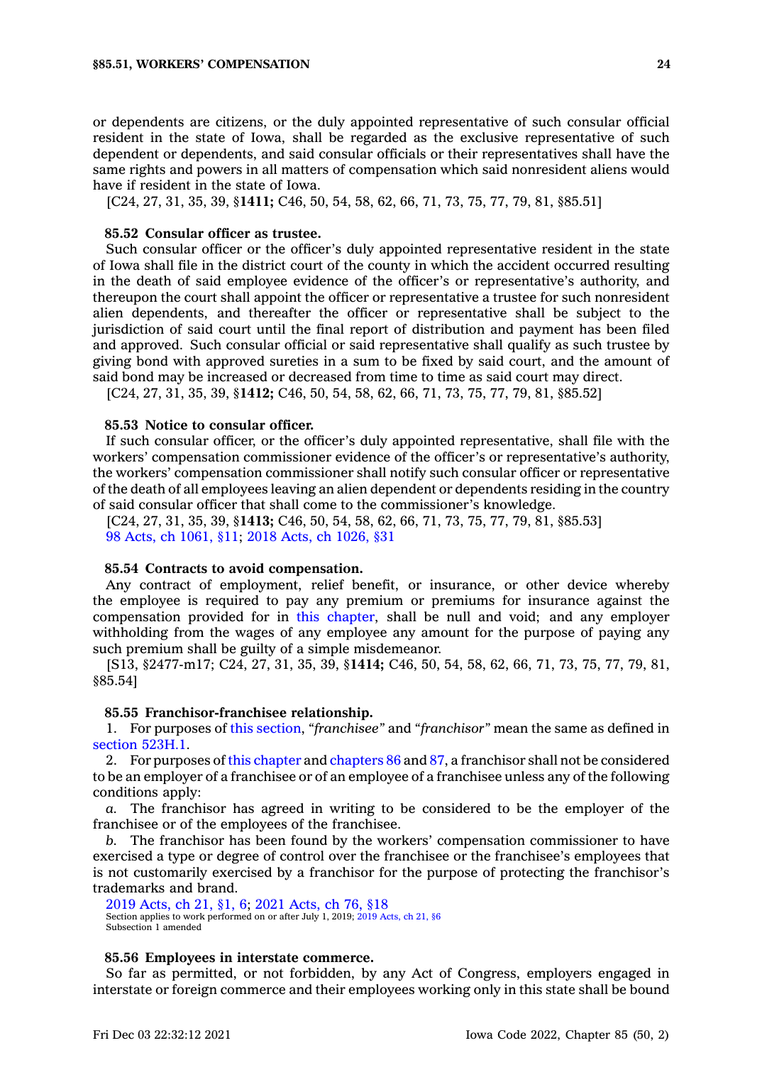or dependents are citizens, or the duly appointed representative of such consular official resident in the state of Iowa, shall be regarded as the exclusive representative of such dependent or dependents, and said consular officials or their representatives shall have the same rights and powers in all matters of compensation which said nonresident aliens would have if resident in the state of Iowa.

[C24, 27, 31, 35, 39, §**1411;** C46, 50, 54, 58, 62, 66, 71, 73, 75, 77, 79, 81, §85.51]

#### **85.52 Consular officer as trustee.**

Such consular officer or the officer's duly appointed representative resident in the state of Iowa shall file in the district court of the county in which the accident occurred resulting in the death of said employee evidence of the officer's or representative's authority, and thereupon the court shall appoint the officer or representative <sup>a</sup> trustee for such nonresident alien dependents, and thereafter the officer or representative shall be subject to the jurisdiction of said court until the final report of distribution and payment has been filed and approved. Such consular official or said representative shall qualify as such trustee by giving bond with approved sureties in <sup>a</sup> sum to be fixed by said court, and the amount of said bond may be increased or decreased from time to time as said court may direct.

[C24, 27, 31, 35, 39, §**1412;** C46, 50, 54, 58, 62, 66, 71, 73, 75, 77, 79, 81, §85.52]

### **85.53 Notice to consular officer.**

If such consular officer, or the officer's duly appointed representative, shall file with the workers' compensation commissioner evidence of the officer's or representative's authority, the workers' compensation commissioner shall notify such consular officer or representative of the death of all employees leaving an alien dependent or dependents residing in the country of said consular officer that shall come to the commissioner's knowledge.

[C24, 27, 31, 35, 39, §**1413;** C46, 50, 54, 58, 62, 66, 71, 73, 75, 77, 79, 81, §85.53] 98 Acts, ch [1061,](https://www.legis.iowa.gov/docs/acts/1998/CH1061.pdf) §11; 2018 Acts, ch [1026,](https://www.legis.iowa.gov/docs/acts/2018/CH1026.pdf) §31

### **85.54 Contracts to avoid compensation.**

Any contract of employment, relief benefit, or insurance, or other device whereby the employee is required to pay any premium or premiums for insurance against the compensation provided for in this [chapter](https://www.legis.iowa.gov/docs/code//85.pdf), shall be null and void; and any employer withholding from the wages of any employee any amount for the purpose of paying any such premium shall be guilty of <sup>a</sup> simple misdemeanor.

[S13, §2477-m17; C24, 27, 31, 35, 39, §**1414;** C46, 50, 54, 58, 62, 66, 71, 73, 75, 77, 79, 81, §85.54]

#### **85.55 Franchisor-franchisee relationship.**

1. For purposes of this [section](https://www.legis.iowa.gov/docs/code/85.55.pdf), *"franchisee"* and *"franchisor"* mean the same as defined in section [523H.1](https://www.legis.iowa.gov/docs/code/523H.1.pdf).

2. For purposes of this [chapter](https://www.legis.iowa.gov/docs/code//85.pdf) and [chapters](https://www.legis.iowa.gov/docs/code//86.pdf) 86 and [87](https://www.legis.iowa.gov/docs/code//87.pdf), <sup>a</sup> franchisor shall not be considered to be an employer of <sup>a</sup> franchisee or of an employee of <sup>a</sup> franchisee unless any of the following conditions apply:

*a.* The franchisor has agreed in writing to be considered to be the employer of the franchisee or of the employees of the franchisee.

*b.* The franchisor has been found by the workers' compensation commissioner to have exercised <sup>a</sup> type or degree of control over the franchisee or the franchisee's employees that is not customarily exercised by <sup>a</sup> franchisor for the purpose of protecting the franchisor's trademarks and brand.

```
2019 Acts, ch 21, §1, 6; 2021 Acts, ch 76, §18
Acts, ch 21, §6
Subsection 1 amended
```
### **85.56 Employees in interstate commerce.**

So far as permitted, or not forbidden, by any Act of Congress, employers engaged in interstate or foreign commerce and their employees working only in this state shall be bound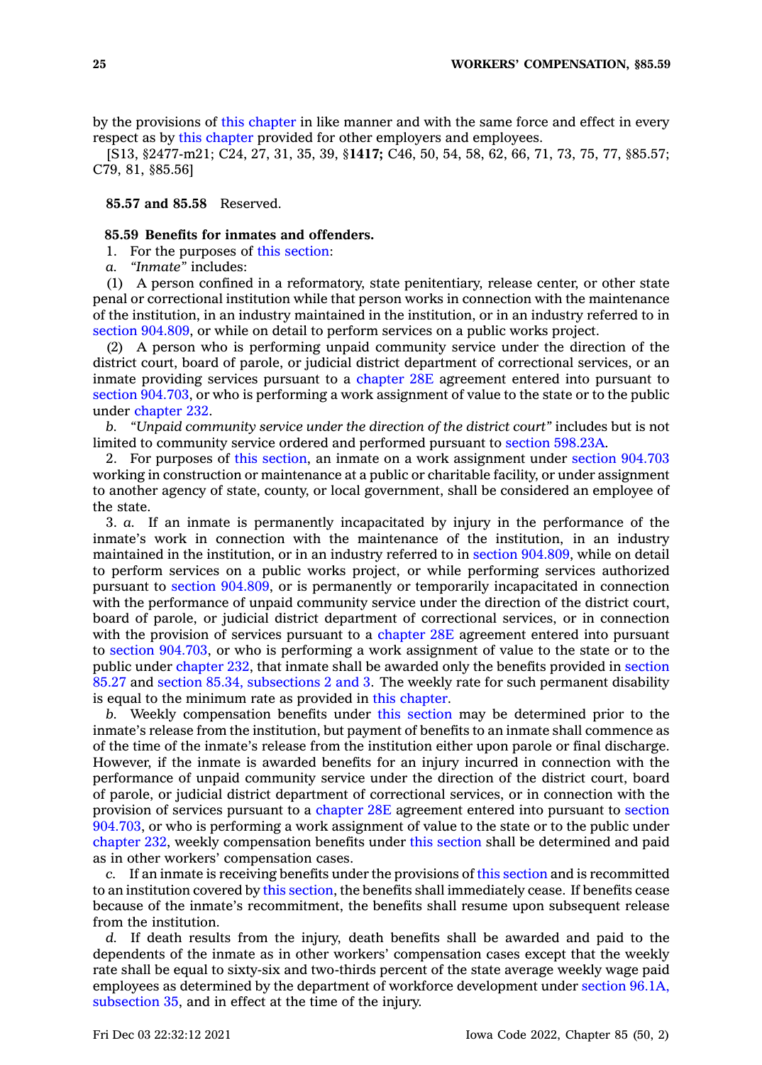by the provisions of this [chapter](https://www.legis.iowa.gov/docs/code//85.pdf) in like manner and with the same force and effect in every respect as by this [chapter](https://www.legis.iowa.gov/docs/code//85.pdf) provided for other employers and employees.

[S13, §2477-m21; C24, 27, 31, 35, 39, §**1417;** C46, 50, 54, 58, 62, 66, 71, 73, 75, 77, §85.57; C79, 81, §85.56]

**85.57 and 85.58** Reserved.

# **85.59 Benefits for inmates and offenders.**

- 1. For the purposes of this [section](https://www.legis.iowa.gov/docs/code/85.59.pdf):
- *a. "Inmate"* includes:

(1) A person confined in <sup>a</sup> reformatory, state penitentiary, release center, or other state penal or correctional institution while that person works in connection with the maintenance of the institution, in an industry maintained in the institution, or in an industry referred to in section [904.809](https://www.legis.iowa.gov/docs/code/904.809.pdf), or while on detail to perform services on <sup>a</sup> public works project.

(2) A person who is performing unpaid community service under the direction of the district court, board of parole, or judicial district department of correctional services, or an inmate providing services pursuant to <sup>a</sup> [chapter](https://www.legis.iowa.gov/docs/code//28E.pdf) 28E agreement entered into pursuant to section [904.703](https://www.legis.iowa.gov/docs/code/904.703.pdf), or who is performing <sup>a</sup> work assignment of value to the state or to the public under [chapter](https://www.legis.iowa.gov/docs/code//232.pdf) 232.

*b. "Unpaid community service under the direction of the district court"* includes but is not limited to community service ordered and performed pursuant to section [598.23A](https://www.legis.iowa.gov/docs/code/598.23A.pdf).

2. For purposes of this [section](https://www.legis.iowa.gov/docs/code/85.59.pdf), an inmate on <sup>a</sup> work assignment under section [904.703](https://www.legis.iowa.gov/docs/code/904.703.pdf) working in construction or maintenance at <sup>a</sup> public or charitable facility, or under assignment to another agency of state, county, or local government, shall be considered an employee of the state.

3. *a.* If an inmate is permanently incapacitated by injury in the performance of the inmate's work in connection with the maintenance of the institution, in an industry maintained in the institution, or in an industry referred to in section [904.809](https://www.legis.iowa.gov/docs/code/904.809.pdf), while on detail to perform services on <sup>a</sup> public works project, or while performing services authorized pursuant to section [904.809](https://www.legis.iowa.gov/docs/code/904.809.pdf), or is permanently or temporarily incapacitated in connection with the performance of unpaid community service under the direction of the district court, board of parole, or judicial district department of correctional services, or in connection with the provision of services pursuant to a [chapter](https://www.legis.iowa.gov/docs/code//28E.pdf) 28E agreement entered into pursuant to section [904.703](https://www.legis.iowa.gov/docs/code/904.703.pdf), or who is performing <sup>a</sup> work assignment of value to the state or to the public under [chapter](https://www.legis.iowa.gov/docs/code//232.pdf) 232, that inmate shall be awarded only the benefits provided in [section](https://www.legis.iowa.gov/docs/code/85.27.pdf) [85.27](https://www.legis.iowa.gov/docs/code/85.27.pdf) and section 85.34, [subsections](https://www.legis.iowa.gov/docs/code/85.34.pdf) 2 and 3. The weekly rate for such permanent disability is equal to the minimum rate as provided in this [chapter](https://www.legis.iowa.gov/docs/code//85.pdf).

*b.* Weekly compensation benefits under this [section](https://www.legis.iowa.gov/docs/code/85.59.pdf) may be determined prior to the inmate's release from the institution, but payment of benefits to an inmate shall commence as of the time of the inmate's release from the institution either upon parole or final discharge. However, if the inmate is awarded benefits for an injury incurred in connection with the performance of unpaid community service under the direction of the district court, board of parole, or judicial district department of correctional services, or in connection with the provision of services pursuant to <sup>a</sup> [chapter](https://www.legis.iowa.gov/docs/code//28E.pdf) 28E agreement entered into pursuant to [section](https://www.legis.iowa.gov/docs/code/904.703.pdf) [904.703](https://www.legis.iowa.gov/docs/code/904.703.pdf), or who is performing <sup>a</sup> work assignment of value to the state or to the public under [chapter](https://www.legis.iowa.gov/docs/code//232.pdf) 232, weekly compensation benefits under this [section](https://www.legis.iowa.gov/docs/code/85.59.pdf) shall be determined and paid as in other workers' compensation cases.

*c.* If an inmate is receiving benefits under the provisions of this [section](https://www.legis.iowa.gov/docs/code/85.59.pdf) and is recommitted to an institution covered by this [section](https://www.legis.iowa.gov/docs/code/85.59.pdf), the benefits shall immediately cease. If benefits cease because of the inmate's recommitment, the benefits shall resume upon subsequent release from the institution.

*d.* If death results from the injury, death benefits shall be awarded and paid to the dependents of the inmate as in other workers' compensation cases except that the weekly rate shall be equal to sixty-six and two-thirds percent of the state average weekly wage paid employees as determined by the department of workforce development under section [96.1A,](https://www.legis.iowa.gov/docs/code/96.1A.pdf) [subsection](https://www.legis.iowa.gov/docs/code/96.1A.pdf) 35, and in effect at the time of the injury.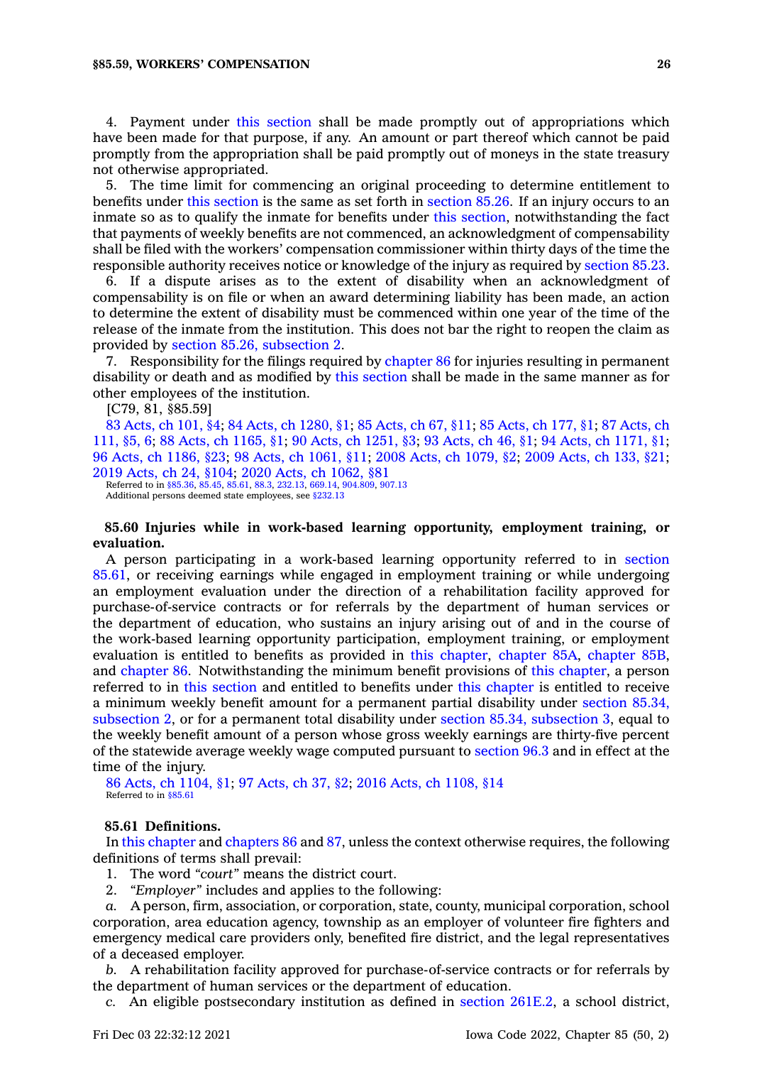4. Payment under this [section](https://www.legis.iowa.gov/docs/code/85.59.pdf) shall be made promptly out of appropriations which have been made for that purpose, if any. An amount or part thereof which cannot be paid promptly from the appropriation shall be paid promptly out of moneys in the state treasury not otherwise appropriated.

5. The time limit for commencing an original proceeding to determine entitlement to benefits under this [section](https://www.legis.iowa.gov/docs/code/85.59.pdf) is the same as set forth in [section](https://www.legis.iowa.gov/docs/code/85.26.pdf) 85.26. If an injury occurs to an inmate so as to qualify the inmate for benefits under this [section](https://www.legis.iowa.gov/docs/code/85.59.pdf), notwithstanding the fact that payments of weekly benefits are not commenced, an acknowledgment of compensability shall be filed with the workers' compensation commissioner within thirty days of the time the responsible authority receives notice or knowledge of the injury as required by [section](https://www.legis.iowa.gov/docs/code/85.23.pdf) 85.23.

6. If <sup>a</sup> dispute arises as to the extent of disability when an acknowledgment of compensability is on file or when an award determining liability has been made, an action to determine the extent of disability must be commenced within one year of the time of the release of the inmate from the institution. This does not bar the right to reopen the claim as provided by section 85.26, [subsection](https://www.legis.iowa.gov/docs/code/85.26.pdf) 2.

7. Responsibility for the filings required by [chapter](https://www.legis.iowa.gov/docs/code//86.pdf) 86 for injuries resulting in permanent disability or death and as modified by this [section](https://www.legis.iowa.gov/docs/code/85.59.pdf) shall be made in the same manner as for other employees of the institution.

[C79, 81, §85.59]

83 [Acts,](https://www.legis.iowa.gov/docs/acts/1983/CH0101.pdf) ch 101, §4; 84 Acts, ch [1280,](https://www.legis.iowa.gov/docs/acts/84/CH1280.pdf) §1; 85 [Acts,](https://www.legis.iowa.gov/docs/acts/85/CH0067.pdf) ch 67, §11; 85 [Acts,](https://www.legis.iowa.gov/docs/acts/85/CH0177.pdf) ch 177, §1; 87 [Acts,](https://www.legis.iowa.gov/docs/acts/87/CH0111.pdf) ch [111,](https://www.legis.iowa.gov/docs/acts/87/CH0111.pdf) §5, 6; 88 Acts, ch [1165,](https://www.legis.iowa.gov/docs/acts/88/CH1165.pdf) §1; 90 Acts, ch [1251,](https://www.legis.iowa.gov/docs/acts/90/CH1251.pdf) §3; 93 [Acts,](https://www.legis.iowa.gov/docs/acts/93/CH0046.pdf) ch 46, §1; 94 Acts, ch [1171,](https://www.legis.iowa.gov/docs/acts/94/CH1171.pdf) §1; 96 Acts, ch [1186,](https://www.legis.iowa.gov/docs/acts/96/CH1186.pdf) §23; 98 Acts, ch [1061,](https://www.legis.iowa.gov/docs/acts/98/CH1061.pdf) §11; 2008 Acts, ch [1079,](https://www.legis.iowa.gov/docs/acts/2008/CH1079.pdf) §2; 2009 [Acts,](https://www.legis.iowa.gov/docs/acts/2009/CH0133.pdf) ch 133, §21; 2019 [Acts,](https://www.legis.iowa.gov/docs/acts/2019/CH0024.pdf) ch 24, §104; 2020 Acts, ch [1062,](https://www.legis.iowa.gov/docs/acts/2020/CH1062.pdf) §81 Referred to in [§85.36](https://www.legis.iowa.gov/docs/code/85.36.pdf), [85.45](https://www.legis.iowa.gov/docs/code/85.45.pdf), [85.61](https://www.legis.iowa.gov/docs/code/85.61.pdf), [88.3](https://www.legis.iowa.gov/docs/code/88.3.pdf), [232.13](https://www.legis.iowa.gov/docs/code/232.13.pdf), [669.14](https://www.legis.iowa.gov/docs/code/669.14.pdf), [904.809](https://www.legis.iowa.gov/docs/code/904.809.pdf), [907.13](https://www.legis.iowa.gov/docs/code/907.13.pdf)

Additional persons deemed state employees, see [§232.13](https://www.legis.iowa.gov/docs/code/232.13.pdf)

### **85.60 Injuries while in work-based learning opportunity, employment training, or evaluation.**

A person participating in <sup>a</sup> work-based learning opportunity referred to in [section](https://www.legis.iowa.gov/docs/code/85.61.pdf) [85.61](https://www.legis.iowa.gov/docs/code/85.61.pdf), or receiving earnings while engaged in employment training or while undergoing an employment evaluation under the direction of <sup>a</sup> rehabilitation facility approved for purchase-of-service contracts or for referrals by the department of human services or the department of education, who sustains an injury arising out of and in the course of the work-based learning opportunity participation, employment training, or employment evaluation is entitled to benefits as provided in this [chapter](https://www.legis.iowa.gov/docs/code//85.pdf), [chapter](https://www.legis.iowa.gov/docs/code//85A.pdf) 85A, [chapter](https://www.legis.iowa.gov/docs/code//85B.pdf) 85B, and [chapter](https://www.legis.iowa.gov/docs/code//86.pdf) 86. Notwithstanding the minimum benefit provisions of this [chapter](https://www.legis.iowa.gov/docs/code//85.pdf), <sup>a</sup> person referred to in this [section](https://www.legis.iowa.gov/docs/code/85.60.pdf) and entitled to benefits under this [chapter](https://www.legis.iowa.gov/docs/code//85.pdf) is entitled to receive <sup>a</sup> minimum weekly benefit amount for <sup>a</sup> permanent partial disability under [section](https://www.legis.iowa.gov/docs/code/85.34.pdf) 85.34, [subsection](https://www.legis.iowa.gov/docs/code/85.34.pdf) 2, or for <sup>a</sup> permanent total disability under section 85.34, [subsection](https://www.legis.iowa.gov/docs/code/85.34.pdf) 3, equal to the weekly benefit amount of <sup>a</sup> person whose gross weekly earnings are thirty-five percent of the statewide average weekly wage computed pursuant to [section](https://www.legis.iowa.gov/docs/code/96.3.pdf) 96.3 and in effect at the time of the injury.

86 Acts, ch [1104,](https://www.legis.iowa.gov/docs/acts/1986/CH1104.pdf) §1; 97 [Acts,](https://www.legis.iowa.gov/docs/acts/97/CH0037.pdf) ch 37, §2; 2016 Acts, ch [1108,](https://www.legis.iowa.gov/docs/acts/2016/CH1108.pdf) §14 Referred to in [§85.61](https://www.legis.iowa.gov/docs/code/85.61.pdf)

### **85.61 Definitions.**

In this [chapter](https://www.legis.iowa.gov/docs/code//85.pdf) and [chapters](https://www.legis.iowa.gov/docs/code//86.pdf) 86 and [87](https://www.legis.iowa.gov/docs/code//87.pdf), unless the context otherwise requires, the following definitions of terms shall prevail:

- 1. The word *"court"* means the district court.
- 2. *"Employer"* includes and applies to the following:

*a.* A person, firm, association, or corporation, state, county, municipal corporation, school corporation, area education agency, township as an employer of volunteer fire fighters and emergency medical care providers only, benefited fire district, and the legal representatives of <sup>a</sup> deceased employer.

*b.* A rehabilitation facility approved for purchase-of-service contracts or for referrals by the department of human services or the department of education.

*c.* An eligible postsecondary institution as defined in section [261E.2](https://www.legis.iowa.gov/docs/code/261E.2.pdf), <sup>a</sup> school district,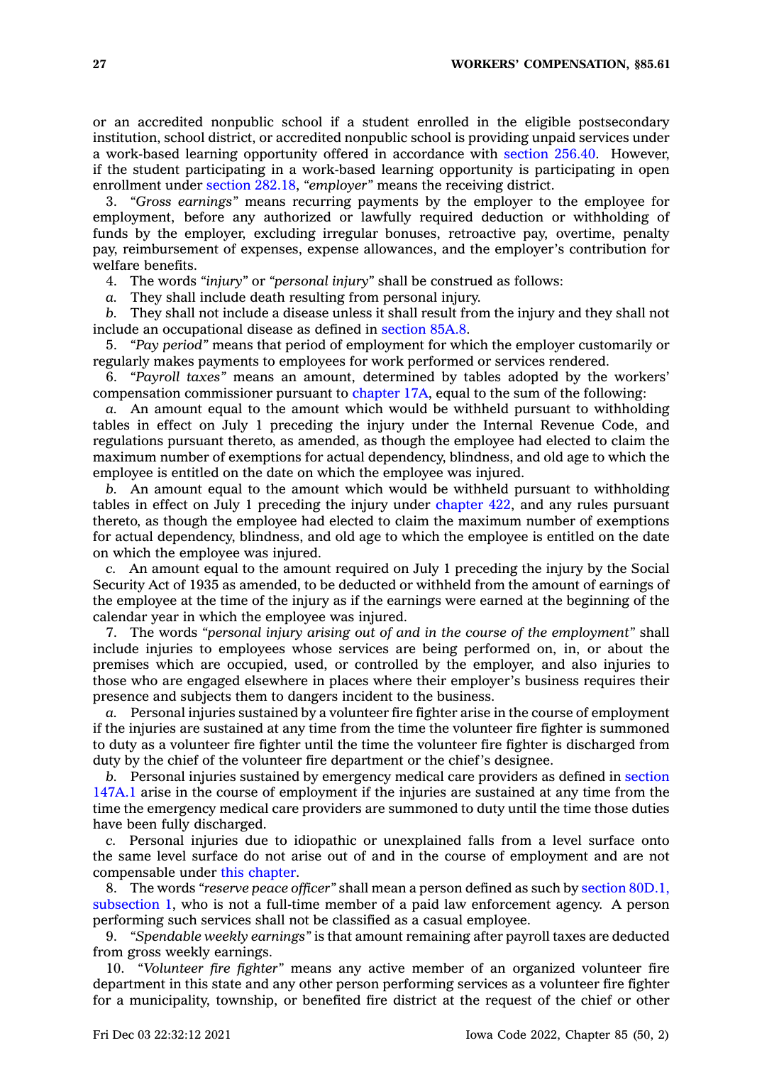or an accredited nonpublic school if <sup>a</sup> student enrolled in the eligible postsecondary institution, school district, or accredited nonpublic school is providing unpaid services under <sup>a</sup> work-based learning opportunity offered in accordance with [section](https://www.legis.iowa.gov/docs/code/256.40.pdf) 256.40. However, if the student participating in <sup>a</sup> work-based learning opportunity is participating in open enrollment under section [282.18](https://www.legis.iowa.gov/docs/code/282.18.pdf), *"employer"* means the receiving district.

3. *"Gross earnings"* means recurring payments by the employer to the employee for employment, before any authorized or lawfully required deduction or withholding of funds by the employer, excluding irregular bonuses, retroactive pay, overtime, penalty pay, reimbursement of expenses, expense allowances, and the employer's contribution for welfare benefits.

4. The words *"injury"* or *"personal injury"* shall be construed as follows:

*a.* They shall include death resulting from personal injury.

*b.* They shall not include <sup>a</sup> disease unless it shall result from the injury and they shall not include an occupational disease as defined in [section](https://www.legis.iowa.gov/docs/code/85A.8.pdf) 85A.8.

5. *"Pay period"* means that period of employment for which the employer customarily or regularly makes payments to employees for work performed or services rendered.

6. *"Payroll taxes"* means an amount, determined by tables adopted by the workers' compensation commissioner pursuant to [chapter](https://www.legis.iowa.gov/docs/code//17A.pdf) 17A, equal to the sum of the following:

*a.* An amount equal to the amount which would be withheld pursuant to withholding tables in effect on July 1 preceding the injury under the Internal Revenue Code, and regulations pursuant thereto, as amended, as though the employee had elected to claim the maximum number of exemptions for actual dependency, blindness, and old age to which the employee is entitled on the date on which the employee was injured.

*b.* An amount equal to the amount which would be withheld pursuant to withholding tables in effect on July 1 preceding the injury under [chapter](https://www.legis.iowa.gov/docs/code//422.pdf) 422, and any rules pursuant thereto, as though the employee had elected to claim the maximum number of exemptions for actual dependency, blindness, and old age to which the employee is entitled on the date on which the employee was injured.

*c.* An amount equal to the amount required on July 1 preceding the injury by the Social Security Act of 1935 as amended, to be deducted or withheld from the amount of earnings of the employee at the time of the injury as if the earnings were earned at the beginning of the calendar year in which the employee was injured.

7. The words *"personal injury arising out of and in the course of the employment"* shall include injuries to employees whose services are being performed on, in, or about the premises which are occupied, used, or controlled by the employer, and also injuries to those who are engaged elsewhere in places where their employer's business requires their presence and subjects them to dangers incident to the business.

*a.* Personal injuries sustained by <sup>a</sup> volunteer fire fighter arise in the course of employment if the injuries are sustained at any time from the time the volunteer fire fighter is summoned to duty as <sup>a</sup> volunteer fire fighter until the time the volunteer fire fighter is discharged from duty by the chief of the volunteer fire department or the chief's designee.

*b.* Personal injuries sustained by emergency medical care providers as defined in [section](https://www.legis.iowa.gov/docs/code/147A.1.pdf) [147A.1](https://www.legis.iowa.gov/docs/code/147A.1.pdf) arise in the course of employment if the injuries are sustained at any time from the time the emergency medical care providers are summoned to duty until the time those duties have been fully discharged.

*c.* Personal injuries due to idiopathic or unexplained falls from <sup>a</sup> level surface onto the same level surface do not arise out of and in the course of employment and are not compensable under this [chapter](https://www.legis.iowa.gov/docs/code//85.pdf).

8. The words *"reserve peace officer"* shall mean <sup>a</sup> person defined as such by section [80D.1,](https://www.legis.iowa.gov/docs/code/80D.1.pdf) [subsection](https://www.legis.iowa.gov/docs/code/80D.1.pdf) 1, who is not <sup>a</sup> full-time member of <sup>a</sup> paid law enforcement agency. A person performing such services shall not be classified as <sup>a</sup> casual employee.

9. *"Spendable weekly earnings"* is that amount remaining after payroll taxes are deducted from gross weekly earnings.

10. *"Volunteer fire fighter"* means any active member of an organized volunteer fire department in this state and any other person performing services as <sup>a</sup> volunteer fire fighter for <sup>a</sup> municipality, township, or benefited fire district at the request of the chief or other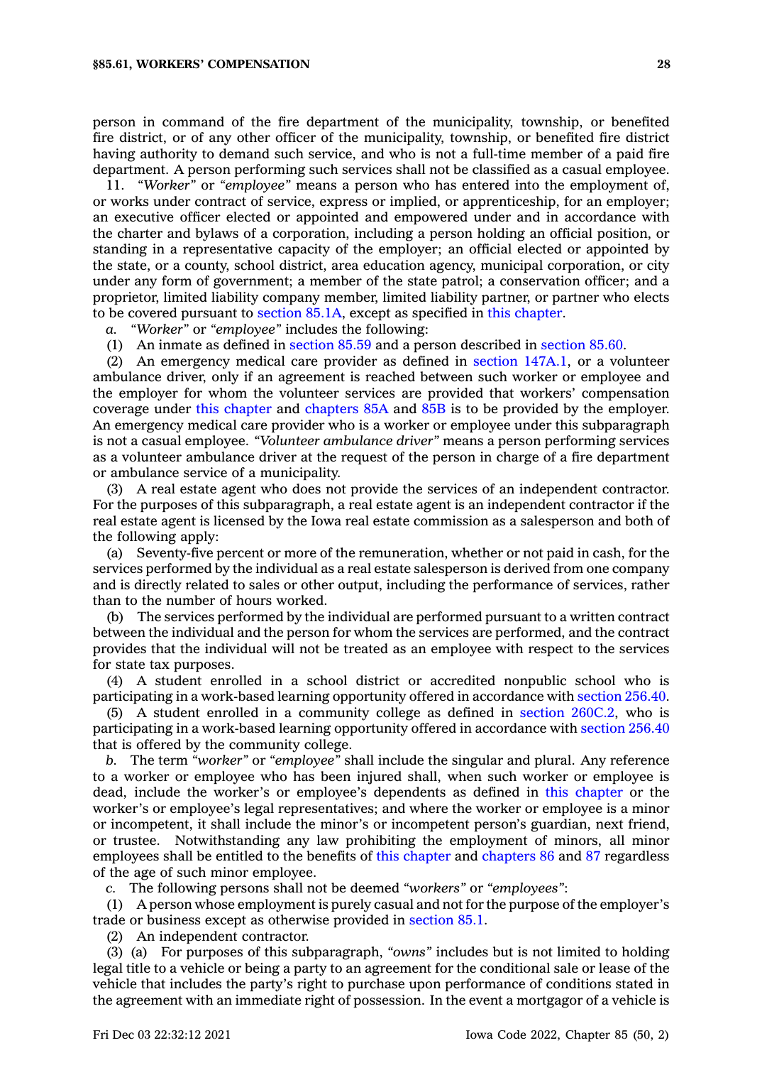person in command of the fire department of the municipality, township, or benefited fire district, or of any other officer of the municipality, township, or benefited fire district having authority to demand such service, and who is not <sup>a</sup> full-time member of <sup>a</sup> paid fire department. A person performing such services shall not be classified as <sup>a</sup> casual employee.

11. *"Worker"* or *"employee"* means <sup>a</sup> person who has entered into the employment of, or works under contract of service, express or implied, or apprenticeship, for an employer; an executive officer elected or appointed and empowered under and in accordance with the charter and bylaws of <sup>a</sup> corporation, including <sup>a</sup> person holding an official position, or standing in <sup>a</sup> representative capacity of the employer; an official elected or appointed by the state, or <sup>a</sup> county, school district, area education agency, municipal corporation, or city under any form of government; <sup>a</sup> member of the state patrol; <sup>a</sup> conservation officer; and <sup>a</sup> proprietor, limited liability company member, limited liability partner, or partner who elects to be covered pursuant to [section](https://www.legis.iowa.gov/docs/code/85.1A.pdf) 85.1A, except as specified in this [chapter](https://www.legis.iowa.gov/docs/code//85.pdf).

*a. "Worker"* or *"employee"* includes the following:

(1) An inmate as defined in [section](https://www.legis.iowa.gov/docs/code/85.59.pdf) 85.59 and <sup>a</sup> person described in [section](https://www.legis.iowa.gov/docs/code/85.60.pdf) 85.60.

(2) An emergency medical care provider as defined in section [147A.1](https://www.legis.iowa.gov/docs/code/147A.1.pdf), or <sup>a</sup> volunteer ambulance driver, only if an agreement is reached between such worker or employee and the employer for whom the volunteer services are provided that workers' compensation coverage under this [chapter](https://www.legis.iowa.gov/docs/code//85.pdf) and [chapters](https://www.legis.iowa.gov/docs/code//85A.pdf) 85A and [85B](https://www.legis.iowa.gov/docs/code//85B.pdf) is to be provided by the employer. An emergency medical care provider who is <sup>a</sup> worker or employee under this subparagraph is not <sup>a</sup> casual employee. *"Volunteer ambulance driver"* means <sup>a</sup> person performing services as <sup>a</sup> volunteer ambulance driver at the request of the person in charge of <sup>a</sup> fire department or ambulance service of <sup>a</sup> municipality.

(3) A real estate agent who does not provide the services of an independent contractor. For the purposes of this subparagraph, <sup>a</sup> real estate agent is an independent contractor if the real estate agent is licensed by the Iowa real estate commission as <sup>a</sup> salesperson and both of the following apply:

(a) Seventy-five percent or more of the remuneration, whether or not paid in cash, for the services performed by the individual as <sup>a</sup> real estate salesperson is derived from one company and is directly related to sales or other output, including the performance of services, rather than to the number of hours worked.

(b) The services performed by the individual are performed pursuant to <sup>a</sup> written contract between the individual and the person for whom the services are performed, and the contract provides that the individual will not be treated as an employee with respect to the services for state tax purposes.

(4) A student enrolled in <sup>a</sup> school district or accredited nonpublic school who is participating in <sup>a</sup> work-based learning opportunity offered in accordance with [section](https://www.legis.iowa.gov/docs/code/256.40.pdf) 256.40.

(5) A student enrolled in <sup>a</sup> community college as defined in section [260C.2](https://www.legis.iowa.gov/docs/code/260C.2.pdf), who is participating in <sup>a</sup> work-based learning opportunity offered in accordance with [section](https://www.legis.iowa.gov/docs/code/256.40.pdf) 256.40 that is offered by the community college.

*b.* The term *"worker"* or *"employee"* shall include the singular and plural. Any reference to <sup>a</sup> worker or employee who has been injured shall, when such worker or employee is dead, include the worker's or employee's dependents as defined in this [chapter](https://www.legis.iowa.gov/docs/code//85.pdf) or the worker's or employee's legal representatives; and where the worker or employee is <sup>a</sup> minor or incompetent, it shall include the minor's or incompetent person's guardian, next friend, or trustee. Notwithstanding any law prohibiting the employment of minors, all minor employees shall be entitled to the benefits of this [chapter](https://www.legis.iowa.gov/docs/code//85.pdf) and [chapters](https://www.legis.iowa.gov/docs/code//86.pdf) 86 and [87](https://www.legis.iowa.gov/docs/code//87.pdf) regardless of the age of such minor employee.

*c.* The following persons shall not be deemed *"workers"* or *"employees"*:

(1) A person whose employment is purely casual and not for the purpose of the employer's trade or business except as otherwise provided in [section](https://www.legis.iowa.gov/docs/code/85.1.pdf) 85.1.

(2) An independent contractor.

(3) (a) For purposes of this subparagraph, *"owns"* includes but is not limited to holding legal title to <sup>a</sup> vehicle or being <sup>a</sup> party to an agreement for the conditional sale or lease of the vehicle that includes the party's right to purchase upon performance of conditions stated in the agreement with an immediate right of possession. In the event <sup>a</sup> mortgagor of <sup>a</sup> vehicle is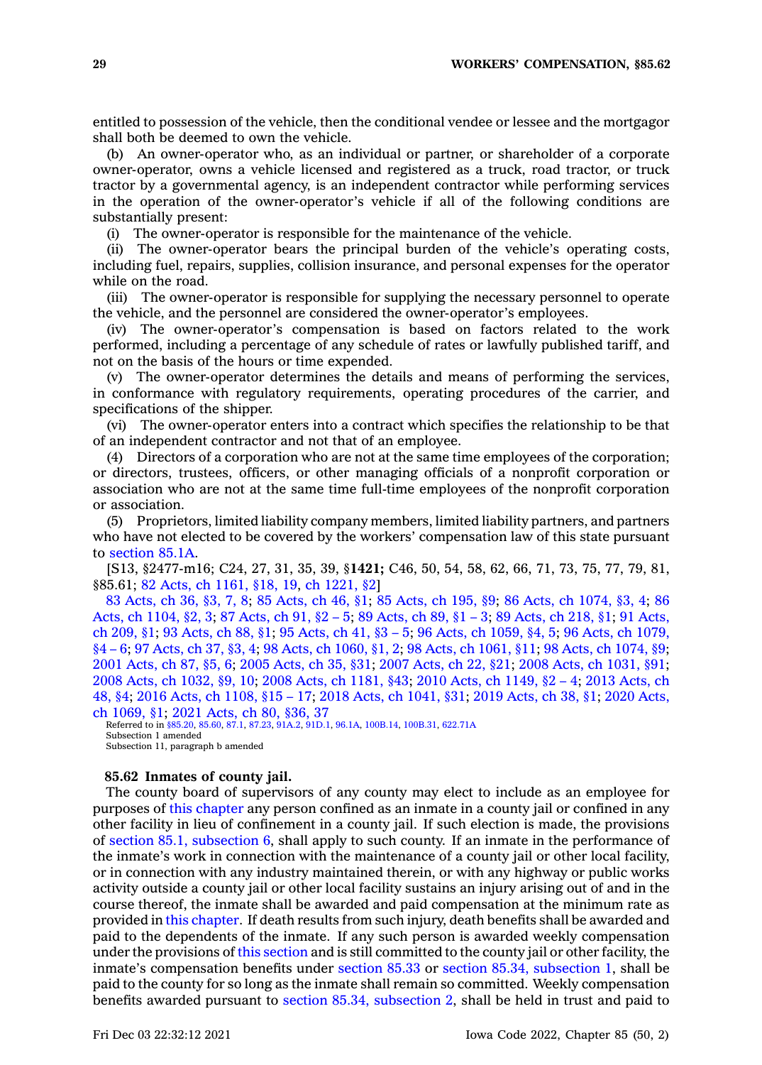entitled to possession of the vehicle, then the conditional vendee or lessee and the mortgagor shall both be deemed to own the vehicle.

(b) An owner-operator who, as an individual or partner, or shareholder of <sup>a</sup> corporate owner-operator, owns <sup>a</sup> vehicle licensed and registered as <sup>a</sup> truck, road tractor, or truck tractor by <sup>a</sup> governmental agency, is an independent contractor while performing services in the operation of the owner-operator's vehicle if all of the following conditions are substantially present:

(i) The owner-operator is responsible for the maintenance of the vehicle.

(ii) The owner-operator bears the principal burden of the vehicle's operating costs, including fuel, repairs, supplies, collision insurance, and personal expenses for the operator while on the road.

(iii) The owner-operator is responsible for supplying the necessary personnel to operate the vehicle, and the personnel are considered the owner-operator's employees.

(iv) The owner-operator's compensation is based on factors related to the work performed, including <sup>a</sup> percentage of any schedule of rates or lawfully published tariff, and not on the basis of the hours or time expended.

(v) The owner-operator determines the details and means of performing the services, in conformance with regulatory requirements, operating procedures of the carrier, and specifications of the shipper.

(vi) The owner-operator enters into <sup>a</sup> contract which specifies the relationship to be that of an independent contractor and not that of an employee.

(4) Directors of <sup>a</sup> corporation who are not at the same time employees of the corporation; or directors, trustees, officers, or other managing officials of <sup>a</sup> nonprofit corporation or association who are not at the same time full-time employees of the nonprofit corporation or association.

(5) Proprietors, limited liability company members, limited liability partners, and partners who have not elected to be covered by the workers' compensation law of this state pursuant to [section](https://www.legis.iowa.gov/docs/code/85.1A.pdf) 85.1A.

[S13, §2477-m16; C24, 27, 31, 35, 39, §**1421;** C46, 50, 54, 58, 62, 66, 71, 73, 75, 77, 79, 81, §85.61; 82 Acts, ch [1161,](https://www.legis.iowa.gov/docs/acts/1982/CH1161.pdf) §18, 19, ch [1221,](https://www.legis.iowa.gov/docs/acts/1982/CH1221.pdf) §2]

83 [Acts,](https://www.legis.iowa.gov/docs/acts/1983/CH0036.pdf) ch 36, §3, 7, 8; 85 [Acts,](https://www.legis.iowa.gov/docs/acts/85/CH0046.pdf) ch 46, §1; 85 [Acts,](https://www.legis.iowa.gov/docs/acts/85/CH0195.pdf) ch 195, §9; 86 Acts, ch [1074,](https://www.legis.iowa.gov/docs/acts/86/CH1074.pdf) §3, 4; [86](https://www.legis.iowa.gov/docs/acts/86/CH1104.pdf) Acts, ch [1104,](https://www.legis.iowa.gov/docs/acts/86/CH1104.pdf) §2, 3; 87 [Acts,](https://www.legis.iowa.gov/docs/acts/87/CH0091.pdf) ch 91, §2 – 5; 89 [Acts,](https://www.legis.iowa.gov/docs/acts/89/CH0089.pdf) ch 89, §1 – 3; 89 [Acts,](https://www.legis.iowa.gov/docs/acts/89/CH0218.pdf) ch 218, §1; 91 [Acts,](https://www.legis.iowa.gov/docs/acts/91/CH0209.pdf) ch [209,](https://www.legis.iowa.gov/docs/acts/91/CH0209.pdf) §1; 93 [Acts,](https://www.legis.iowa.gov/docs/acts/93/CH0088.pdf) ch 88, §1; 95 [Acts,](https://www.legis.iowa.gov/docs/acts/95/CH0041.pdf) ch 41, §3 – 5; 96 Acts, ch [1059,](https://www.legis.iowa.gov/docs/acts/96/CH1059.pdf) §4, 5; 96 Acts, ch [1079,](https://www.legis.iowa.gov/docs/acts/96/CH1079.pdf) [§4](https://www.legis.iowa.gov/docs/acts/96/CH1079.pdf) – 6; 97 [Acts,](https://www.legis.iowa.gov/docs/acts/97/CH0037.pdf) ch 37, §3, 4; 98 Acts, ch [1060,](https://www.legis.iowa.gov/docs/acts/98/CH1060.pdf) §1, 2; 98 Acts, ch [1061,](https://www.legis.iowa.gov/docs/acts/98/CH1061.pdf) §11; 98 Acts, ch [1074,](https://www.legis.iowa.gov/docs/acts/98/CH1074.pdf) §9; 2001 [Acts,](https://www.legis.iowa.gov/docs/acts/2001/CH0087.pdf) ch 87, §5, 6; 2005 [Acts,](https://www.legis.iowa.gov/docs/acts/2005/CH0035.pdf) ch 35, §31; 2007 [Acts,](https://www.legis.iowa.gov/docs/acts/2007/CH0022.pdf) ch 22, §21; 2008 Acts, ch [1031,](https://www.legis.iowa.gov/docs/acts/2008/CH1031.pdf) §91; 2008 Acts, ch [1032,](https://www.legis.iowa.gov/docs/acts/2008/CH1032.pdf) §9, 10; 2008 Acts, ch [1181,](https://www.legis.iowa.gov/docs/acts/2008/CH1181.pdf) §43; 2010 Acts, ch [1149,](https://www.legis.iowa.gov/docs/acts/2010/CH1149.pdf) §2 – 4; 2013 [Acts,](https://www.legis.iowa.gov/docs/acts/2013/CH0048.pdf) ch [48,](https://www.legis.iowa.gov/docs/acts/2013/CH0048.pdf) §4; 2016 Acts, ch [1108,](https://www.legis.iowa.gov/docs/acts/2016/CH1108.pdf) §15 – 17; 2018 Acts, ch [1041,](https://www.legis.iowa.gov/docs/acts/2018/CH1041.pdf) §31; 2019 [Acts,](https://www.legis.iowa.gov/docs/acts/2019/CH0038.pdf) ch 38, §1; 2020 [Acts,](https://www.legis.iowa.gov/docs/acts/2020/CH1069.pdf) ch [1069,](https://www.legis.iowa.gov/docs/acts/2020/CH1069.pdf) §1; 2021 [Acts,](https://www.legis.iowa.gov/docs/acts/2021/CH0080.pdf) ch 80, §36, 37

Referred to in [§85.20](https://www.legis.iowa.gov/docs/code/85.20.pdf), [85.60,](https://www.legis.iowa.gov/docs/code/85.60.pdf) [87.1](https://www.legis.iowa.gov/docs/code/87.1.pdf), [87.23](https://www.legis.iowa.gov/docs/code/87.23.pdf), [91A.2](https://www.legis.iowa.gov/docs/code/91A.2.pdf), [91D.1](https://www.legis.iowa.gov/docs/code/91D.1.pdf), [96.1A](https://www.legis.iowa.gov/docs/code/96.1A.pdf), [100B.14](https://www.legis.iowa.gov/docs/code/100B.14.pdf), [100B.31](https://www.legis.iowa.gov/docs/code/100B.31.pdf), [622.71A](https://www.legis.iowa.gov/docs/code/622.71A.pdf) Subsection 1 amended Subsection 11, paragraph b amended

**85.62 Inmates of county jail.**

The county board of supervisors of any county may elect to include as an employee for purposes of this [chapter](https://www.legis.iowa.gov/docs/code//85.pdf) any person confined as an inmate in <sup>a</sup> county jail or confined in any other facility in lieu of confinement in <sup>a</sup> county jail. If such election is made, the provisions of section 85.1, [subsection](https://www.legis.iowa.gov/docs/code/85.1.pdf) 6, shall apply to such county. If an inmate in the performance of the inmate's work in connection with the maintenance of <sup>a</sup> county jail or other local facility, or in connection with any industry maintained therein, or with any highway or public works activity outside <sup>a</sup> county jail or other local facility sustains an injury arising out of and in the course thereof, the inmate shall be awarded and paid compensation at the minimum rate as provided in this [chapter](https://www.legis.iowa.gov/docs/code//85.pdf). If death results from such injury, death benefits shall be awarded and paid to the dependents of the inmate. If any such person is awarded weekly compensation under the provisions of this [section](https://www.legis.iowa.gov/docs/code/85.62.pdf) and is still committed to the county jail or other facility, the inmate's compensation benefits under [section](https://www.legis.iowa.gov/docs/code/85.33.pdf) 85.33 or section 85.34, [subsection](https://www.legis.iowa.gov/docs/code/85.34.pdf) 1, shall be paid to the county for so long as the inmate shall remain so committed. Weekly compensation benefits awarded pursuant to section 85.34, [subsection](https://www.legis.iowa.gov/docs/code/85.34.pdf) 2, shall be held in trust and paid to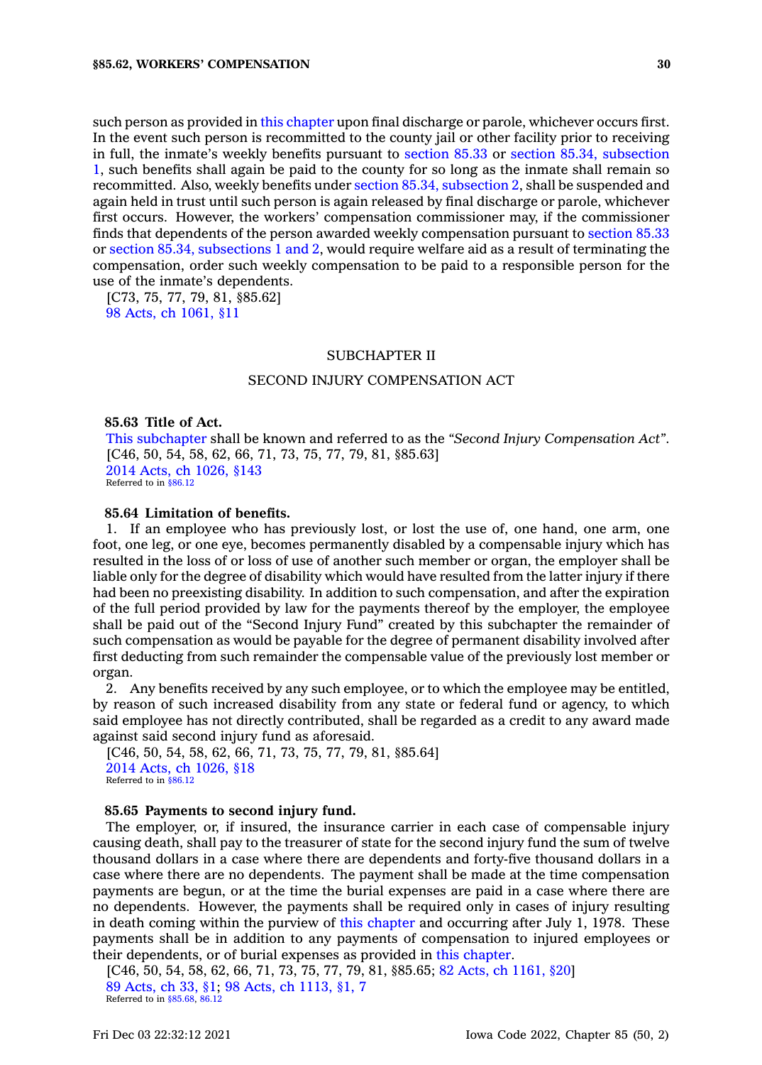such person as provided in this [chapter](https://www.legis.iowa.gov/docs/code//85.pdf) upon final discharge or parole, whichever occurs first. In the event such person is recommitted to the county jail or other facility prior to receiving in full, the inmate's weekly benefits pursuant to [section](https://www.legis.iowa.gov/docs/code/85.33.pdf) 85.33 or section 85.34, [subsection](https://www.legis.iowa.gov/docs/code/85.34.pdf) [1](https://www.legis.iowa.gov/docs/code/85.34.pdf), such benefits shall again be paid to the county for so long as the inmate shall remain so recommitted. Also, weekly benefits under section 85.34, [subsection](https://www.legis.iowa.gov/docs/code/85.34.pdf) 2, shall be suspended and again held in trust until such person is again released by final discharge or parole, whichever first occurs. However, the workers' compensation commissioner may, if the commissioner finds that dependents of the person awarded weekly compensation pursuant to [section](https://www.legis.iowa.gov/docs/code/85.33.pdf) 85.33 or section 85.34, [subsections](https://www.legis.iowa.gov/docs/code/85.34.pdf) 1 and 2, would require welfare aid as <sup>a</sup> result of terminating the compensation, order such weekly compensation to be paid to <sup>a</sup> responsible person for the use of the inmate's dependents.

[C73, 75, 77, 79, 81, §85.62] 98 Acts, ch [1061,](https://www.legis.iowa.gov/docs/acts/1998/CH1061.pdf) §11

### SUBCHAPTER II

### SECOND INJURY COMPENSATION ACT

#### **85.63 Title of Act.**

This [subchapter](https://www.legis.iowa.gov/docs/code//85.pdf) shall be known and referred to as the *"Second Injury Compensation Act"*. [C46, 50, 54, 58, 62, 66, 71, 73, 75, 77, 79, 81, §85.63] 2014 Acts, ch [1026,](https://www.legis.iowa.gov/docs/acts/2014/CH1026.pdf) §143 Referred to in [§86.12](https://www.legis.iowa.gov/docs/code/86.12.pdf)

### **85.64 Limitation of benefits.**

1. If an employee who has previously lost, or lost the use of, one hand, one arm, one foot, one leg, or one eye, becomes permanently disabled by <sup>a</sup> compensable injury which has resulted in the loss of or loss of use of another such member or organ, the employer shall be liable only for the degree of disability which would have resulted from the latter injury if there had been no preexisting disability. In addition to such compensation, and after the expiration of the full period provided by law for the payments thereof by the employer, the employee shall be paid out of the "Second Injury Fund" created by this subchapter the remainder of such compensation as would be payable for the degree of permanent disability involved after first deducting from such remainder the compensable value of the previously lost member or organ.

2. Any benefits received by any such employee, or to which the employee may be entitled, by reason of such increased disability from any state or federal fund or agency, to which said employee has not directly contributed, shall be regarded as <sup>a</sup> credit to any award made against said second injury fund as aforesaid.

```
[C46, 50, 54, 58, 62, 66, 71, 73, 75, 77, 79, 81, §85.64]
2014 Acts, ch 1026, §18
Referred to in §86.12
```
#### **85.65 Payments to second injury fund.**

The employer, or, if insured, the insurance carrier in each case of compensable injury causing death, shall pay to the treasurer of state for the second injury fund the sum of twelve thousand dollars in <sup>a</sup> case where there are dependents and forty-five thousand dollars in <sup>a</sup> case where there are no dependents. The payment shall be made at the time compensation payments are begun, or at the time the burial expenses are paid in <sup>a</sup> case where there are no dependents. However, the payments shall be required only in cases of injury resulting in death coming within the purview of this [chapter](https://www.legis.iowa.gov/docs/code//85.pdf) and occurring after July 1, 1978. These payments shall be in addition to any payments of compensation to injured employees or their dependents, or of burial expenses as provided in this [chapter](https://www.legis.iowa.gov/docs/code//85.pdf).

[C46, 50, 54, 58, 62, 66, 71, 73, 75, 77, 79, 81, §85.65; 82 Acts, ch [1161,](https://www.legis.iowa.gov/docs/acts/1982/CH1161.pdf) §20] 89 [Acts,](https://www.legis.iowa.gov/docs/acts/1989/CH0033.pdf) ch 33, §1; 98 Acts, ch [1113,](https://www.legis.iowa.gov/docs/acts/1998/CH1113.pdf) §1, 7 Referred to in [§85.68](https://www.legis.iowa.gov/docs/code/85.68.pdf), [86.12](https://www.legis.iowa.gov/docs/code/86.12.pdf)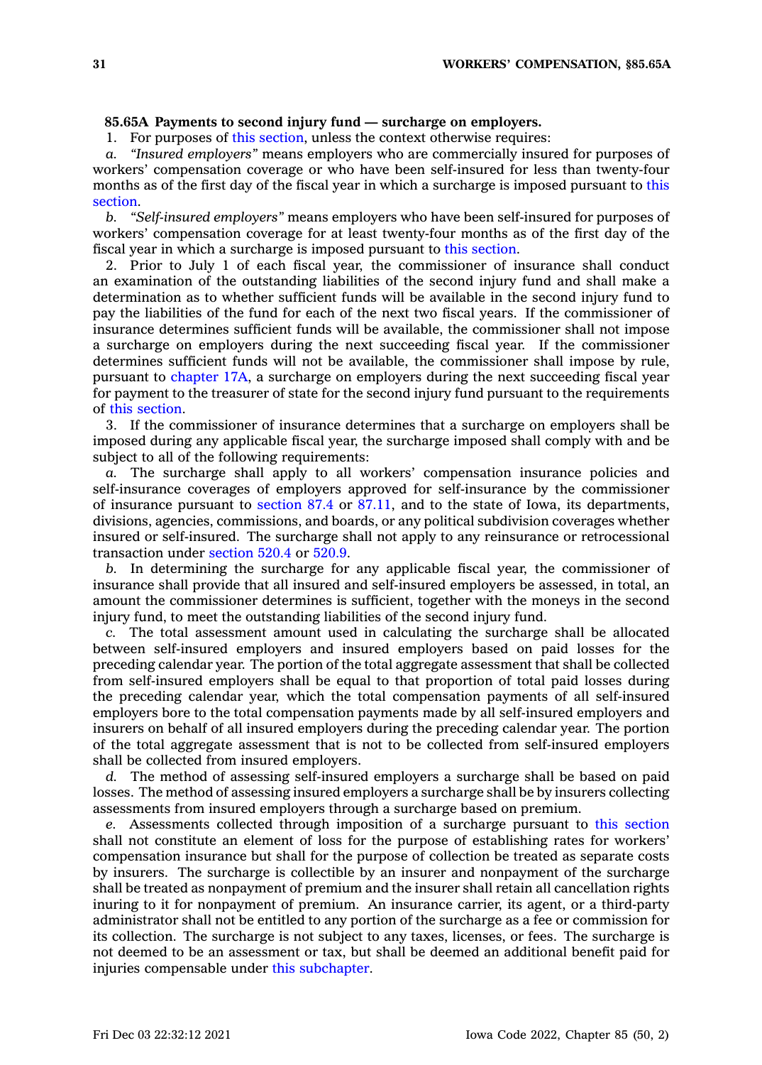### **85.65A Payments to second injury fund — surcharge on employers.**

1. For purposes of this [section](https://www.legis.iowa.gov/docs/code/85.65A.pdf), unless the context otherwise requires:

*a. "Insured employers"* means employers who are commercially insured for purposes of workers' compensation coverage or who have been self-insured for less than twenty-four months as of the first day of the fiscal year in which <sup>a</sup> surcharge is imposed pursuant to [this](https://www.legis.iowa.gov/docs/code/85.65A.pdf) [section](https://www.legis.iowa.gov/docs/code/85.65A.pdf).

*b. "Self-insured employers"* means employers who have been self-insured for purposes of workers' compensation coverage for at least twenty-four months as of the first day of the fiscal year in which <sup>a</sup> surcharge is imposed pursuant to this [section](https://www.legis.iowa.gov/docs/code/85.65A.pdf).

2. Prior to July 1 of each fiscal year, the commissioner of insurance shall conduct an examination of the outstanding liabilities of the second injury fund and shall make <sup>a</sup> determination as to whether sufficient funds will be available in the second injury fund to pay the liabilities of the fund for each of the next two fiscal years. If the commissioner of insurance determines sufficient funds will be available, the commissioner shall not impose <sup>a</sup> surcharge on employers during the next succeeding fiscal year. If the commissioner determines sufficient funds will not be available, the commissioner shall impose by rule, pursuant to [chapter](https://www.legis.iowa.gov/docs/code//17A.pdf) 17A, <sup>a</sup> surcharge on employers during the next succeeding fiscal year for payment to the treasurer of state for the second injury fund pursuant to the requirements of this [section](https://www.legis.iowa.gov/docs/code/85.65A.pdf).

3. If the commissioner of insurance determines that <sup>a</sup> surcharge on employers shall be imposed during any applicable fiscal year, the surcharge imposed shall comply with and be subject to all of the following requirements:

*a.* The surcharge shall apply to all workers' compensation insurance policies and self-insurance coverages of employers approved for self-insurance by the commissioner of insurance pursuant to [section](https://www.legis.iowa.gov/docs/code/87.4.pdf) 87.4 or [87.11](https://www.legis.iowa.gov/docs/code/87.11.pdf), and to the state of Iowa, its departments, divisions, agencies, commissions, and boards, or any political subdivision coverages whether insured or self-insured. The surcharge shall not apply to any reinsurance or retrocessional transaction under [section](https://www.legis.iowa.gov/docs/code/520.4.pdf) 520.4 or [520.9](https://www.legis.iowa.gov/docs/code/520.9.pdf).

*b.* In determining the surcharge for any applicable fiscal year, the commissioner of insurance shall provide that all insured and self-insured employers be assessed, in total, an amount the commissioner determines is sufficient, together with the moneys in the second injury fund, to meet the outstanding liabilities of the second injury fund.

*c.* The total assessment amount used in calculating the surcharge shall be allocated between self-insured employers and insured employers based on paid losses for the preceding calendar year. The portion of the total aggregate assessment that shall be collected from self-insured employers shall be equal to that proportion of total paid losses during the preceding calendar year, which the total compensation payments of all self-insured employers bore to the total compensation payments made by all self-insured employers and insurers on behalf of all insured employers during the preceding calendar year. The portion of the total aggregate assessment that is not to be collected from self-insured employers shall be collected from insured employers.

*d.* The method of assessing self-insured employers <sup>a</sup> surcharge shall be based on paid losses. The method of assessing insured employers <sup>a</sup> surcharge shall be by insurers collecting assessments from insured employers through <sup>a</sup> surcharge based on premium.

*e.* Assessments collected through imposition of <sup>a</sup> surcharge pursuant to this [section](https://www.legis.iowa.gov/docs/code/85.65A.pdf) shall not constitute an element of loss for the purpose of establishing rates for workers' compensation insurance but shall for the purpose of collection be treated as separate costs by insurers. The surcharge is collectible by an insurer and nonpayment of the surcharge shall be treated as nonpayment of premium and the insurer shall retain all cancellation rights inuring to it for nonpayment of premium. An insurance carrier, its agent, or <sup>a</sup> third-party administrator shall not be entitled to any portion of the surcharge as <sup>a</sup> fee or commission for its collection. The surcharge is not subject to any taxes, licenses, or fees. The surcharge is not deemed to be an assessment or tax, but shall be deemed an additional benefit paid for injuries compensable under this [subchapter](https://www.legis.iowa.gov/docs/code//85.pdf).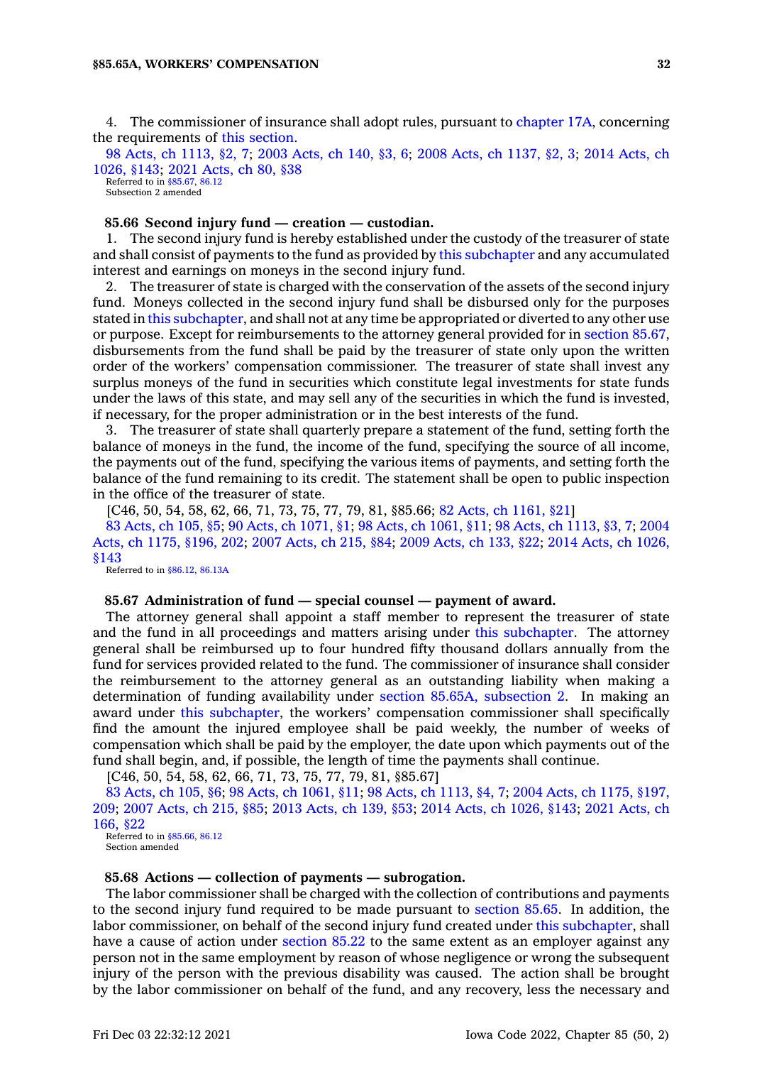4. The commissioner of insurance shall adopt rules, pursuant to [chapter](https://www.legis.iowa.gov/docs/code//17A.pdf) 17A, concerning the requirements of this [section](https://www.legis.iowa.gov/docs/code/85.65A.pdf).

98 Acts, ch [1113,](https://www.legis.iowa.gov/docs/acts/1998/CH1113.pdf) §2, 7; 2003 [Acts,](https://www.legis.iowa.gov/docs/acts/2003/CH0140.pdf) ch 140, §3, 6; 2008 Acts, ch [1137,](https://www.legis.iowa.gov/docs/acts/2008/CH1137.pdf) §2, 3; 2014 [Acts,](https://www.legis.iowa.gov/docs/acts/2014/CH1026.pdf) ch [1026,](https://www.legis.iowa.gov/docs/acts/2014/CH1026.pdf) §143; 2021 [Acts,](https://www.legis.iowa.gov/docs/acts/2021/CH0080.pdf) ch 80, §38 Referred to in [§85.67](https://www.legis.iowa.gov/docs/code/85.67.pdf), [86.12](https://www.legis.iowa.gov/docs/code/86.12.pdf)

Subsection 2 amended

### **85.66 Second injury fund — creation — custodian.**

1. The second injury fund is hereby established under the custody of the treasurer of state and shall consist of payments to the fund as provided by this [subchapter](https://www.legis.iowa.gov/docs/code//85.pdf) and any accumulated interest and earnings on moneys in the second injury fund.

2. The treasurer of state is charged with the conservation of the assets of the second injury fund. Moneys collected in the second injury fund shall be disbursed only for the purposes stated in this [subchapter](https://www.legis.iowa.gov/docs/code//85.pdf), and shall not at any time be appropriated or diverted to any other use or purpose. Except for reimbursements to the attorney general provided for in [section](https://www.legis.iowa.gov/docs/code/85.67.pdf) 85.67, disbursements from the fund shall be paid by the treasurer of state only upon the written order of the workers' compensation commissioner. The treasurer of state shall invest any surplus moneys of the fund in securities which constitute legal investments for state funds under the laws of this state, and may sell any of the securities in which the fund is invested, if necessary, for the proper administration or in the best interests of the fund.

3. The treasurer of state shall quarterly prepare <sup>a</sup> statement of the fund, setting forth the balance of moneys in the fund, the income of the fund, specifying the source of all income, the payments out of the fund, specifying the various items of payments, and setting forth the balance of the fund remaining to its credit. The statement shall be open to public inspection in the office of the treasurer of state.

[C46, 50, 54, 58, 62, 66, 71, 73, 75, 77, 79, 81, §85.66; 82 Acts, ch [1161,](https://www.legis.iowa.gov/docs/acts/1982/CH1161.pdf) §21] 83 [Acts,](https://www.legis.iowa.gov/docs/acts/1983/CH0105.pdf) ch 105, §5; 90 Acts, ch [1071,](https://www.legis.iowa.gov/docs/acts/90/CH1071.pdf) §1; 98 Acts, ch [1061,](https://www.legis.iowa.gov/docs/acts/98/CH1061.pdf) §11; 98 Acts, ch [1113,](https://www.legis.iowa.gov/docs/acts/98/CH1113.pdf) §3, 7; [2004](https://www.legis.iowa.gov/docs/acts/2004/CH1175.pdf) Acts, ch 1175, [§196,](https://www.legis.iowa.gov/docs/acts/2004/CH1175.pdf) 202; 2007 [Acts,](https://www.legis.iowa.gov/docs/acts/2007/CH0215.pdf) ch 215, §84; 2009 [Acts,](https://www.legis.iowa.gov/docs/acts/2009/CH0133.pdf) ch 133, §22; 2014 Acts, ch [1026,](https://www.legis.iowa.gov/docs/acts/2014/CH1026.pdf) [§143](https://www.legis.iowa.gov/docs/acts/2014/CH1026.pdf)

Referred to in [§86.12](https://www.legis.iowa.gov/docs/code/86.12.pdf), [86.13A](https://www.legis.iowa.gov/docs/code/86.13A.pdf)

#### **85.67 Administration of fund — special counsel —payment of award.**

The attorney general shall appoint <sup>a</sup> staff member to represent the treasurer of state and the fund in all proceedings and matters arising under this [subchapter](https://www.legis.iowa.gov/docs/code//85.pdf). The attorney general shall be reimbursed up to four hundred fifty thousand dollars annually from the fund for services provided related to the fund. The commissioner of insurance shall consider the reimbursement to the attorney general as an outstanding liability when making <sup>a</sup> determination of funding availability under section 85.65A, [subsection](https://www.legis.iowa.gov/docs/code/85.65A.pdf) 2. In making an award under this [subchapter](https://www.legis.iowa.gov/docs/code//85.pdf), the workers' compensation commissioner shall specifically find the amount the injured employee shall be paid weekly, the number of weeks of compensation which shall be paid by the employer, the date upon which payments out of the fund shall begin, and, if possible, the length of time the payments shall continue.

[C46, 50, 54, 58, 62, 66, 71, 73, 75, 77, 79, 81, §85.67]

83 [Acts,](https://www.legis.iowa.gov/docs/acts/1983/CH0105.pdf) ch 105, §6; 98 Acts, ch [1061,](https://www.legis.iowa.gov/docs/acts/98/CH1061.pdf) §11; 98 Acts, ch [1113,](https://www.legis.iowa.gov/docs/acts/98/CH1113.pdf) §4, 7; 2004 Acts, ch 1175, [§197,](https://www.legis.iowa.gov/docs/acts/2004/CH1175.pdf) [209](https://www.legis.iowa.gov/docs/acts/2004/CH1175.pdf); 2007 [Acts,](https://www.legis.iowa.gov/docs/acts/2007/CH0215.pdf) ch 215, §85; 2013 [Acts,](https://www.legis.iowa.gov/docs/acts/2013/CH0139.pdf) ch 139, §53; 2014 Acts, ch [1026,](https://www.legis.iowa.gov/docs/acts/2014/CH1026.pdf) §143; 2021 [Acts,](https://www.legis.iowa.gov/docs/acts/2021/CH0166.pdf) ch [166,](https://www.legis.iowa.gov/docs/acts/2021/CH0166.pdf) §22 Referred to in  $$85.66, 86.12$  $$85.66, 86.12$ 

Section amended

### **85.68 Actions — collection of payments — subrogation.**

The labor commissioner shall be charged with the collection of contributions and payments to the second injury fund required to be made pursuant to [section](https://www.legis.iowa.gov/docs/code/85.65.pdf) 85.65. In addition, the labor commissioner, on behalf of the second injury fund created under this [subchapter](https://www.legis.iowa.gov/docs/code//85.pdf), shall have a cause of action under [section](https://www.legis.iowa.gov/docs/code/85.22.pdf) 85.22 to the same extent as an employer against any person not in the same employment by reason of whose negligence or wrong the subsequent injury of the person with the previous disability was caused. The action shall be brought by the labor commissioner on behalf of the fund, and any recovery, less the necessary and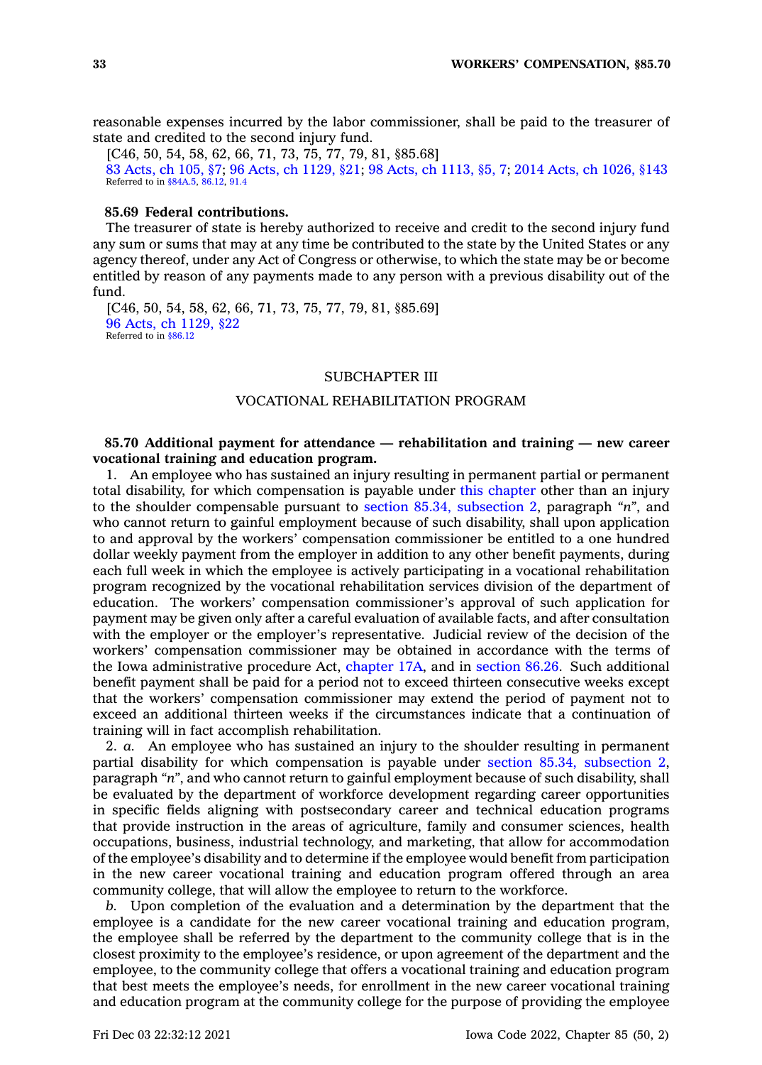reasonable expenses incurred by the labor commissioner, shall be paid to the treasurer of state and credited to the second injury fund.

[C46, 50, 54, 58, 62, 66, 71, 73, 75, 77, 79, 81, §85.68] 83 [Acts,](https://www.legis.iowa.gov/docs/acts/1983/CH0105.pdf) ch 105, §7; 96 Acts, ch [1129,](https://www.legis.iowa.gov/docs/acts/96/CH1129.pdf) §21; 98 Acts, ch [1113,](https://www.legis.iowa.gov/docs/acts/98/CH1113.pdf) §5, 7; 2014 Acts, ch [1026,](https://www.legis.iowa.gov/docs/acts/2014/CH1026.pdf) §143 Referred to in [§84A.5](https://www.legis.iowa.gov/docs/code/84A.5.pdf), [86.12,](https://www.legis.iowa.gov/docs/code/86.12.pdf) [91.4](https://www.legis.iowa.gov/docs/code/91.4.pdf)

### **85.69 Federal contributions.**

The treasurer of state is hereby authorized to receive and credit to the second injury fund any sum or sums that may at any time be contributed to the state by the United States or any agency thereof, under any Act of Congress or otherwise, to which the state may be or become entitled by reason of any payments made to any person with <sup>a</sup> previous disability out of the fund.

[C46, 50, 54, 58, 62, 66, 71, 73, 75, 77, 79, 81, §85.69] 96 Acts, ch [1129,](https://www.legis.iowa.gov/docs/acts/1996/CH1129.pdf) §22 Referred to in [§86.12](https://www.legis.iowa.gov/docs/code/86.12.pdf)

### SUBCHAPTER III

### VOCATIONAL REHABILITATION PROGRAM

### **85.70 Additional payment for attendance — rehabilitation and training — new career vocational training and education program.**

1. An employee who has sustained an injury resulting in permanent partial or permanent total disability, for which compensation is payable under this [chapter](https://www.legis.iowa.gov/docs/code//85.pdf) other than an injury to the shoulder compensable pursuant to section 85.34, [subsection](https://www.legis.iowa.gov/docs/code/85.34.pdf) 2, paragraph *"n"*, and who cannot return to gainful employment because of such disability, shall upon application to and approval by the workers' compensation commissioner be entitled to <sup>a</sup> one hundred dollar weekly payment from the employer in addition to any other benefit payments, during each full week in which the employee is actively participating in <sup>a</sup> vocational rehabilitation program recognized by the vocational rehabilitation services division of the department of education. The workers' compensation commissioner's approval of such application for payment may be given only after <sup>a</sup> careful evaluation of available facts, and after consultation with the employer or the employer's representative. Judicial review of the decision of the workers' compensation commissioner may be obtained in accordance with the terms of the Iowa administrative procedure Act, [chapter](https://www.legis.iowa.gov/docs/code//17A.pdf) 17A, and in [section](https://www.legis.iowa.gov/docs/code/86.26.pdf) 86.26. Such additional benefit payment shall be paid for <sup>a</sup> period not to exceed thirteen consecutive weeks except that the workers' compensation commissioner may extend the period of payment not to exceed an additional thirteen weeks if the circumstances indicate that <sup>a</sup> continuation of training will in fact accomplish rehabilitation.

2. *a.* An employee who has sustained an injury to the shoulder resulting in permanent partial disability for which compensation is payable under section 85.34, [subsection](https://www.legis.iowa.gov/docs/code/85.34.pdf) 2, paragraph *"n"*, and who cannot return to gainful employment because of such disability, shall be evaluated by the department of workforce development regarding career opportunities in specific fields aligning with postsecondary career and technical education programs that provide instruction in the areas of agriculture, family and consumer sciences, health occupations, business, industrial technology, and marketing, that allow for accommodation of the employee's disability and to determine if the employee would benefit from participation in the new career vocational training and education program offered through an area community college, that will allow the employee to return to the workforce.

*b.* Upon completion of the evaluation and <sup>a</sup> determination by the department that the employee is <sup>a</sup> candidate for the new career vocational training and education program, the employee shall be referred by the department to the community college that is in the closest proximity to the employee's residence, or upon agreement of the department and the employee, to the community college that offers <sup>a</sup> vocational training and education program that best meets the employee's needs, for enrollment in the new career vocational training and education program at the community college for the purpose of providing the employee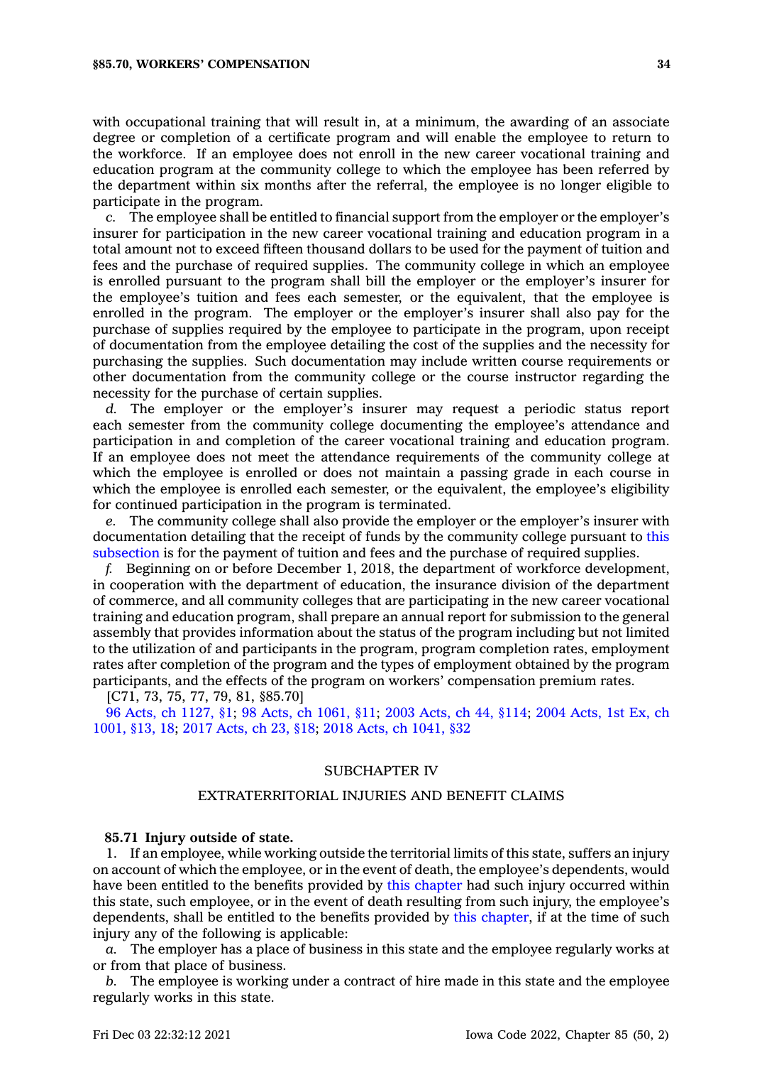with occupational training that will result in, at <sup>a</sup> minimum, the awarding of an associate degree or completion of <sup>a</sup> certificate program and will enable the employee to return to the workforce. If an employee does not enroll in the new career vocational training and education program at the community college to which the employee has been referred by the department within six months after the referral, the employee is no longer eligible to participate in the program.

*c.* The employee shall be entitled to financial support from the employer or the employer's insurer for participation in the new career vocational training and education program in <sup>a</sup> total amount not to exceed fifteen thousand dollars to be used for the payment of tuition and fees and the purchase of required supplies. The community college in which an employee is enrolled pursuant to the program shall bill the employer or the employer's insurer for the employee's tuition and fees each semester, or the equivalent, that the employee is enrolled in the program. The employer or the employer's insurer shall also pay for the purchase of supplies required by the employee to participate in the program, upon receipt of documentation from the employee detailing the cost of the supplies and the necessity for purchasing the supplies. Such documentation may include written course requirements or other documentation from the community college or the course instructor regarding the necessity for the purchase of certain supplies.

*d.* The employer or the employer's insurer may request <sup>a</sup> periodic status report each semester from the community college documenting the employee's attendance and participation in and completion of the career vocational training and education program. If an employee does not meet the attendance requirements of the community college at which the employee is enrolled or does not maintain <sup>a</sup> passing grade in each course in which the employee is enrolled each semester, or the equivalent, the employee's eligibility for continued participation in the program is terminated.

*e.* The community college shall also provide the employer or the employer's insurer with documentation detailing that the receipt of funds by the community college pursuant to [this](https://www.legis.iowa.gov/docs/code/85.70.pdf) [subsection](https://www.legis.iowa.gov/docs/code/85.70.pdf) is for the payment of tuition and fees and the purchase of required supplies.

*f.* Beginning on or before December 1, 2018, the department of workforce development, in cooperation with the department of education, the insurance division of the department of commerce, and all community colleges that are participating in the new career vocational training and education program, shall prepare an annual report for submission to the general assembly that provides information about the status of the program including but not limited to the utilization of and participants in the program, program completion rates, employment rates after completion of the program and the types of employment obtained by the program participants, and the effects of the program on workers' compensation premium rates.

[C71, 73, 75, 77, 79, 81, §85.70]

96 Acts, ch [1127,](https://www.legis.iowa.gov/docs/acts/1996/CH1127.pdf) §1; 98 Acts, ch [1061,](https://www.legis.iowa.gov/docs/acts/98/CH1061.pdf) §11; 2003 [Acts,](https://www.legis.iowa.gov/docs/acts/2003/CH0044.pdf) ch 44, §114; 2004 [Acts,](https://www.legis.iowa.gov/docs/acts/2004/CH1001.pdf) 1st Ex, ch [1001,](https://www.legis.iowa.gov/docs/acts/2004/CH1001.pdf) §13, 18; 2017 [Acts,](https://www.legis.iowa.gov/docs/acts/2017/CH0023.pdf) ch 23, §18; 2018 Acts, ch [1041,](https://www.legis.iowa.gov/docs/acts/2018/CH1041.pdf) §32

# SUBCHAPTER IV

### EXTRATERRITORIAL INJURIES AND BENEFIT CLAIMS

#### **85.71 Injury outside of state.**

1. If an employee, while working outside the territorial limits of this state, suffers an injury on account of which the employee, or in the event of death, the employee's dependents, would have been entitled to the benefits provided by this [chapter](https://www.legis.iowa.gov/docs/code//85.pdf) had such injury occurred within this state, such employee, or in the event of death resulting from such injury, the employee's dependents, shall be entitled to the benefits provided by this [chapter](https://www.legis.iowa.gov/docs/code//85.pdf), if at the time of such injury any of the following is applicable:

*a.* The employer has <sup>a</sup> place of business in this state and the employee regularly works at or from that place of business.

*b.* The employee is working under <sup>a</sup> contract of hire made in this state and the employee regularly works in this state.